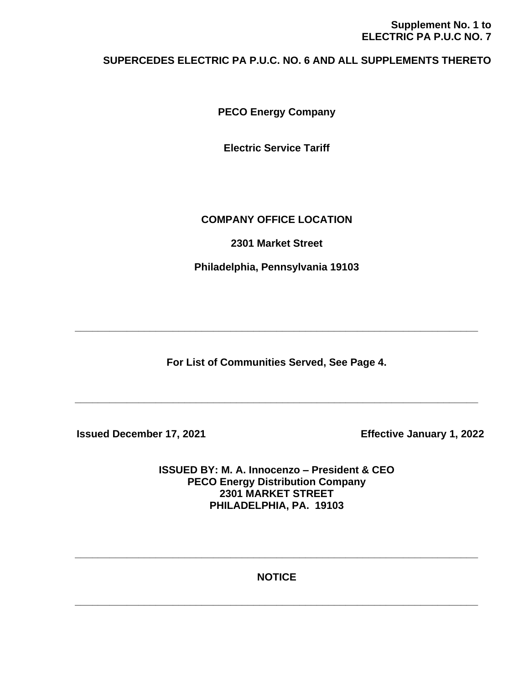# **Supplement No. 1 to ELECTRIC PA P.U.C NO. 7**

# **SUPERCEDES ELECTRIC PA P.U.C. NO. 6 AND ALL SUPPLEMENTS THERETO**

**PECO Energy Company**

**Electric Service Tariff**

# **COMPANY OFFICE LOCATION**

**2301 Market Street**

**Philadelphia, Pennsylvania 19103**

**For List of Communities Served, See Page 4.**

**\_\_\_\_\_\_\_\_\_\_\_\_\_\_\_\_\_\_\_\_\_\_\_\_\_\_\_\_\_\_\_\_\_\_\_\_\_\_\_\_\_\_\_\_\_\_\_\_\_\_\_\_\_\_\_\_\_\_\_\_\_\_\_\_\_\_\_\_\_\_**

**\_\_\_\_\_\_\_\_\_\_\_\_\_\_\_\_\_\_\_\_\_\_\_\_\_\_\_\_\_\_\_\_\_\_\_\_\_\_\_\_\_\_\_\_\_\_\_\_\_\_\_\_\_\_\_\_\_\_\_\_\_\_\_\_\_\_\_\_\_\_**

 **Issued December 17, 2021 Effective January 1, 2022**

**ISSUED BY: M. A. Innocenzo – President & CEO PECO Energy Distribution Company 2301 MARKET STREET PHILADELPHIA, PA. 19103**

**NOTICE**

**\_\_\_\_\_\_\_\_\_\_\_\_\_\_\_\_\_\_\_\_\_\_\_\_\_\_\_\_\_\_\_\_\_\_\_\_\_\_\_\_\_\_\_\_\_\_\_\_\_\_\_\_\_\_\_\_\_\_\_\_\_\_\_\_\_\_\_\_\_\_**

**\_\_\_\_\_\_\_\_\_\_\_\_\_\_\_\_\_\_\_\_\_\_\_\_\_\_\_\_\_\_\_\_\_\_\_\_\_\_\_\_\_\_\_\_\_\_\_\_\_\_\_\_\_\_\_\_\_\_\_\_\_\_\_\_\_\_\_\_\_\_**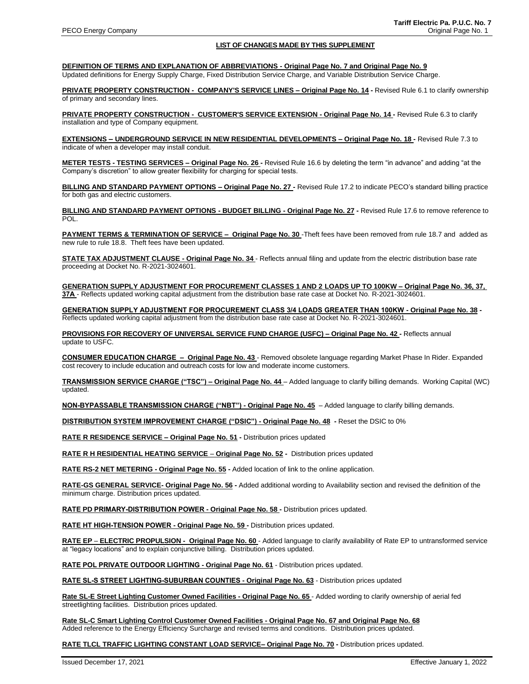#### **LIST OF CHANGES MADE BY THIS SUPPLEMENT**

**DEFINITION OF TERMS AND EXPLANATION OF ABBREVIATIONS - Original Page No. 7 and Original Page No. 9**

Updated definitions for Energy Supply Charge, Fixed Distribution Service Charge, and Variable Distribution Service Charge.

**PRIVATE PROPERTY CONSTRUCTION - COMPANY'S SERVICE LINES – Original Page No. 14 -** Revised Rule 6.1 to clarify ownership of primary and secondary lines.

**PRIVATE PROPERTY CONSTRUCTION - CUSTOMER'S SERVICE EXTENSION - Original Page No. 14 -** Revised Rule 6.3 to clarify installation and type of Company equipment.

**EXTENSIONS – UNDERGROUND SERVICE IN NEW RESIDENTIAL DEVELOPMENTS – Original Page No. 18 -** Revised Rule 7.3 to indicate of when a developer may install conduit.

**METER TESTS - TESTING SERVICES – Original Page No. 26 -** Revised Rule 16.6 by deleting the term "in advance" and adding "at the Company's discretion" to allow greater flexibility for charging for special tests.

**BILLING AND STANDARD PAYMENT OPTIONS – Original Page No. 27 -** Revised Rule 17.2 to indicate PECO's standard billing practice for both gas and electric customers.

**BILLING AND STANDARD PAYMENT OPTIONS - BUDGET BILLING - Original Page No. 27 -** Revised Rule 17.6 to remove reference to POL.

**PAYMENT TERMS & TERMINATION OF SERVICE – Original Page No. 30** -Theft fees have been removed from rule 18.7 and added as new rule to rule 18.8. Theft fees have been updated.

**STATE TAX ADJUSTMENT CLAUSE - Original Page No. 34** - Reflects annual filing and update from the electric distribution base rate proceeding at Docket No. R-2021-3024601.

**GENERATION SUPPLY ADJUSTMENT FOR PROCUREMENT CLASSES 1 AND 2 LOADS UP TO 100KW – Original Page No. 36, 37, 37A** - Reflects updated working capital adjustment from the distribution base rate case at Docket No. R-2021-3024601.

**GENERATION SUPPLY ADJUSTMENT FOR PROCUREMENT CLASS 3/4 LOADS GREATER THAN 100KW - Original Page No. 38 -** Reflects updated working capital adjustment from the distribution base rate case at Docket No. R-2021-3024601.

**PROVISIONS FOR RECOVERY OF UNIVERSAL SERVICE FUND CHARGE (USFC) – Original Page No. 42 -** Reflects annual update to USFC.

**CONSUMER EDUCATION CHARGE – Original Page No. 43** - Removed obsolete language regarding Market Phase In Rider. Expanded cost recovery to include education and outreach costs for low and moderate income customers.

**TRANSMISSION SERVICE CHARGE ("TSC") – Original Page No. 44** – Added language to clarify billing demands. Working Capital (WC) updated.

**NON-BYPASSABLE TRANSMISSION CHARGE ("NBT") - Original Page No. 45** – Added language to clarify billing demands.

**DISTRIBUTION SYSTEM IMPROVEMENT CHARGE ("DSIC") - Original Page No. 48 -** Reset the DSIC to 0%

**RATE R RESIDENCE SERVICE – Original Page No. 51 -** Distribution prices updated

**RATE R H RESIDENTIAL HEATING SERVICE** – **Original Page No. 52 -** Distribution prices updated

**RATE RS-2 NET METERING - Original Page No. 55 -** Added location of link to the online application.

**RATE-GS GENERAL SERVICE- Original Page No. 56 -** Added additional wording to Availability section and revised the definition of the minimum charge. Distribution prices updated.

**RATE PD PRIMARY-DISTRIBUTION POWER - Original Page No. 58 -** Distribution prices updated.

**RATE HT HIGH-TENSION POWER - Original Page No. 59 -** Distribution prices updated.

**RATE EP** – **ELECTRIC PROPULSION - Original Page No. 60** - Added language to clarify availability of Rate EP to untransformed service at "legacy locations" and to explain conjunctive billing. Distribution prices updated.

**RATE POL PRIVATE OUTDOOR LIGHTING - Original Page No. 61** - Distribution prices updated.

**RATE SL-S STREET LIGHTING-SUBURBAN COUNTIES - Original Page No. 63** - Distribution prices updated

**Rate SL-E Street Lighting Customer Owned Facilities - Original Page No. 65** - Added wording to clarify ownership of aerial fed streetlighting facilities. Distribution prices updated.

**Rate SL-C Smart Lighting Control Customer Owned Facilities - Original Page No. 67 and Original Page No. 68** Added reference to the Energy Efficiency Surcharge and revised terms and conditions. Distribution prices updated.

**RATE TLCL TRAFFIC LIGHTING CONSTANT LOAD SERVICE– Original Page No. 70 -** Distribution prices updated.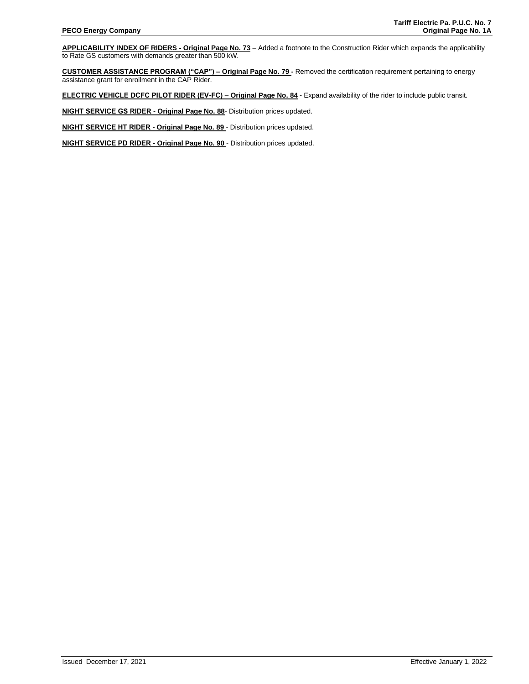**APPLICABILITY INDEX OF RIDERS - Original Page No. 73** – Added a footnote to the Construction Rider which expands the applicability to Rate GS customers with demands greater than 500 kW.

**CUSTOMER ASSISTANCE PROGRAM ("CAP") – Original Page No. 79 -** Removed the certification requirement pertaining to energy assistance grant for enrollment in the CAP Rider.

**ELECTRIC VEHICLE DCFC PILOT RIDER (EV-FC) – Original Page No. 84 -** Expand availability of the rider to include public transit.

**NIGHT SERVICE GS RIDER - Original Page No. 88**- Distribution prices updated.

**NIGHT SERVICE HT RIDER - Original Page No. 89** - Distribution prices updated.

**NIGHT SERVICE PD RIDER - Original Page No. 90** - Distribution prices updated.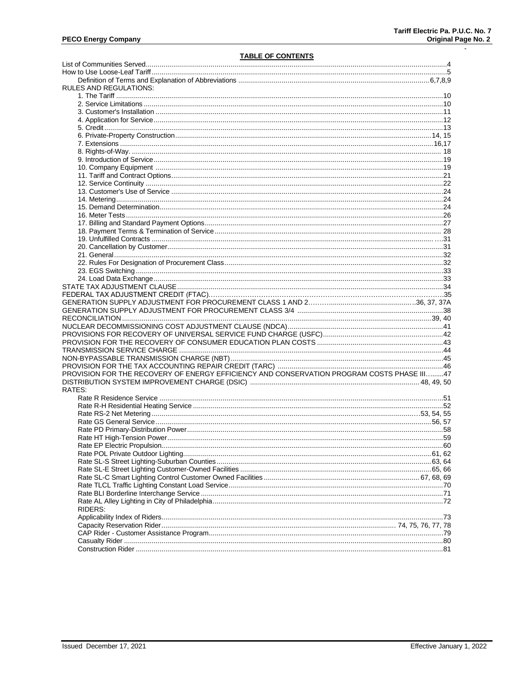$\ddot{\phantom{a}}$ 

# **TABLE OF CONTENTS**

| RULES AND REGULATIONS:                                                                     |  |
|--------------------------------------------------------------------------------------------|--|
|                                                                                            |  |
|                                                                                            |  |
|                                                                                            |  |
|                                                                                            |  |
|                                                                                            |  |
|                                                                                            |  |
|                                                                                            |  |
|                                                                                            |  |
|                                                                                            |  |
|                                                                                            |  |
|                                                                                            |  |
|                                                                                            |  |
|                                                                                            |  |
|                                                                                            |  |
|                                                                                            |  |
|                                                                                            |  |
|                                                                                            |  |
|                                                                                            |  |
|                                                                                            |  |
|                                                                                            |  |
|                                                                                            |  |
|                                                                                            |  |
|                                                                                            |  |
|                                                                                            |  |
|                                                                                            |  |
|                                                                                            |  |
|                                                                                            |  |
|                                                                                            |  |
|                                                                                            |  |
|                                                                                            |  |
|                                                                                            |  |
|                                                                                            |  |
|                                                                                            |  |
|                                                                                            |  |
|                                                                                            |  |
|                                                                                            |  |
| PROVISION FOR THE RECOVERY OF ENERGY EFFICIENCY AND CONSERVATION PROGRAM COSTS PHASE III47 |  |
|                                                                                            |  |
| RATES:                                                                                     |  |
|                                                                                            |  |
|                                                                                            |  |
|                                                                                            |  |
|                                                                                            |  |
|                                                                                            |  |
|                                                                                            |  |
|                                                                                            |  |
|                                                                                            |  |
|                                                                                            |  |
|                                                                                            |  |
|                                                                                            |  |
|                                                                                            |  |
|                                                                                            |  |
|                                                                                            |  |
|                                                                                            |  |
| RIDERS:                                                                                    |  |
|                                                                                            |  |
|                                                                                            |  |
|                                                                                            |  |
|                                                                                            |  |
|                                                                                            |  |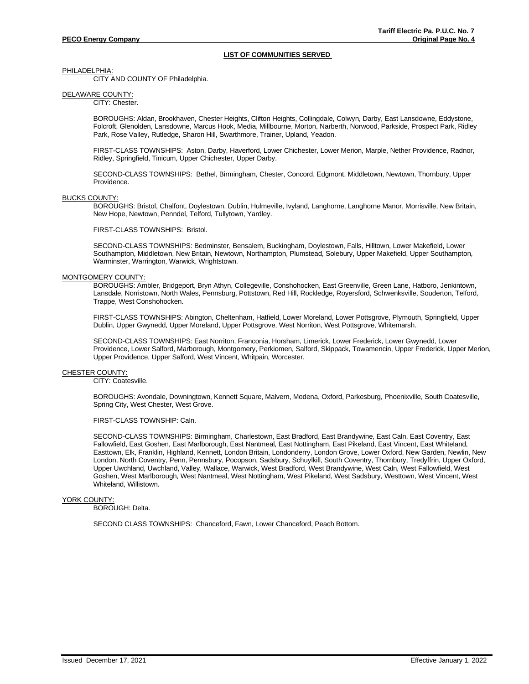# **LIST OF COMMUNITIES SERVED**

PHILADELPHIA:

CITY AND COUNTY OF Philadelphia.

DELAWARE COUNTY:

CITY: Chester.

BOROUGHS: Aldan, Brookhaven, Chester Heights, Clifton Heights, Collingdale, Colwyn, Darby, East Lansdowne, Eddystone, Folcroft, Glenolden, Lansdowne, Marcus Hook, Media, Millbourne, Morton, Narberth, Norwood, Parkside, Prospect Park, Ridley Park, Rose Valley, Rutledge, Sharon Hill, Swarthmore, Trainer, Upland, Yeadon.

FIRST-CLASS TOWNSHIPS: Aston, Darby, Haverford, Lower Chichester, Lower Merion, Marple, Nether Providence, Radnor, Ridley, Springfield, Tinicum, Upper Chichester, Upper Darby.

SECOND-CLASS TOWNSHIPS: Bethel, Birmingham, Chester, Concord, Edgmont, Middletown, Newtown, Thornbury, Upper Providence.

### BUCKS COUNTY:

BOROUGHS: Bristol, Chalfont, Doylestown, Dublin, Hulmeville, Ivyland, Langhorne, Langhorne Manor, Morrisville, New Britain, New Hope, Newtown, Penndel, Telford, Tullytown, Yardley.

FIRST-CLASS TOWNSHIPS: Bristol.

SECOND-CLASS TOWNSHIPS: Bedminster, Bensalem, Buckingham, Doylestown, Falls, Hilltown, Lower Makefield, Lower Southampton, Middletown, New Britain, Newtown, Northampton, Plumstead, Solebury, Upper Makefield, Upper Southampton, Warminster, Warrington, Warwick, Wrightstown.

#### MONTGOMERY COUNTY:

BOROUGHS: Ambler, Bridgeport, Bryn Athyn, Collegeville, Conshohocken, East Greenville, Green Lane, Hatboro, Jenkintown, Lansdale, Norristown, North Wales, Pennsburg, Pottstown, Red Hill, Rockledge, Royersford, Schwenksville, Souderton, Telford, Trappe, West Conshohocken.

FIRST-CLASS TOWNSHIPS: Abington, Cheltenham, Hatfield, Lower Moreland, Lower Pottsgrove, Plymouth, Springfield, Upper Dublin, Upper Gwynedd, Upper Moreland, Upper Pottsgrove, West Norriton, West Pottsgrove, Whitemarsh.

SECOND-CLASS TOWNSHIPS: East Norriton, Franconia, Horsham, Limerick, Lower Frederick, Lower Gwynedd, Lower Providence, Lower Salford, Marborough, Montgomery, Perkiomen, Salford, Skippack, Towamencin, Upper Frederick, Upper Merion, Upper Providence, Upper Salford, West Vincent, Whitpain, Worcester.

# CHESTER COUNTY:

CITY: Coatesville.

BOROUGHS: Avondale, Downingtown, Kennett Square, Malvern, Modena, Oxford, Parkesburg, Phoenixville, South Coatesville, Spring City, West Chester, West Grove.

FIRST-CLASS TOWNSHIP: Caln.

SECOND-CLASS TOWNSHIPS: Birmingham, Charlestown, East Bradford, East Brandywine, East Caln, East Coventry, East Fallowfield, East Goshen, East Marlborough, East Nantmeal, East Nottingham, East Pikeland, East Vincent, East Whiteland, Easttown, Elk, Franklin, Highland, Kennett, London Britain, Londonderry, London Grove, Lower Oxford, New Garden, Newlin, New London, North Coventry, Penn, Pennsbury, Pocopson, Sadsbury, Schuylkill, South Coventry, Thornbury, Tredyffrin, Upper Oxford, Upper Uwchland, Uwchland, Valley, Wallace, Warwick, West Bradford, West Brandywine, West Caln, West Fallowfield, West Goshen, West Marlborough, West Nantmeal, West Nottingham, West Pikeland, West Sadsbury, Westtown, West Vincent, West Whiteland, Willistown.

# YORK COUNTY:

BOROUGH: Delta.

SECOND CLASS TOWNSHIPS: Chanceford, Fawn, Lower Chanceford, Peach Bottom.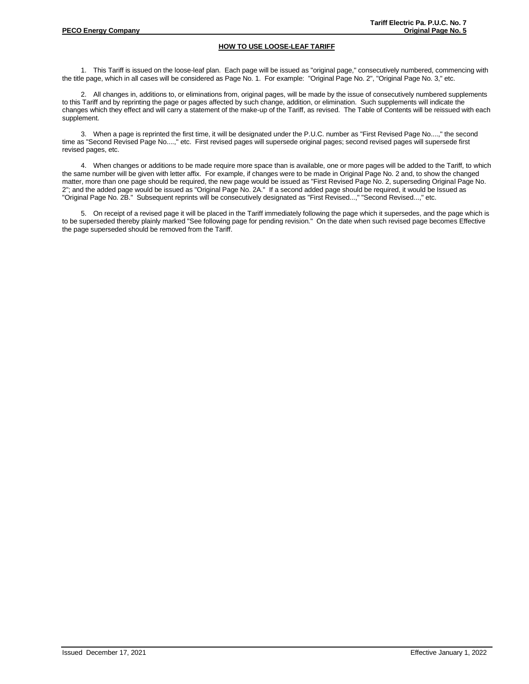# **HOW TO USE LOOSE-LEAF TARIFF**

1. This Tariff is issued on the loose-leaf plan. Each page will be issued as "original page," consecutively numbered, commencing with the title page, which in all cases will be considered as Page No. 1. For example: "Original Page No. 2", "Original Page No. 3," etc.

2. All changes in, additions to, or eliminations from, original pages, will be made by the issue of consecutively numbered supplements to this Tariff and by reprinting the page or pages affected by such change, addition, or elimination. Such supplements will indicate the changes which they effect and will carry a statement of the make-up of the Tariff, as revised. The Table of Contents will be reissued with each supplement.

3. When a page is reprinted the first time, it will be designated under the P.U.C. number as "First Revised Page No....," the second time as "Second Revised Page No....," etc. First revised pages will supersede original pages; second revised pages will supersede first revised pages, etc.

4. When changes or additions to be made require more space than is available, one or more pages will be added to the Tariff, to which the same number will be given with letter affix. For example, if changes were to be made in Original Page No. 2 and, to show the changed matter, more than one page should be required, the new page would be issued as "First Revised Page No. 2, superseding Original Page No. 2"; and the added page would be issued as "Original Page No. 2A." If a second added page should be required, it would be Issued as "Original Page No. 2B." Subsequent reprints will be consecutively designated as "First Revised...," "Second Revised...," etc.

5. On receipt of a revised page it will be placed in the Tariff immediately following the page which it supersedes, and the page which is to be superseded thereby plainly marked "See following page for pending revision." On the date when such revised page becomes Effective the page superseded should be removed from the Tariff.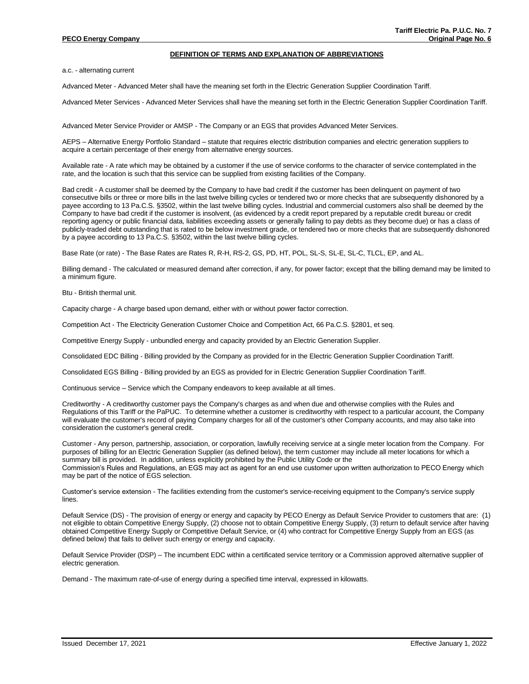### **DEFINITION OF TERMS AND EXPLANATION OF ABBREVIATIONS**

a.c. - alternating current

Advanced Meter - Advanced Meter shall have the meaning set forth in the Electric Generation Supplier Coordination Tariff.

Advanced Meter Services - Advanced Meter Services shall have the meaning set forth in the Electric Generation Supplier Coordination Tariff.

Advanced Meter Service Provider or AMSP - The Company or an EGS that provides Advanced Meter Services.

AEPS – Alternative Energy Portfolio Standard – statute that requires electric distribution companies and electric generation suppliers to acquire a certain percentage of their energy from alternative energy sources.

Available rate - A rate which may be obtained by a customer if the use of service conforms to the character of service contemplated in the rate, and the location is such that this service can be supplied from existing facilities of the Company.

Bad credit - A customer shall be deemed by the Company to have bad credit if the customer has been delinquent on payment of two consecutive bills or three or more bills in the last twelve billing cycles or tendered two or more checks that are subsequently dishonored by a payee according to 13 Pa.C.S. §3502, within the last twelve billing cycles. Industrial and commercial customers also shall be deemed by the Company to have bad credit if the customer is insolvent, (as evidenced by a credit report prepared by a reputable credit bureau or credit reporting agency or public financial data, liabilities exceeding assets or generally failing to pay debts as they become due) or has a class of publicly-traded debt outstanding that is rated to be below investment grade, or tendered two or more checks that are subsequently dishonored by a payee according to 13 Pa.C.S. §3502, within the last twelve billing cycles.

Base Rate (or rate) - The Base Rates are Rates R, R-H, RS-2, GS, PD, HT, POL, SL-S, SL-E, SL-C, TLCL, EP, and AL.

Billing demand - The calculated or measured demand after correction, if any, for power factor; except that the billing demand may be limited to a minimum figure.

Btu - British thermal unit.

Capacity charge - A charge based upon demand, either with or without power factor correction.

Competition Act - The Electricity Generation Customer Choice and Competition Act, 66 Pa.C.S. §2801, et seq.

Competitive Energy Supply - unbundled energy and capacity provided by an Electric Generation Supplier.

Consolidated EDC Billing - Billing provided by the Company as provided for in the Electric Generation Supplier Coordination Tariff.

Consolidated EGS Billing - Billing provided by an EGS as provided for in Electric Generation Supplier Coordination Tariff.

Continuous service – Service which the Company endeavors to keep available at all times.

Creditworthy - A creditworthy customer pays the Company's charges as and when due and otherwise complies with the Rules and Regulations of this Tariff or the PaPUC. To determine whether a customer is creditworthy with respect to a particular account, the Company will evaluate the customer's record of paying Company charges for all of the customer's other Company accounts, and may also take into consideration the customer's general credit.

Customer - Any person, partnership, association, or corporation, lawfully receiving service at a single meter location from the Company. For purposes of billing for an Electric Generation Supplier (as defined below), the term customer may include all meter locations for which a summary bill is provided. In addition, unless explicitly prohibited by the Public Utility Code or the Commission's Rules and Regulations, an EGS may act as agent for an end use customer upon written authorization to PECO Energy which may be part of the notice of EGS selection.

Customer's service extension - The facilities extending from the customer's service-receiving equipment to the Company's service supply lines.

Default Service (DS) - The provision of energy or energy and capacity by PECO Energy as Default Service Provider to customers that are: (1) not eligible to obtain Competitive Energy Supply, (2) choose not to obtain Competitive Energy Supply, (3) return to default service after having obtained Competitive Energy Supply or Competitive Default Service, or (4) who contract for Competitive Energy Supply from an EGS (as defined below) that fails to deliver such energy or energy and capacity.

Default Service Provider (DSP) – The incumbent EDC within a certificated service territory or a Commission approved alternative supplier of electric generation.

Demand - The maximum rate-of-use of energy during a specified time interval, expressed in kilowatts.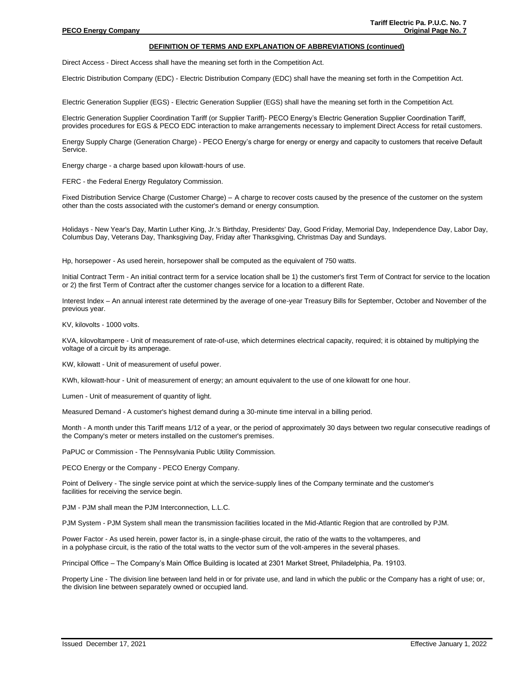### **DEFINITION OF TERMS AND EXPLANATION OF ABBREVIATIONS (continued)**

Direct Access - Direct Access shall have the meaning set forth in the Competition Act.

Electric Distribution Company (EDC) - Electric Distribution Company (EDC) shall have the meaning set forth in the Competition Act.

Electric Generation Supplier (EGS) - Electric Generation Supplier (EGS) shall have the meaning set forth in the Competition Act.

Electric Generation Supplier Coordination Tariff (or Supplier Tariff)- PECO Energy's Electric Generation Supplier Coordination Tariff, provides procedures for EGS & PECO EDC interaction to make arrangements necessary to implement Direct Access for retail customers.

Energy Supply Charge (Generation Charge) - PECO Energy's charge for energy or energy and capacity to customers that receive Default Service.

Energy charge - a charge based upon kilowatt-hours of use.

FERC - the Federal Energy Regulatory Commission.

Fixed Distribution Service Charge (Customer Charge) – A charge to recover costs caused by the presence of the customer on the system other than the costs associated with the customer's demand or energy consumption.

Holidays - New Year's Day, Martin Luther King, Jr.'s Birthday, Presidents' Day, Good Friday, Memorial Day, Independence Day, Labor Day, Columbus Day, Veterans Day, Thanksgiving Day, Friday after Thanksgiving, Christmas Day and Sundays.

Hp, horsepower - As used herein, horsepower shall be computed as the equivalent of 750 watts.

Initial Contract Term - An initial contract term for a service location shall be 1) the customer's first Term of Contract for service to the location or 2) the first Term of Contract after the customer changes service for a location to a different Rate.

Interest Index – An annual interest rate determined by the average of one-year Treasury Bills for September, October and November of the previous year.

KV, kilovolts - 1000 volts.

KVA, kilovoltampere - Unit of measurement of rate-of-use, which determines electrical capacity, required; it is obtained by multiplying the voltage of a circuit by its amperage.

KW, kilowatt - Unit of measurement of useful power.

KWh, kilowatt-hour - Unit of measurement of energy; an amount equivalent to the use of one kilowatt for one hour.

Lumen - Unit of measurement of quantity of light.

Measured Demand - A customer's highest demand during a 30-minute time interval in a billing period.

Month - A month under this Tariff means 1/12 of a year, or the period of approximately 30 days between two regular consecutive readings of the Company's meter or meters installed on the customer's premises.

PaPUC or Commission - The Pennsylvania Public Utility Commission.

PECO Energy or the Company - PECO Energy Company.

Point of Delivery - The single service point at which the service-supply lines of the Company terminate and the customer's facilities for receiving the service begin.

PJM - PJM shall mean the PJM Interconnection, L.L.C.

PJM System - PJM System shall mean the transmission facilities located in the Mid-Atlantic Region that are controlled by PJM.

Power Factor - As used herein, power factor is, in a single-phase circuit, the ratio of the watts to the voltamperes, and in a polyphase circuit, is the ratio of the total watts to the vector sum of the volt-amperes in the several phases.

Principal Office – The Company's Main Office Building is located at 2301 Market Street, Philadelphia, Pa. 19103.

Property Line - The division line between land held in or for private use, and land in which the public or the Company has a right of use; or, the division line between separately owned or occupied land.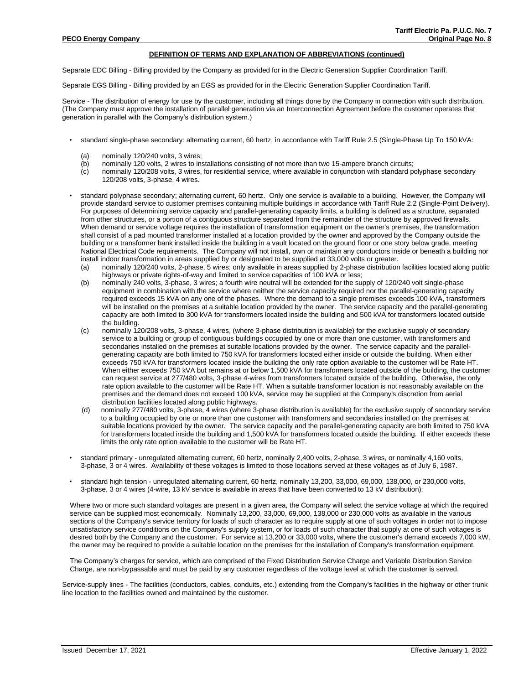### **DEFINITION OF TERMS AND EXPLANATION OF ABBREVIATIONS (continued)**

Separate EDC Billing - Billing provided by the Company as provided for in the Electric Generation Supplier Coordination Tariff.

Separate EGS Billing - Billing provided by an EGS as provided for in the Electric Generation Supplier Coordination Tariff.

Service - The distribution of energy for use by the customer, including all things done by the Company in connection with such distribution. (The Company must approve the installation of parallel generation via an Interconnection Agreement before the customer operates that generation in parallel with the Company's distribution system.)

- standard single-phase secondary: alternating current, 60 hertz, in accordance with Tariff Rule 2.5 (Single-Phase Up To 150 kVA:
	- (a) nominally 120/240 volts, 3 wires;
	- (b) nominally 120 volts, 2 wires to installations consisting of not more than two 15-ampere branch circuits;
	- (c) nominally 120/208 volts, 3 wires, for residential service, where available in conjunction with standard polyphase secondary 120/208 volts, 3-phase, 4 wires.
- standard polyphase secondary; alternating current, 60 hertz. Only one service is available to a building. However, the Company will provide standard service to customer premises containing multiple buildings in accordance with Tariff Rule 2.2 (Single-Point Delivery). For purposes of determining service capacity and parallel-generating capacity limits, a building is defined as a structure, separated from other structures, or a portion of a contiguous structure separated from the remainder of the structure by approved firewalls. When demand or service voltage requires the installation of transformation equipment on the owner's premises, the transformation shall consist of a pad mounted transformer installed at a location provided by the owner and approved by the Company outside the building or a transformer bank installed inside the building in a vault located on the ground floor or one story below grade, meeting National Electrical Code requirements. The Company will not install, own or maintain any conductors inside or beneath a building nor install indoor transformation in areas supplied by or designated to be supplied at 33,000 volts or greater.
	- (a) nominally 120/240 volts, 2-phase, 5 wires; only available in areas supplied by 2-phase distribution facilities located along public highways or private rights-of-way and limited to service capacities of 100 kVA or less;
	- (b) nominally 240 volts, 3-phase, 3 wires; a fourth wire neutral will be extended for the supply of 120/240 volt single-phase equipment in combination with the service where neither the service capacity required nor the parallel-generating capacity required exceeds 15 kVA on any one of the phases. Where the demand to a single premises exceeds 100 kVA, transformers will be installed on the premises at a suitable location provided by the owner. The service capacity and the parallel-generating capacity are both limited to 300 kVA for transformers located inside the building and 500 kVA for transformers located outside the building.
	- (c) nominally 120/208 volts, 3-phase, 4 wires, (where 3-phase distribution is available) for the exclusive supply of secondary service to a building or group of contiguous buildings occupied by one or more than one customer, with transformers and secondaries installed on the premises at suitable locations provided by the owner. The service capacity and the parallelgenerating capacity are both limited to 750 kVA for transformers located either inside or outside the building. When either exceeds 750 kVA for transformers located inside the building the only rate option available to the customer will be Rate HT. When either exceeds 750 kVA but remains at or below 1,500 kVA for transformers located outside of the building, the customer can request service at 277/480 volts, 3-phase 4-wires from transformers located outside of the building. Otherwise, the only rate option available to the customer will be Rate HT. When a suitable transformer location is not reasonably available on the premises and the demand does not exceed 100 kVA, service may be supplied at the Company's discretion from aerial distribution facilities located along public highways.
	- (d) nominally 277/480 volts, 3-phase, 4 wires (where 3-phase distribution is available) for the exclusive supply of secondary service to a building occupied by one or more than one customer with transformers and secondaries installed on the premises at suitable locations provided by the owner. The service capacity and the parallel-generating capacity are both limited to 750 kVA for transformers located inside the building and 1,500 kVA for transformers located outside the building. If either exceeds these limits the only rate option available to the customer will be Rate HT.
- standard primary unregulated alternating current, 60 hertz, nominally 2,400 volts, 2-phase, 3 wires, or nominally 4,160 volts, 3-phase, 3 or 4 wires. Availability of these voltages is limited to those locations served at these voltages as of July 6, 1987.
- standard high tension unregulated alternating current, 60 hertz, nominally 13,200, 33,000, 69,000, 138,000, or 230,000 volts, 3-phase, 3 or 4 wires (4-wire, 13 kV service is available in areas that have been converted to 13 kV distribution):

Where two or more such standard voltages are present in a given area, the Company will select the service voltage at which the required service can be supplied most economically. Nominally 13,200, 33,000, 69,000, 138,000 or 230,000 volts as available in the various sections of the Company's service territory for loads of such character as to require supply at one of such voltages in order not to impose unsatisfactory service conditions on the Company's supply system, or for loads of such character that supply at one of such voltages is desired both by the Company and the customer. For service at 13,200 or 33,000 volts, where the customer's demand exceeds 7,000 kW, the owner may be required to provide a suitable location on the premises for the installation of Company's transformation equipment.

The Company's charges for service, which are comprised of the Fixed Distribution Service Charge and Variable Distribution Service Charge, are non-bypassable and must be paid by any customer regardless of the voltage level at which the customer is served.

Service-supply lines - The facilities (conductors, cables, conduits, etc.) extending from the Company's facilities in the highway or other trunk line location to the facilities owned and maintained by the customer.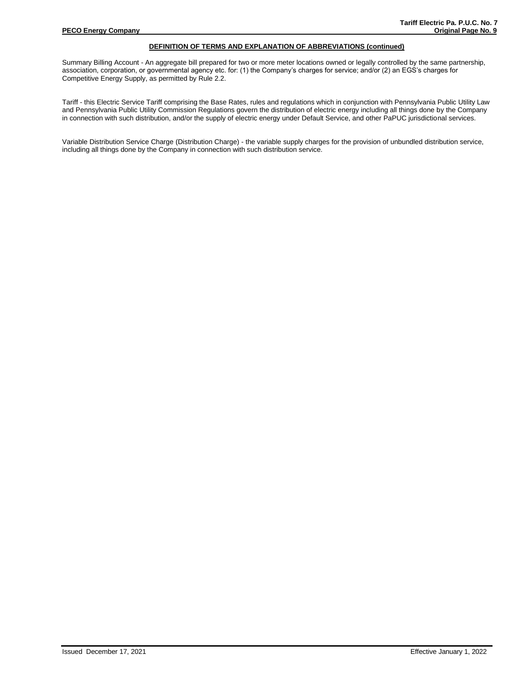### **DEFINITION OF TERMS AND EXPLANATION OF ABBREVIATIONS (continued)**

Summary Billing Account - An aggregate bill prepared for two or more meter locations owned or legally controlled by the same partnership, association, corporation, or governmental agency etc. for: (1) the Company's charges for service; and/or (2) an EGS's charges for Competitive Energy Supply, as permitted by Rule 2.2.

Tariff - this Electric Service Tariff comprising the Base Rates, rules and regulations which in conjunction with Pennsylvania Public Utility Law and Pennsylvania Public Utility Commission Regulations govern the distribution of electric energy including all things done by the Company in connection with such distribution, and/or the supply of electric energy under Default Service, and other PaPUC jurisdictional services.

Variable Distribution Service Charge (Distribution Charge) - the variable supply charges for the provision of unbundled distribution service, including all things done by the Company in connection with such distribution service.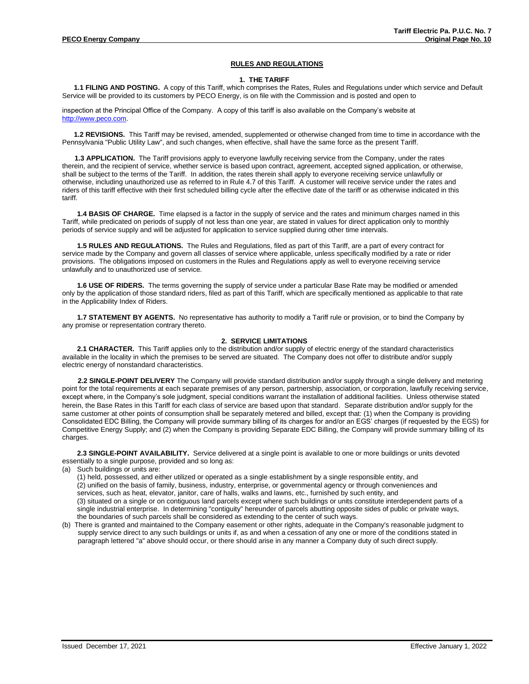### **RULES AND REGULATIONS**

#### **1. THE TARIFF**

**1.1 FILING AND POSTING.** A copy of this Tariff, which comprises the Rates, Rules and Regulations under which service and Default Service will be provided to its customers by PECO Energy, is on file with the Commission and is posted and open to

inspection at the Principal Office of the Company. A copy of this tariff is also available on the Company's website at [http://www.peco.com.](http://www.peco.com/)

**1.2 REVISIONS.** This Tariff may be revised, amended, supplemented or otherwise changed from time to time in accordance with the Pennsylvania "Public Utility Law", and such changes, when effective, shall have the same force as the present Tariff.

**1.3 APPLICATION.** The Tariff provisions apply to everyone lawfully receiving service from the Company, under the rates therein, and the recipient of service, whether service is based upon contract, agreement, accepted signed application, or otherwise, shall be subject to the terms of the Tariff. In addition, the rates therein shall apply to everyone receiving service unlawfully or otherwise, including unauthorized use as referred to in Rule 4.7 of this Tariff. A customer will receive service under the rates and riders of this tariff effective with their first scheduled billing cycle after the effective date of the tariff or as otherwise indicated in this tariff.

**1.4 BASIS OF CHARGE.** Time elapsed is a factor in the supply of service and the rates and minimum charges named in this Tariff, while predicated on periods of supply of not less than one year, are stated in values for direct application only to monthly periods of service supply and will be adjusted for application to service supplied during other time intervals.

**1.5 RULES AND REGULATIONS.** The Rules and Regulations, filed as part of this Tariff, are a part of every contract for service made by the Company and govern all classes of service where applicable, unless specifically modified by a rate or rider provisions. The obligations imposed on customers in the Rules and Regulations apply as well to everyone receiving service unlawfully and to unauthorized use of service.

**1.6 USE OF RIDERS.** The terms governing the supply of service under a particular Base Rate may be modified or amended only by the application of those standard riders, filed as part of this Tariff, which are specifically mentioned as applicable to that rate in the Applicability Index of Riders.

**1.7 STATEMENT BY AGENTS.** No representative has authority to modify a Tariff rule or provision, or to bind the Company by any promise or representation contrary thereto.

# **2. SERVICE LIMITATIONS**

**2.1 CHARACTER.** This Tariff applies only to the distribution and/or supply of electric energy of the standard characteristics available in the locality in which the premises to be served are situated. The Company does not offer to distribute and/or supply electric energy of nonstandard characteristics.

**2.2 SINGLE-POINT DELIVERY** The Company will provide standard distribution and/or supply through a single delivery and metering point for the total requirements at each separate premises of any person, partnership, association, or corporation, lawfully receiving service, except where, in the Company's sole judgment, special conditions warrant the installation of additional facilities. Unless otherwise stated herein, the Base Rates in this Tariff for each class of service are based upon that standard. Separate distribution and/or supply for the same customer at other points of consumption shall be separately metered and billed, except that: (1) when the Company is providing Consolidated EDC Billing, the Company will provide summary billing of its charges for and/or an EGS' charges (if requested by the EGS) for Competitive Energy Supply; and (2) when the Company is providing Separate EDC Billing, the Company will provide summary billing of its charges.

**2.3 SINGLE-POINT AVAILABILITY.** Service delivered at a single point is available to one or more buildings or units devoted essentially to a single purpose, provided and so long as:

(a) Such buildings or units are:

(1) held, possessed, and either utilized or operated as a single establishment by a single responsible entity, and (2) unified on the basis of family, business, industry, enterprise, or governmental agency or through conveniences and services, such as heat, elevator, janitor, care of halls, walks and lawns, etc., furnished by such entity, and (3) situated on a single or on contiguous land parcels except where such buildings or units constitute interdependent parts of a single industrial enterprise. In determining "contiguity" hereunder of parcels abutting opposite sides of public or private ways, the boundaries of such parcels shall be considered as extending to the center of such ways.

(b) There is granted and maintained to the Company easement or other rights, adequate in the Company's reasonable judgment to supply service direct to any such buildings or units if, as and when a cessation of any one or more of the conditions stated in paragraph lettered "a" above should occur, or there should arise in any manner a Company duty of such direct supply.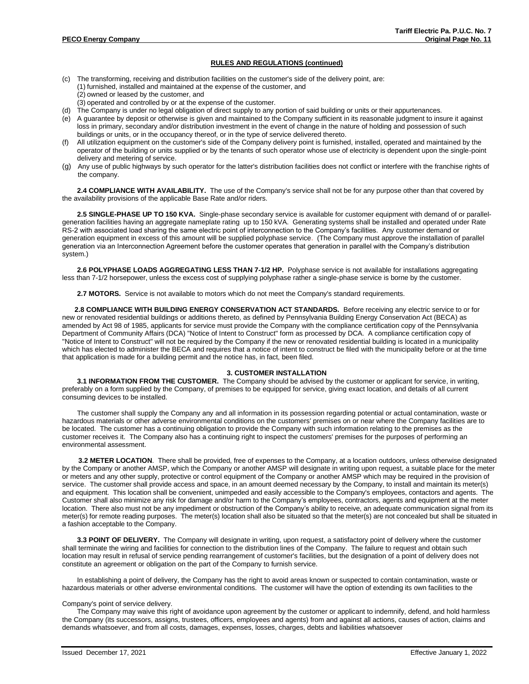- (c) The transforming, receiving and distribution facilities on the customer's side of the delivery point, are: (1) furnished, installed and maintained at the expense of the customer, and (2) owned or leased by the customer, and
	- (3) operated and controlled by or at the expense of the customer.
- (d) The Company is under no legal obligation of direct supply to any portion of said building or units or their appurtenances.
- (e) A guarantee by deposit or otherwise is given and maintained to the Company sufficient in its reasonable judgment to insure it against loss in primary, secondary and/or distribution investment in the event of change in the nature of holding and possession of such buildings or units, or in the occupancy thereof, or in the type of service delivered thereto.
- (f) All utilization equipment on the customer's side of the Company delivery point is furnished, installed, operated and maintained by the operator of the building or units supplied or by the tenants of such operator whose use of electricity is dependent upon the single-point delivery and metering of service.
- (g) Any use of public highways by such operator for the latter's distribution facilities does not conflict or interfere with the franchise rights of the company.

**2.4 COMPLIANCE WITH AVAILABILITY.** The use of the Company's service shall not be for any purpose other than that covered by the availability provisions of the applicable Base Rate and/or riders.

**2.5 SINGLE-PHASE UP TO 150 KVA.** Single-phase secondary service is available for customer equipment with demand of or parallelgeneration facilities having an aggregate nameplate rating up to 150 kVA. Generating systems shall be installed and operated under Rate RS-2 with associated load sharing the same electric point of interconnection to the Company's facilities. Any customer demand or generation equipment in excess of this amount will be supplied polyphase service. (The Company must approve the installation of parallel generation via an Interconnection Agreement before the customer operates that generation in parallel with the Company's distribution system.)

**2.6 POLYPHASE LOADS AGGREGATING LESS THAN 7-1/2 HP.** Polyphase service is not available for installations aggregating less than 7-1/2 horsepower, unless the excess cost of supplying polyphase rather a single-phase service is borne by the customer.

**2.7 MOTORS.** Service is not available to motors which do not meet the Company's standard requirements.

**2.8 COMPLIANCE WITH BUILDING ENERGY CONSERVATION ACT STANDARDS.** Before receiving any electric service to or for new or renovated residential buildings or additions thereto, as defined by Pennsylvania Building Energy Conservation Act (BECA) as amended by Act 98 of 1985, applicants for service must provide the Company with the compliance certification copy of the Pennsylvania Department of Community Affairs (DCA) "Notice of Intent to Construct" form as processed by DCA. A compliance certification copy of "Notice of Intent to Construct" will not be required by the Company if the new or renovated residential building is located in a municipality which has elected to administer the BECA and requires that a notice of intent to construct be filed with the municipality before or at the time that application is made for a building permit and the notice has, in fact, been filed.

#### **3. CUSTOMER INSTALLATION**

**3.1 INFORMATION FROM THE CUSTOMER.** The Company should be advised by the customer or applicant for service, in writing, preferably on a form supplied by the Company, of premises to be equipped for service, giving exact location, and details of all current consuming devices to be installed.

The customer shall supply the Company any and all information in its possession regarding potential or actual contamination, waste or hazardous materials or other adverse environmental conditions on the customers' premises on or near where the Company facilities are to be located. The customer has a continuing obligation to provide the Company with such information relating to the premises as the customer receives it. The Company also has a continuing right to inspect the customers' premises for the purposes of performing an environmental assessment.

**3.2 METER LOCATION**. There shall be provided, free of expenses to the Company, at a location outdoors, unless otherwise designated by the Company or another AMSP, which the Company or another AMSP will designate in writing upon request, a suitable place for the meter or meters and any other supply, protective or control equipment of the Company or another AMSP which may be required in the provision of service. The customer shall provide access and space, in an amount deemed necessary by the Company, to install and maintain its meter(s) and equipment. This location shall be convenient, unimpeded and easily accessible to the Company's employees, contactors and agents. The Customer shall also minimize any risk for damage and/or harm to the Company's employees, contractors, agents and equipment at the meter location. There also must not be any impediment or obstruction of the Company's ability to receive, an adequate communication signal from its meter(s) for remote reading purposes. The meter(s) location shall also be situated so that the meter(s) are not concealed but shall be situated in a fashion acceptable to the Company.

**3.3 POINT OF DELIVERY.** The Company will designate in writing, upon request, a satisfactory point of delivery where the customer shall terminate the wiring and facilities for connection to the distribution lines of the Company. The failure to request and obtain such location may result in refusal of service pending rearrangement of customer's facilities, but the designation of a point of delivery does not constitute an agreement or obligation on the part of the Company to furnish service.

In establishing a point of delivery, the Company has the right to avoid areas known or suspected to contain contamination, waste or hazardous materials or other adverse environmental conditions. The customer will have the option of extending its own facilities to the

#### Company's point of service delivery.

The Company may waive this right of avoidance upon agreement by the customer or applicant to indemnify, defend, and hold harmless the Company (its successors, assigns, trustees, officers, employees and agents) from and against all actions, causes of action, claims and demands whatsoever, and from all costs, damages, expenses, losses, charges, debts and liabilities whatsoever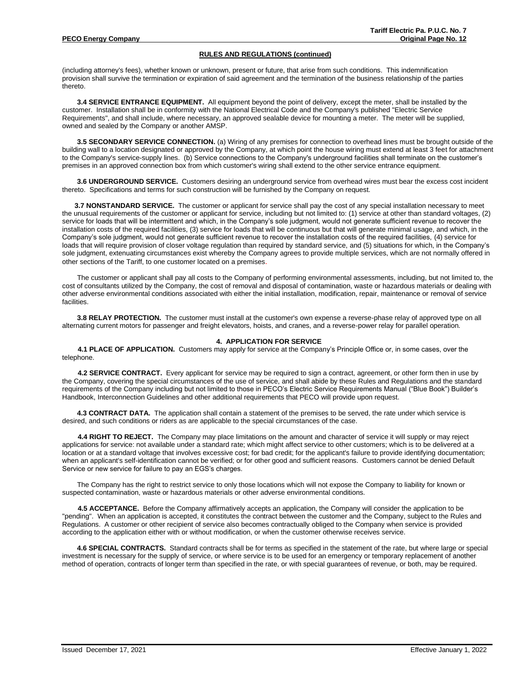(including attorney's fees), whether known or unknown, present or future, that arise from such conditions. This indemnification provision shall survive the termination or expiration of said agreement and the termination of the business relationship of the parties thereto.

**3.4 SERVICE ENTRANCE EQUIPMENT.** All equipment beyond the point of delivery, except the meter, shall be installed by the customer. Installation shall be in conformity with the National Electrical Code and the Company's published "Electric Service Requirements", and shall include, where necessary, an approved sealable device for mounting a meter. The meter will be supplied, owned and sealed by the Company or another AMSP.

**3.5 SECONDARY SERVICE CONNECTION.** (a) Wiring of any premises for connection to overhead lines must be brought outside of the building wall to a location designated or approved by the Company, at which point the house wiring must extend at least 3 feet for attachment to the Company's service-supply lines. (b) Service connections to the Company's underground facilities shall terminate on the customer's premises in an approved connection box from which customer's wiring shall extend to the other service entrance equipment.

**3.6 UNDERGROUND SERVICE.** Customers desiring an underground service from overhead wires must bear the excess cost incident thereto. Specifications and terms for such construction will be furnished by the Company on request.

**3.7 NONSTANDARD SERVICE.** The customer or applicant for service shall pay the cost of any special installation necessary to meet the unusual requirements of the customer or applicant for service, including but not limited to: (1) service at other than standard voltages, (2) service for loads that will be intermittent and which, in the Company's sole judgment, would not generate sufficient revenue to recover the installation costs of the required facilities, (3) service for loads that will be continuous but that will generate minimal usage, and which, in the Company's sole judgment, would not generate sufficient revenue to recover the installation costs of the required facilities, (4) service for loads that will require provision of closer voltage regulation than required by standard service, and (5) situations for which, in the Company's sole judgment, extenuating circumstances exist whereby the Company agrees to provide multiple services, which are not normally offered in other sections of the Tariff, to one customer located on a premises.

The customer or applicant shall pay all costs to the Company of performing environmental assessments, including, but not limited to, the cost of consultants utilized by the Company, the cost of removal and disposal of contamination, waste or hazardous materials or dealing with other adverse environmental conditions associated with either the initial installation, modification, repair, maintenance or removal of service facilities.

**3.8 RELAY PROTECTION.** The customer must install at the customer's own expense a reverse-phase relay of approved type on all alternating current motors for passenger and freight elevators, hoists, and cranes, and a reverse-power relay for parallel operation.

#### **4. APPLICATION FOR SERVICE**

**4.1 PLACE OF APPLICATION.** Customers may apply for service at the Company's Principle Office or, in some cases, over the telephone.

**4.2 SERVICE CONTRACT.** Every applicant for service may be required to sign a contract, agreement, or other form then in use by the Company, covering the special circumstances of the use of service, and shall abide by these Rules and Regulations and the standard requirements of the Company including but not limited to those in PECO's Electric Service Requirements Manual ("Blue Book") Builder's Handbook, Interconnection Guidelines and other additional requirements that PECO will provide upon request.

**4.3 CONTRACT DATA.** The application shall contain a statement of the premises to be served, the rate under which service is desired, and such conditions or riders as are applicable to the special circumstances of the case.

**4.4 RIGHT TO REJECT.** The Company may place limitations on the amount and character of service it will supply or may reject applications for service: not available under a standard rate; which might affect service to other customers; which is to be delivered at a location or at a standard voltage that involves excessive cost; for bad credit; for the applicant's failure to provide identifying documentation; when an applicant's self-identification cannot be verified; or for other good and sufficient reasons. Customers cannot be denied Default Service or new service for failure to pay an EGS's charges.

The Company has the right to restrict service to only those locations which will not expose the Company to liability for known or suspected contamination, waste or hazardous materials or other adverse environmental conditions.

**4.5 ACCEPTANCE.** Before the Company affirmatively accepts an application, the Company will consider the application to be "pending". When an application is accepted, it constitutes the contract between the customer and the Company, subject to the Rules and Regulations. A customer or other recipient of service also becomes contractually obliged to the Company when service is provided according to the application either with or without modification, or when the customer otherwise receives service.

**4.6 SPECIAL CONTRACTS.** Standard contracts shall be for terms as specified in the statement of the rate, but where large or special investment is necessary for the supply of service, or where service is to be used for an emergency or temporary replacement of another method of operation, contracts of longer term than specified in the rate, or with special guarantees of revenue, or both, may be required.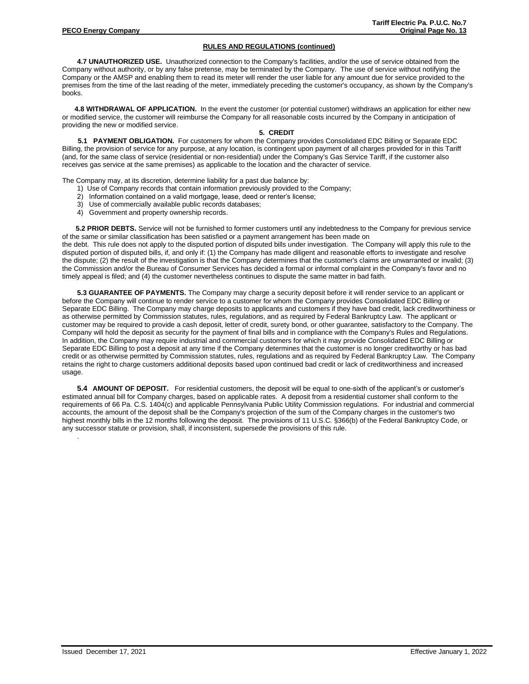**4.7 UNAUTHORIZED USE.** Unauthorized connection to the Company's facilities, and/or the use of service obtained from the Company without authority, or by any false pretense, may be terminated by the Company. The use of service without notifying the Company or the AMSP and enabling them to read its meter will render the user liable for any amount due for service provided to the premises from the time of the last reading of the meter, immediately preceding the customer's occupancy, as shown by the Company's books.

**4.8 WITHDRAWAL OF APPLICATION.** In the event the customer (or potential customer) withdraws an application for either new or modified service, the customer will reimburse the Company for all reasonable costs incurred by the Company in anticipation of providing the new or modified service.

# **5. CREDIT**

**5.1 PAYMENT OBLIGATION.** For customers for whom the Company provides Consolidated EDC Billing or Separate EDC Billing, the provision of service for any purpose, at any location, is contingent upon payment of all charges provided for in this Tariff (and, for the same class of service (residential or non-residential) under the Company's Gas Service Tariff, if the customer also receives gas service at the same premises) as applicable to the location and the character of service.

The Company may, at its discretion, determine liability for a past due balance by:

- 1) Use of Company records that contain information previously provided to the Company;
- 2) Information contained on a valid mortgage, lease, deed or renter's license;
- 3) Use of commercially available public records databases;
- 4) Government and property ownership records.

 **5.2 PRIOR DEBTS.** Service will not be furnished to former customers until any indebtedness to the Company for previous service of the same or similar classification has been satisfied or a payment arrangement has been made on the debt. This rule does not apply to the disputed portion of disputed bills under investigation. The Company will apply this rule to the disputed portion of disputed bills, if, and only if: (1) the Company has made diligent and reasonable efforts to investigate and resolve the dispute; (2) the result of the investigation is that the Company determines that the customer's claims are unwarranted or invalid; (3) the Commission and/or the Bureau of Consumer Services has decided a formal or informal complaint in the Company's favor and no timely appeal is filed; and (4) the customer nevertheless continues to dispute the same matter in bad faith.

**5.3 GUARANTEE OF PAYMENTS.** The Company may charge a security deposit before it will render service to an applicant or before the Company will continue to render service to a customer for whom the Company provides Consolidated EDC Billing or Separate EDC Billing. The Company may charge deposits to applicants and customers if they have bad credit, lack creditworthiness or as otherwise permitted by Commission statutes, rules, regulations, and as required by Federal Bankruptcy Law. The applicant or customer may be required to provide a cash deposit, letter of credit, surety bond, or other guarantee, satisfactory to the Company. The Company will hold the deposit as security for the payment of final bills and in compliance with the Company's Rules and Regulations. In addition, the Company may require industrial and commercial customers for which it may provide Consolidated EDC Billing or Separate EDC Billing to post a deposit at any time if the Company determines that the customer is no longer creditworthy or has bad credit or as otherwise permitted by Commission statutes, rules, regulations and as required by Federal Bankruptcy Law. The Company retains the right to charge customers additional deposits based upon continued bad credit or lack of creditworthiness and increased usage.

**5.4 AMOUNT OF DEPOSIT.** For residential customers, the deposit will be equal to one-sixth of the applicant's or customer's estimated annual bill for Company charges, based on applicable rates. A deposit from a residential customer shall conform to the requirements of 66 Pa. C.S. 1404(c) and applicable Pennsylvania Public Utility Commission regulations. For industrial and commercial accounts, the amount of the deposit shall be the Company's projection of the sum of the Company charges in the customer's two highest monthly bills in the 12 months following the deposit. The provisions of 11 U.S.C. §366(b) of the Federal Bankruptcy Code, or any successor statute or provision, shall, if inconsistent, supersede the provisions of this rule.

Issued December 17, 2021 Effective January 1, 2022

.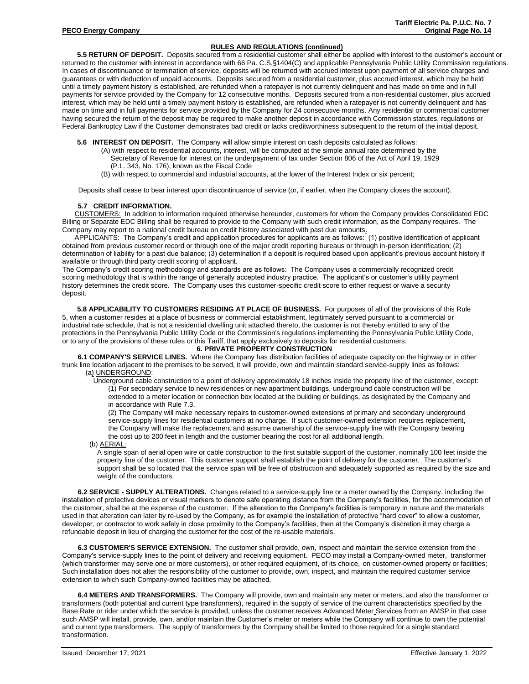**5.5 RETURN OF DEPOSIT.** Deposits secured from a residential customer shall either be applied with interest to the customer's account or returned to the customer with interest in accordance with 66 Pa. C.S.§1404(C) and applicable Pennsylvania Public Utility Commission regulations. In cases of discontinuance or termination of service, deposits will be returned with accrued interest upon payment of all service charges and guarantees or with deduction of unpaid accounts. Deposits secured from a residential customer, plus accrued interest, which may be held until a timely payment history is established, are refunded when a ratepayer is not currently delinquent and has made on time and in full payments for service provided by the Company for 12 consecutive months. Deposits secured from a non-residential customer, plus accrued interest, which may be held until a timely payment history is established, are refunded when a ratepayer is not currently delinquent and has made on time and in full payments for service provided by the Company for 24 consecutive months. Any residential or commercial customer having secured the return of the deposit may be required to make another deposit in accordance with Commission statutes, regulations or Federal Bankruptcy Law if the Customer demonstrates bad credit or lacks creditworthiness subsequent to the return of the initial deposit.

- **5.6 INTEREST ON DEPOSIT.** The Company will allow simple interest on cash deposits calculated as follows:
	- (A) with respect to residential accounts, interest, will be computed at the simple annual rate determined by the Secretary of Revenue for interest on the underpayment of tax under Section 806 of the Act of April 19, 1929
		- (P.L. 343, No. 176), known as the Fiscal Code
	- (B) with respect to commercial and industrial accounts, at the lower of the Interest Index or six percent;

Deposits shall cease to bear interest upon discontinuance of service (or, if earlier, when the Company closes the account).

#### **5.7 CREDIT INFORMATION.**

CUSTOMERS: In addition to information required otherwise hereunder, customers for whom the Company provides Consolidated EDC Billing or Separate EDC Billing shall be required to provide to the Company with such credit information, as the Company requires. The Company may report to a national credit bureau on credit history associated with past due amounts.

APPLICANTS: The Company's credit and application procedures for applicants are as follows: (1) positive identification of applicant obtained from previous customer record or through one of the major credit reporting bureaus or through in-person identification; (2) determination of liability for a past due balance; (3) determination if a deposit is required based upon applicant's previous account history if available or through third party credit scoring of applicant.

The Company's credit scoring methodology and standards are as follows: The Company uses a commercially recognized credit scoring methodology that is within the range of generally accepted industry practice. The applicant's or customer's utility payment history determines the credit score. The Company uses this customer-specific credit score to either request or waive a security deposit.

**5.8 APPLICABILITY TO CUSTOMERS RESIDING AT PLACE OF BUSINESS.** For purposes of all of the provisions of this Rule 5, when a customer resides at a place of business or commercial establishment, legitimately served pursuant to a commercial or industrial rate schedule, that is not a residential dwelling unit attached thereto, the customer is not thereby entitled to any of the protections in the Pennsylvania Public Utility Code or the Commission's regulations implementing the Pennsylvania Public Utility Code, or to any of the provisions of these rules or this Tariff, that apply exclusively to deposits for residential customers.

## **6. PRIVATE PROPERTY CONSTRUCTION**

**6.1 COMPANY'S SERVICE LINES.** Where the Company has distribution facilities of adequate capacity on the highway or in other trunk line location adjacent to the premises to be served, it will provide, own and maintain standard service-supply lines as follows: (a) UNDERGROUND:

Underground cable construction to a point of delivery approximately 18 inches inside the property line of the customer, except: (1) For secondary service to new residences or new apartment buildings, underground cable construction will be extended to a meter location or connection box located at the building or buildings, as designated by the Company and in accordance with Rule 7.3.

(2) The Company will make necessary repairs to customer-owned extensions of primary and secondary underground service-supply lines for residential customers at no charge. If such customer-owned extension requires replacement, the Company will make the replacement and assume ownership of the service-supply line with the Company bearing the cost up to 200 feet in length and the customer bearing the cost for all additional length.

(b) AERIAL:

A single span of aerial open wire or cable construction to the first suitable support of the customer, nominally 100 feet inside the property line of the customer. This customer support shall establish the point of delivery for the customer. The customer's support shall be so located that the service span will be free of obstruction and adequately supported as required by the size and weight of the conductors.

**6.2 SERVICE - SUPPLY ALTERATIONS.** Changes related to a service-supply line or a meter owned by the Company, including the installation of protective devices or visual markers to denote safe operating distance from the Company's facilities, for the accommodation of the customer, shall be at the expense of the customer. If the alteration to the Company's facilities is temporary in nature and the materials used in that alteration can later by re-used by the Company, as for example the installation of protective "hard cover" to allow a customer, developer, or contractor to work safely in close proximity to the Company's facilities, then at the Company's discretion it may charge a refundable deposit in lieu of charging the customer for the cost of the re-usable materials.

**6.3 CUSTOMER'S SERVICE EXTENSION.** The customer shall provide, own, inspect and maintain the service extension from the Company's service-supply lines to the point of delivery and receiving equipment. PECO may install a Company-owned meter, transformer (which transformer may serve one or more customers), or other required equipment, of its choice, on customer-owned property or facilities; Such installation does not alter the responsibility of the customer to provide, own, inspect, and maintain the required customer service extension to which such Company-owned facilities may be attached.

**6.4 METERS AND TRANSFORMERS.** The Company will provide, own and maintain any meter or meters, and also the transformer or transformers (both potential and current type transformers), required in the supply of service of the current characteristics specified by the Base Rate or rider under which the service is provided, unless the customer receives Advanced Meter Services from an AMSP in that case such AMSP will install, provide, own, and/or maintain the Customer's meter or meters while the Company will continue to own the potential and current type transformers. The supply of transformers by the Company shall be limited to those required for a single standard transformation.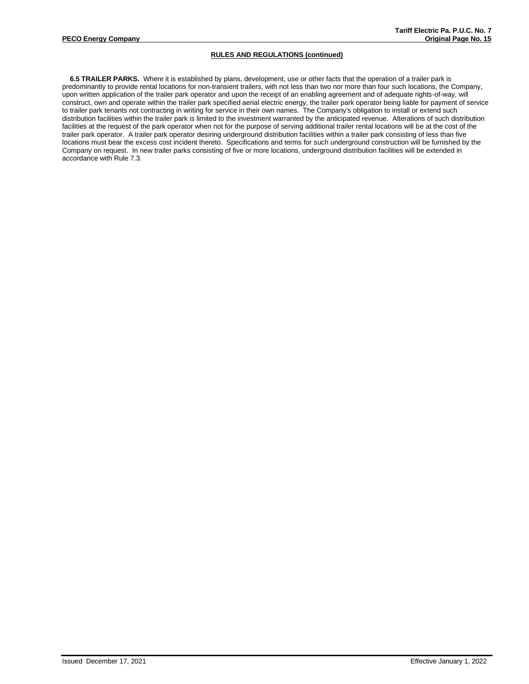**6.5 TRAILER PARKS.** Where it is established by plans, development, use or other facts that the operation of a trailer park is predominantly to provide rental locations for non-transient trailers, with not less than two nor more than four such locations, the Company, upon written application of the trailer park operator and upon the receipt of an enabling agreement and of adequate rights-of-way, will construct, own and operate within the trailer park specified aerial electric energy, the trailer park operator being liable for payment of service to trailer park tenants not contracting in writing for service in their own names. The Company's obligation to install or extend such distribution facilities within the trailer park is limited to the investment warranted by the anticipated revenue. Alterations of such distribution facilities at the request of the park operator when not for the purpose of serving additional trailer rental locations will be at the cost of the trailer park operator. A trailer park operator desiring underground distribution facilities within a trailer park consisting of less than five locations must bear the excess cost incident thereto. Specifications and terms for such underground construction will be furnished by the Company on request. In new trailer parks consisting of five or more locations, underground distribution facilities will be extended in accordance with Rule 7.3.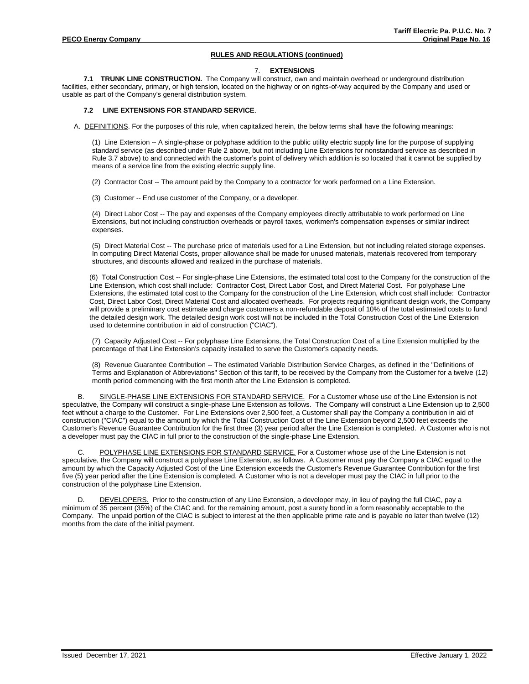### 7. **EXTENSIONS**

**7.1 TRUNK LINE CONSTRUCTION.** The Company will construct, own and maintain overhead or underground distribution facilities, either secondary, primary, or high tension, located on the highway or on rights-of-way acquired by the Company and used or usable as part of the Company's general distribution system.

### **7.2 LINE EXTENSIONS FOR STANDARD SERVICE**.

A. DEFINITIONS. For the purposes of this rule, when capitalized herein, the below terms shall have the following meanings:

(1) Line Extension -- A single-phase or polyphase addition to the public utility electric supply line for the purpose of supplying standard service (as described under Rule 2 above, but not including Line Extensions for nonstandard service as described in Rule 3.7 above) to and connected with the customer's point of delivery which addition is so located that it cannot be supplied by means of a service line from the existing electric supply line.

(2) Contractor Cost -- The amount paid by the Company to a contractor for work performed on a Line Extension.

(3) Customer -- End use customer of the Company, or a developer.

(4) Direct Labor Cost -- The pay and expenses of the Company employees directly attributable to work performed on Line Extensions, but not including construction overheads or payroll taxes, workmen's compensation expenses or similar indirect expenses.

(5) Direct Material Cost -- The purchase price of materials used for a Line Extension, but not including related storage expenses. In computing Direct Material Costs, proper allowance shall be made for unused materials, materials recovered from temporary structures, and discounts allowed and realized in the purchase of materials.

(6) Total Construction Cost -- For single-phase Line Extensions, the estimated total cost to the Company for the construction of the Line Extension, which cost shall include: Contractor Cost, Direct Labor Cost, and Direct Material Cost. For polyphase Line Extensions, the estimated total cost to the Company for the construction of the Line Extension, which cost shall include: Contractor Cost, Direct Labor Cost, Direct Material Cost and allocated overheads. For projects requiring significant design work, the Company will provide a preliminary cost estimate and charge customers a non-refundable deposit of 10% of the total estimated costs to fund the detailed design work. The detailed design work cost will not be included in the Total Construction Cost of the Line Extension used to determine contribution in aid of construction ("CIAC").

(7) Capacity Adjusted Cost -- For polyphase Line Extensions, the Total Construction Cost of a Line Extension multiplied by the percentage of that Line Extension's capacity installed to serve the Customer's capacity needs.

(8) Revenue Guarantee Contribution -- The estimated Variable Distribution Service Charges, as defined in the "Definitions of Terms and Explanation of Abbreviations" Section of this tariff, to be received by the Company from the Customer for a twelve (12) month period commencing with the first month after the Line Extension is completed.

B. SINGLE-PHASE LINE EXTENSIONS FOR STANDARD SERVICE. For a Customer whose use of the Line Extension is not speculative, the Company will construct a single-phase Line Extension as follows. The Company will construct a Line Extension up to 2,500 feet without a charge to the Customer. For Line Extensions over 2,500 feet, a Customer shall pay the Company a contribution in aid of construction ("CIAC") equal to the amount by which the Total Construction Cost of the Line Extension beyond 2,500 feet exceeds the Customer's Revenue Guarantee Contribution for the first three (3) year period after the Line Extension is completed. A Customer who is not a developer must pay the CIAC in full prior to the construction of the single-phase Line Extension.

POLYPHASE LINE EXTENSIONS FOR STANDARD SERVICE. For a Customer whose use of the Line Extension is not speculative, the Company will construct a polyphase Line Extension, as follows. A Customer must pay the Company a CIAC equal to the amount by which the Capacity Adjusted Cost of the Line Extension exceeds the Customer's Revenue Guarantee Contribution for the first five (5) year period after the Line Extension is completed. A Customer who is not a developer must pay the CIAC in full prior to the construction of the polyphase Line Extension.

D. DEVELOPERS. Prior to the construction of any Line Extension, a developer may, in lieu of paying the full CIAC, pay a minimum of 35 percent (35%) of the CIAC and, for the remaining amount, post a surety bond in a form reasonably acceptable to the Company. The unpaid portion of the CIAC is subject to interest at the then applicable prime rate and is payable no later than twelve (12) months from the date of the initial payment.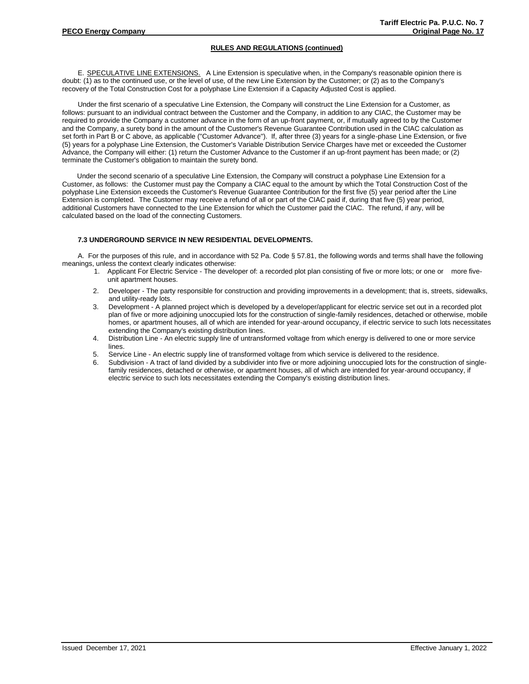E. SPECULATIVE LINE EXTENSIONS. A Line Extension is speculative when, in the Company's reasonable opinion there is doubt: (1) as to the continued use, or the level of use, of the new Line Extension by the Customer; or (2) as to the Company's recovery of the Total Construction Cost for a polyphase Line Extension if a Capacity Adjusted Cost is applied.

Under the first scenario of a speculative Line Extension, the Company will construct the Line Extension for a Customer, as follows: pursuant to an individual contract between the Customer and the Company, in addition to any CIAC, the Customer may be required to provide the Company a customer advance in the form of an up-front payment, or, if mutually agreed to by the Customer and the Company, a surety bond in the amount of the Customer's Revenue Guarantee Contribution used in the CIAC calculation as set forth in Part B or C above, as applicable ("Customer Advance"). If, after three (3) years for a single-phase Line Extension, or five (5) years for a polyphase Line Extension, the Customer's Variable Distribution Service Charges have met or exceeded the Customer Advance, the Company will either: (1) return the Customer Advance to the Customer if an up-front payment has been made; or (2) terminate the Customer's obligation to maintain the surety bond.

Under the second scenario of a speculative Line Extension, the Company will construct a polyphase Line Extension for a Customer, as follows: the Customer must pay the Company a CIAC equal to the amount by which the Total Construction Cost of the polyphase Line Extension exceeds the Customer's Revenue Guarantee Contribution for the first five (5) year period after the Line Extension is completed. The Customer may receive a refund of all or part of the CIAC paid if, during that five (5) year period, additional Customers have connected to the Line Extension for which the Customer paid the CIAC. The refund, if any, will be calculated based on the load of the connecting Customers.

### **7.3 UNDERGROUND SERVICE IN NEW RESIDENTIAL DEVELOPMENTS.**

A. For the purposes of this rule, and in accordance with 52 Pa. Code § 57.81, the following words and terms shall have the following meanings, unless the context clearly indicates otherwise:

- 1. Applicant For Electric Service The developer of: a recorded plot plan consisting of five or more lots; or one or more fiveunit apartment houses.
- 2. Developer The party responsible for construction and providing improvements in a development; that is, streets, sidewalks, and utility-ready lots.
- 3. Development A planned project which is developed by a developer/applicant for electric service set out in a recorded plot plan of five or more adjoining unoccupied lots for the construction of single-family residences, detached or otherwise, mobile homes, or apartment houses, all of which are intended for year-around occupancy, if electric service to such lots necessitates extending the Company's existing distribution lines.
- 4. Distribution Line An electric supply line of untransformed voltage from which energy is delivered to one or more service lines.
- 5. Service Line An electric supply line of transformed voltage from which service is delivered to the residence.
- Subdivision A tract of land divided by a subdivider into five or more adjoining unoccupied lots for the construction of singlefamily residences, detached or otherwise, or apartment houses, all of which are intended for year-around occupancy, if electric service to such lots necessitates extending the Company's existing distribution lines.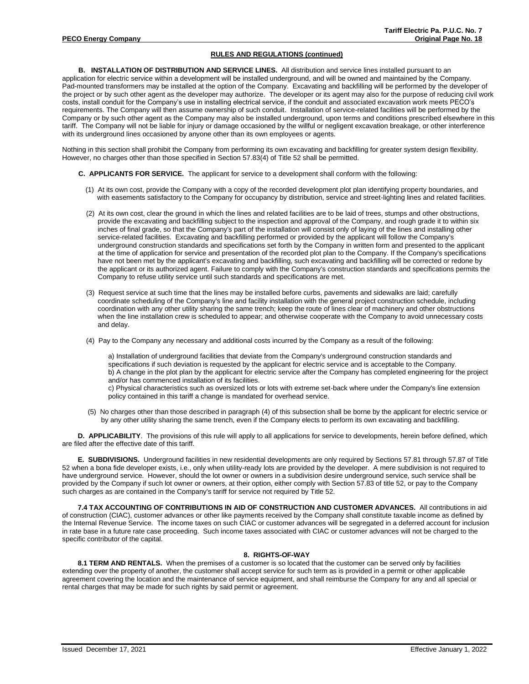**B. INSTALLATION OF DISTRIBUTION AND SERVICE LINES.** All distribution and service lines installed pursuant to an application for electric service within a development will be installed underground, and will be owned and maintained by the Company. Pad-mounted transformers may be installed at the option of the Company. Excavating and backfilling will be performed by the developer of the project or by such other agent as the developer may authorize. The developer or its agent may also for the purpose of reducing civil work costs, install conduit for the Company's use in installing electrical service, if the conduit and associated excavation work meets PECO's requirements. The Company will then assume ownership of such conduit. Installation of service-related facilities will be performed by the Company or by such other agent as the Company may also be installed underground, upon terms and conditions prescribed elsewhere in this tariff. The Company will not be liable for injury or damage occasioned by the willful or negligent excavation breakage, or other interference with its underground lines occasioned by anyone other than its own employees or agents.

Nothing in this section shall prohibit the Company from performing its own excavating and backfilling for greater system design flexibility. However, no charges other than those specified in Section 57.83(4) of Title 52 shall be permitted.

- **C. APPLICANTS FOR SERVICE.** The applicant for service to a development shall conform with the following:
	- (1) At its own cost, provide the Company with a copy of the recorded development plot plan identifying property boundaries, and with easements satisfactory to the Company for occupancy by distribution, service and street-lighting lines and related facilities.
	- (2) At its own cost, clear the ground in which the lines and related facilities are to be laid of trees, stumps and other obstructions, provide the excavating and backfilling subject to the inspection and approval of the Company, and rough grade it to within six inches of final grade, so that the Company's part of the installation will consist only of laying of the lines and installing other service-related facilities. Excavating and backfilling performed or provided by the applicant will follow the Company's underground construction standards and specifications set forth by the Company in written form and presented to the applicant at the time of application for service and presentation of the recorded plot plan to the Company. If the Company's specifications have not been met by the applicant's excavating and backfilling, such excavating and backfilling will be corrected or redone by the applicant or its authorized agent. Failure to comply with the Company's construction standards and specifications permits the Company to refuse utility service until such standards and specifications are met.
	- (3) Request service at such time that the lines may be installed before curbs, pavements and sidewalks are laid; carefully coordinate scheduling of the Company's line and facility installation with the general project construction schedule, including coordination with any other utility sharing the same trench; keep the route of lines clear of machinery and other obstructions when the line installation crew is scheduled to appear; and otherwise cooperate with the Company to avoid unnecessary costs and delay.
	- (4) Pay to the Company any necessary and additional costs incurred by the Company as a result of the following:

a) Installation of underground facilities that deviate from the Company's underground construction standards and specifications if such deviation is requested by the applicant for electric service and is acceptable to the Company. b) A change in the plot plan by the applicant for electric service after the Company has completed engineering for the project and/or has commenced installation of its facilities. c) Physical characteristics such as oversized lots or lots with extreme set-back where under the Company's line extension

- policy contained in this tariff a change is mandated for overhead service.
- (5) No charges other than those described in paragraph (4) of this subsection shall be borne by the applicant for electric service or by any other utility sharing the same trench, even if the Company elects to perform its own excavating and backfilling.

**D. APPLICABILITY**. The provisions of this rule will apply to all applications for service to developments, herein before defined, which are filed after the effective date of this tariff.

**E. SUBDIVISIONS.** Underground facilities in new residential developments are only required by Sections 57.81 through 57.87 of Title 52 when a bona fide developer exists, i.e., only when utility-ready lots are provided by the developer. A mere subdivision is not required to have underground service. However, should the lot owner or owners in a subdivision desire underground service, such service shall be provided by the Company if such lot owner or owners, at their option, either comply with Section 57.83 of title 52, or pay to the Company such charges as are contained in the Company's tariff for service not required by Title 52.

**7.4 TAX ACCOUNTING OF CONTRIBUTIONS IN AID OF CONSTRUCTION AND CUSTOMER ADVANCES.** All contributions in aid of construction (CIAC), customer advances or other like payments received by the Company shall constitute taxable income as defined by the Internal Revenue Service. The income taxes on such CIAC or customer advances will be segregated in a deferred account for inclusion in rate base in a future rate case proceeding. Such income taxes associated with CIAC or customer advances will not be charged to the specific contributor of the capital.

### **8. RIGHTS-OF-WAY**

8.1 TERM AND RENTALS. When the premises of a customer is so located that the customer can be served only by facilities extending over the property of another, the customer shall accept service for such term as is provided in a permit or other applicable agreement covering the location and the maintenance of service equipment, and shall reimburse the Company for any and all special or rental charges that may be made for such rights by said permit or agreement.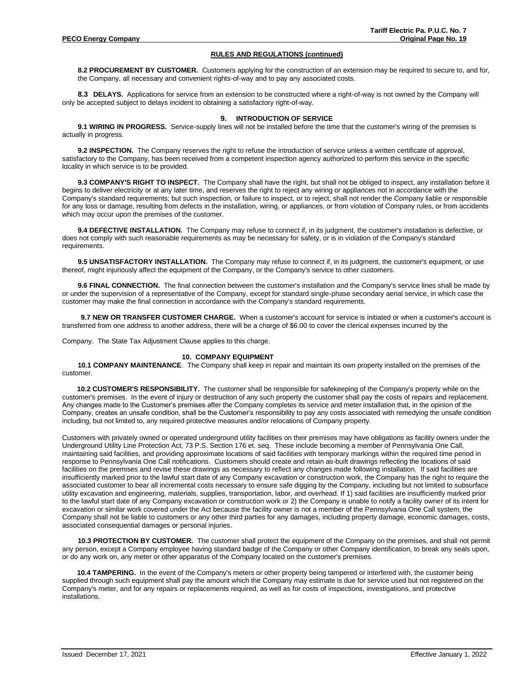**8.2 PROCUREMENT BY CUSTOMER.** Customers applying for the construction of an extension may be required to secure to, and for, the Company, all necessary and convenient rights-of-way and to pay any associated costs.

**8.3 DELAYS.** Applications for service from an extension to be constructed where a right-of-way is not owned by the Company will only be accepted subject to delays incident to obtaining a satisfactory right-of-way.

### **9. INTRODUCTION OF SERVICE**

**9.1 WIRING IN PROGRESS.** Service-supply lines will not be installed before the time that the customer's wiring of the premises is actually in progress.

**9.2 INSPECTION.** The Company reserves the right to refuse the introduction of service unless a written certificate of approval, satisfactory to the Company, has been received from a competent inspection agency authorized to perform this service in the specific locality in which service is to be provided.

**9.3 COMPANY'S RIGHT TO INSPECT.** The Company shall have the right, but shall not be obliged to inspect, any installation before it begins to deliver electricity or at any later time, and reserves the right to reject any wiring or appliances not in accordance with the Company's standard requirements; but such inspection, or failure to inspect, or to reject, shall not render the Company liable or responsible for any loss or damage, resulting from defects in the installation, wiring, or appliances, or from violation of Company rules, or from accidents which may occur upon the premises of the customer.

**9.4 DEFECTIVE INSTALLATION.** The Company may refuse to connect if, in its judgment, the customer's installation is defective, or does not comply with such reasonable requirements as may be necessary for safety, or is in violation of the Company's standard requirements.

**9.5 UNSATISFACTORY INSTALLATION.** The Company may refuse to connect if, in its judgment, the customer's equipment, or use thereof, might injuriously affect the equipment of the Company, or the Company's service to other customers.

**9.6 FINAL CONNECTION.** The final connection between the customer's installation and the Company's service lines shall be made by or under the supervision of a representative of the Company, except for standard single-phase secondary aerial service, in which case the customer may make the final connection in accordance with the Company's standard requirements.

**9.7 NEW OR TRANSFER CUSTOMER CHARGE.** When a customer's account for service is initiated or when a customer's account is transferred from one address to another address, there will be a charge of \$6.00 to cover the clerical expenses incurred by the

Company. The State Tax Adjustment Clause applies to this charge.

#### **10. COMPANY EQUIPMENT**

**10.1 COMPANY MAINTENANCE**. The Company shall keep in repair and maintain its own property installed on the premises of the customer.

**10.2 CUSTOMER'S RESPONSIBILITY.** The customer shall be responsible for safekeeping of the Company's property while on the customer's premises. In the event of injury or destruction of any such property the customer shall pay the costs of repairs and replacement. Any changes made to the Customer's premises after the Company completes its service and meter installation that, in the opinion of the Company, creates an unsafe condition, shall be the Customer's responsibility to pay any costs associated with remedying the unsafe condition including, but not limited to, any required protective measures and/or relocations of Company property.

Customers with privately owned or operated underground utility facilities on their premises may have obligations as facility owners under the Underground Utility Line Protection Act, 73 P.S. Section 176 et. seq. These include becoming a member of Pennsylvania One Call, maintaining said facilities, and providing approximate locations of said facilities with temporary markings within the required time period in response to Pennsylvania One Call notifications. Customers should create and retain as-built drawings reflecting the locations of said facilities on the premises and revise these drawings as necessary to reflect any changes made following installation. If said facilities are insufficiently marked prior to the lawful start date of any Company excavation or construction work, the Company has the right to require the associated customer to bear all incremental costs necessary to ensure safe digging by the Company, including but not limited to subsurface utility excavation and engineering, materials, supplies, transportation, labor, and overhead. If 1) said facilities are insufficiently marked prior to the lawful start date of any Company excavation or construction work or 2) the Company is unable to notify a facility owner of its intent for excavation or similar work covered under the Act because the facility owner is not a member of the Pennsylvania One Call system, the Company shall not be liable to customers or any other third parties for any damages, including property damage, economic damages, costs, associated consequential damages or personal injuries.

**10.3 PROTECTION BY CUSTOMER.** The customer shall protect the equipment of the Company on the premises, and shall not permit any person, except a Company employee having standard badge of the Company or other Company identification, to break any seals upon, or do any work on, any meter or other apparatus of the Company located on the customer's premises.

**10.4 TAMPERING.** In the event of the Company's meters or other property being tampered or interfered with, the customer being supplied through such equipment shall pay the amount which the Company may estimate is due for service used but not registered on the Company's meter, and for any repairs or replacements required, as well as for costs of inspections, investigations, and protective installations.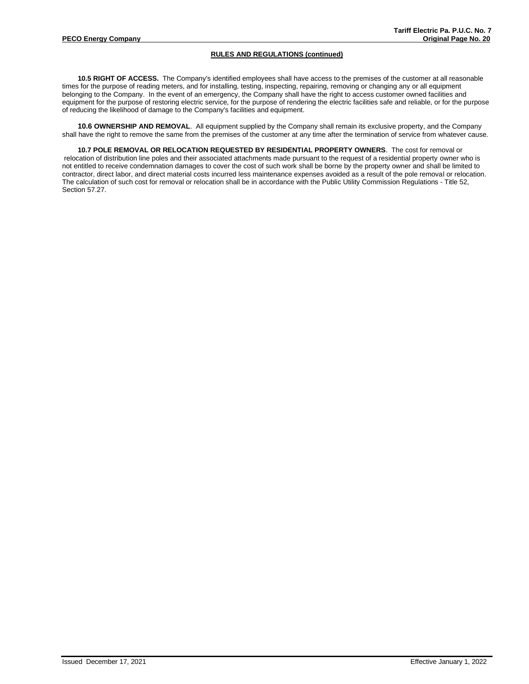**10.5 RIGHT OF ACCESS.** The Company's identified employees shall have access to the premises of the customer at all reasonable times for the purpose of reading meters, and for installing, testing, inspecting, repairing, removing or changing any or all equipment belonging to the Company. In the event of an emergency, the Company shall have the right to access customer owned facilities and equipment for the purpose of restoring electric service, for the purpose of rendering the electric facilities safe and reliable, or for the purpose of reducing the likelihood of damage to the Company's facilities and equipment.

**10.6 OWNERSHIP AND REMOVAL**. All equipment supplied by the Company shall remain its exclusive property, and the Company shall have the right to remove the same from the premises of the customer at any time after the termination of service from whatever cause.

**10.7 POLE REMOVAL OR RELOCATION REQUESTED BY RESIDENTIAL PROPERTY OWNERS**. The cost for removal or relocation of distribution line poles and their associated attachments made pursuant to the request of a residential property owner who is not entitled to receive condemnation damages to cover the cost of such work shall be borne by the property owner and shall be limited to contractor, direct labor, and direct material costs incurred less maintenance expenses avoided as a result of the pole removal or relocation. The calculation of such cost for removal or relocation shall be in accordance with the Public Utility Commission Regulations - Title 52, Section 57.27.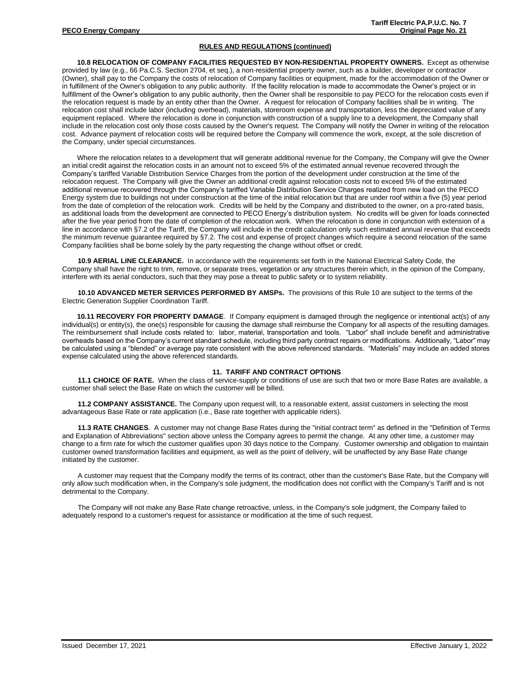**10.8 RELOCATION OF COMPANY FACILITIES REQUESTED BY NON-RESIDENTIAL PROPERTY OWNERS.** Except as otherwise provided by law (e.g., 66 Pa.C.S. Section 2704, et seq.), a non-residential property owner, such as a builder, developer or contractor (Owner), shall pay to the Company the costs of relocation of Company facilities or equipment, made for the accommodation of the Owner or in fulfillment of the Owner's obligation to any public authority. If the facility relocation is made to accommodate the Owner's project or in fulfillment of the Owner's obligation to any public authority, then the Owner shall be responsible to pay PECO for the relocation costs even if the relocation request is made by an entity other than the Owner. A request for relocation of Company facilities shall be in writing. The relocation cost shall include labor (including overhead), materials, storeroom expense and transportation, less the depreciated value of any equipment replaced. Where the relocation is done in conjunction with construction of a supply line to a development, the Company shall include in the relocation cost only those costs caused by the Owner's request. The Company will notify the Owner in writing of the relocation cost. Advance payment of relocation costs will be required before the Company will commence the work, except, at the sole discretion of the Company, under special circumstances.

Where the relocation relates to a development that will generate additional revenue for the Company, the Company will give the Owner an initial credit against the relocation costs in an amount not to exceed 5% of the estimated annual revenue recovered through the Company's tariffed Variable Distribution Service Charges from the portion of the development under construction at the time of the relocation request. The Company will give the Owner an additional credit against relocation costs not to exceed 5% of the estimated additional revenue recovered through the Company's tariffed Variable Distribution Service Charges realized from new load on the PECO Energy system due to buildings not under construction at the time of the initial relocation but that are under roof within a five (5) year period from the date of completion of the relocation work. Credits will be held by the Company and distributed to the owner, on a pro-rated basis, as additional loads from the development are connected to PECO Energy's distribution system. No credits will be given for loads connected after the five year period from the date of completion of the relocation work. When the relocation is done in conjunction with extension of a line in accordance with §7.2 of the Tariff, the Company will include in the credit calculation only such estimated annual revenue that exceeds the minimum revenue guarantee required by §7.2. The cost and expense of project changes which require a second relocation of the same Company facilities shall be borne solely by the party requesting the change without offset or credit.

**10.9 AERIAL LINE CLEARANCE.** In accordance with the requirements set forth in the National Electrical Safety Code, the Company shall have the right to trim, remove, or separate trees, vegetation or any structures therein which, in the opinion of the Company, interfere with its aerial conductors, such that they may pose a threat to public safety or to system reliability.

**10.10 ADVANCED METER SERVICES PERFORMED BY AMSPs.** The provisions of this Rule 10 are subject to the terms of the Electric Generation Supplier Coordination Tariff.

**10.11 RECOVERY FOR PROPERTY DAMAGE**. If Company equipment is damaged through the negligence or intentional act(s) of any individual(s) or entity(s), the one(s) responsible for causing the damage shall reimburse the Company for all aspects of the resulting damages. The reimbursement shall include costs related to: labor, material, transportation and tools. "Labor" shall include benefit and administrative overheads based on the Company's current standard schedule, including third party contract repairs or modifications. Additionally, "Labor" may be calculated using a "blended" or average pay rate consistent with the above referenced standards. "Materials" may include an added stores expense calculated using the above referenced standards.

# **11. TARIFF AND CONTRACT OPTIONS**

**11.1 CHOICE OF RATE.** When the class of service-supply or conditions of use are such that two or more Base Rates are available, a customer shall select the Base Rate on which the customer will be billed.

**11.2 COMPANY ASSISTANCE.** The Company upon request will, to a reasonable extent, assist customers in selecting the most advantageous Base Rate or rate application (i.e., Base rate together with applicable riders).

**11.3 RATE CHANGES**. A customer may not change Base Rates during the "initial contract term" as defined in the "Definition of Terms and Explanation of Abbreviations" section above unless the Company agrees to permit the change. At any other time, a customer may change to a firm rate for which the customer qualifies upon 30 days notice to the Company. Customer ownership and obligation to maintain customer owned transformation facilities and equipment, as well as the point of delivery, will be unaffected by any Base Rate change initiated by the customer.

A customer may request that the Company modify the terms of its contract, other than the customer's Base Rate, but the Company will only allow such modification when, in the Company's sole judgment, the modification does not conflict with the Company's Tariff and is not detrimental to the Company.

The Company will not make any Base Rate change retroactive, unless, in the Company's sole judgment, the Company failed to adequately respond to a customer's request for assistance or modification at the time of such request.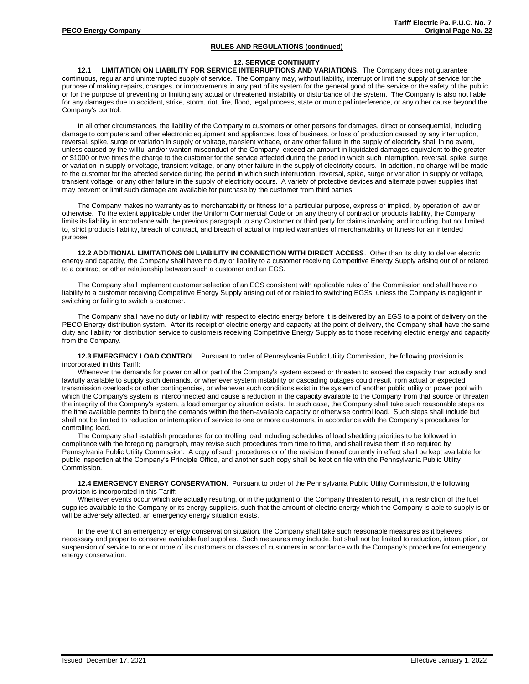## **12. SERVICE CONTINUITY**

**12.1 LIMITATION ON LIABILITY FOR SERVICE INTERRUPTIONS AND VARIATIONS**. The Company does not guarantee continuous, regular and uninterrupted supply of service. The Company may, without liability, interrupt or limit the supply of service for the purpose of making repairs, changes, or improvements in any part of its system for the general good of the service or the safety of the public or for the purpose of preventing or limiting any actual or threatened instability or disturbance of the system. The Company is also not liable for any damages due to accident, strike, storm, riot, fire, flood, legal process, state or municipal interference, or any other cause beyond the Company's control.

In all other circumstances, the liability of the Company to customers or other persons for damages, direct or consequential, including damage to computers and other electronic equipment and appliances, loss of business, or loss of production caused by any interruption, reversal, spike, surge or variation in supply or voltage, transient voltage, or any other failure in the supply of electricity shall in no event, unless caused by the willful and/or wanton misconduct of the Company, exceed an amount in liquidated damages equivalent to the greater of \$1000 or two times the charge to the customer for the service affected during the period in which such interruption, reversal, spike, surge or variation in supply or voltage, transient voltage, or any other failure in the supply of electricity occurs. In addition, no charge will be made to the customer for the affected service during the period in which such interruption, reversal, spike, surge or variation in supply or voltage, transient voltage, or any other failure in the supply of electricity occurs. A variety of protective devices and alternate power supplies that may prevent or limit such damage are available for purchase by the customer from third parties.

The Company makes no warranty as to merchantability or fitness for a particular purpose, express or implied, by operation of law or otherwise. To the extent applicable under the Uniform Commercial Code or on any theory of contract or products liability, the Company limits its liability in accordance with the previous paragraph to any Customer or third party for claims involving and including, but not limited to, strict products liability, breach of contract, and breach of actual or implied warranties of merchantability or fitness for an intended purpose.

**12.2 ADDITIONAL LIMITATIONS ON LIABILITY IN CONNECTION WITH DIRECT ACCESS**. Other than its duty to deliver electric energy and capacity, the Company shall have no duty or liability to a customer receiving Competitive Energy Supply arising out of or related to a contract or other relationship between such a customer and an EGS.

The Company shall implement customer selection of an EGS consistent with applicable rules of the Commission and shall have no liability to a customer receiving Competitive Energy Supply arising out of or related to switching EGSs, unless the Company is negligent in switching or failing to switch a customer.

The Company shall have no duty or liability with respect to electric energy before it is delivered by an EGS to a point of delivery on the PECO Energy distribution system. After its receipt of electric energy and capacity at the point of delivery, the Company shall have the same duty and liability for distribution service to customers receiving Competitive Energy Supply as to those receiving electric energy and capacity from the Company.

**12.3 EMERGENCY LOAD CONTROL**. Pursuant to order of Pennsylvania Public Utility Commission, the following provision is incorporated in this Tariff:

Whenever the demands for power on all or part of the Company's system exceed or threaten to exceed the capacity than actually and lawfully available to supply such demands, or whenever system instability or cascading outages could result from actual or expected transmission overloads or other contingencies, or whenever such conditions exist in the system of another public utility or power pool with which the Company's system is interconnected and cause a reduction in the capacity available to the Company from that source or threaten the integrity of the Company's system, a load emergency situation exists. In such case, the Company shall take such reasonable steps as the time available permits to bring the demands within the then-available capacity or otherwise control load. Such steps shall include but shall not be limited to reduction or interruption of service to one or more customers, in accordance with the Company's procedures for controlling load.

The Company shall establish procedures for controlling load including schedules of load shedding priorities to be followed in compliance with the foregoing paragraph, may revise such procedures from time to time, and shall revise them if so required by Pennsylvania Public Utility Commission. A copy of such procedures or of the revision thereof currently in effect shall be kept available for public inspection at the Company's Principle Office, and another such copy shall be kept on file with the Pennsylvania Public Utility Commission.

**12.4 EMERGENCY ENERGY CONSERVATION**. Pursuant to order of the Pennsylvania Public Utility Commission, the following provision is incorporated in this Tariff:

Whenever events occur which are actually resulting, or in the judgment of the Company threaten to result, in a restriction of the fuel supplies available to the Company or its energy suppliers, such that the amount of electric energy which the Company is able to supply is or will be adversely affected, an emergency energy situation exists.

In the event of an emergency energy conservation situation, the Company shall take such reasonable measures as it believes necessary and proper to conserve available fuel supplies. Such measures may include, but shall not be limited to reduction, interruption, or suspension of service to one or more of its customers or classes of customers in accordance with the Company's procedure for emergency energy conservation.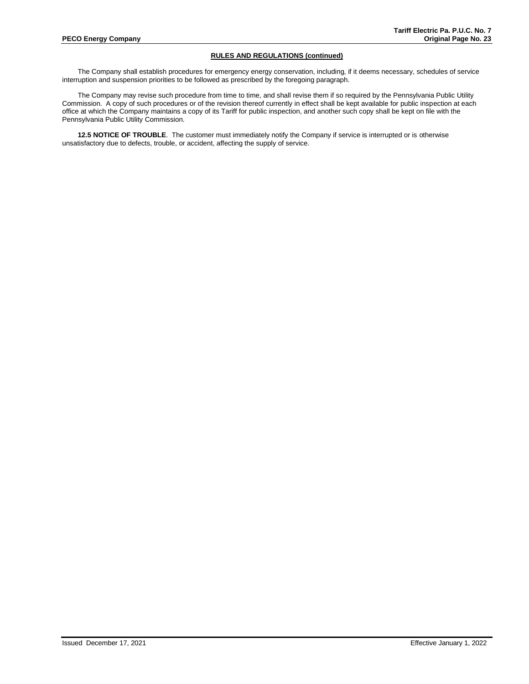The Company shall establish procedures for emergency energy conservation, including, if it deems necessary, schedules of service interruption and suspension priorities to be followed as prescribed by the foregoing paragraph.

The Company may revise such procedure from time to time, and shall revise them if so required by the Pennsylvania Public Utility Commission. A copy of such procedures or of the revision thereof currently in effect shall be kept available for public inspection at each office at which the Company maintains a copy of its Tariff for public inspection, and another such copy shall be kept on file with the Pennsylvania Public Utility Commission.

**12.5 NOTICE OF TROUBLE**. The customer must immediately notify the Company if service is interrupted or is otherwise unsatisfactory due to defects, trouble, or accident, affecting the supply of service.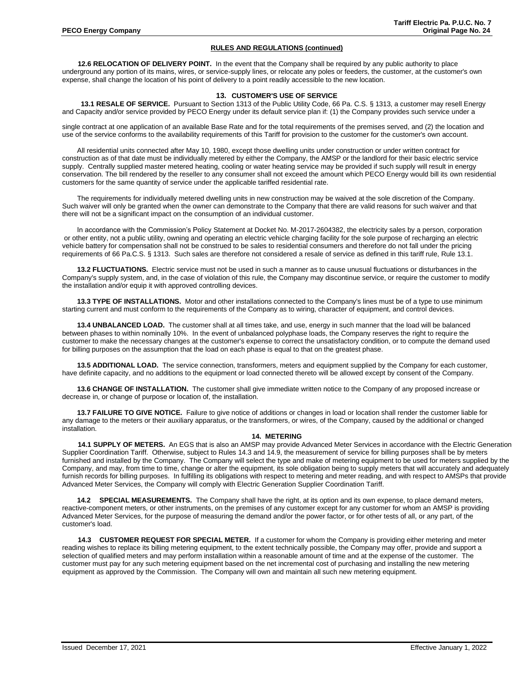**12.6 RELOCATION OF DELIVERY POINT.** In the event that the Company shall be required by any public authority to place underground any portion of its mains, wires, or service-supply lines, or relocate any poles or feeders, the customer, at the customer's own expense, shall change the location of his point of delivery to a point readily accessible to the new location.

# **13. CUSTOMER'S USE OF SERVICE**

**13.1 RESALE OF SERVICE.** Pursuant to Section 1313 of the Public Utility Code, 66 Pa. C.S. § 1313, a customer may resell Energy and Capacity and/or service provided by PECO Energy under its default service plan if: (1) the Company provides such service under a

single contract at one application of an available Base Rate and for the total requirements of the premises served, and (2) the location and use of the service conforms to the availability requirements of this Tariff for provision to the customer for the customer's own account.

All residential units connected after May 10, 1980, except those dwelling units under construction or under written contract for construction as of that date must be individually metered by either the Company, the AMSP or the landlord for their basic electric service supply. Centrally supplied master metered heating, cooling or water heating service may be provided if such supply will result in energy conservation. The bill rendered by the reseller to any consumer shall not exceed the amount which PECO Energy would bill its own residential customers for the same quantity of service under the applicable tariffed residential rate.

The requirements for individually metered dwelling units in new construction may be waived at the sole discretion of the Company. Such waiver will only be granted when the owner can demonstrate to the Company that there are valid reasons for such waiver and that there will not be a significant impact on the consumption of an individual customer.

In accordance with the Commission's Policy Statement at Docket No. M-2017-2604382, the electricity sales by a person, corporation or other entity, not a public utility, owning and operating an electric vehicle charging facility for the sole purpose of recharging an electric vehicle battery for compensation shall not be construed to be sales to residential consumers and therefore do not fall under the pricing requirements of 66 Pa.C.S. § 1313. Such sales are therefore not considered a resale of service as defined in this tariff rule, Rule 13.1.

**13.2 FLUCTUATIONS.** Electric service must not be used in such a manner as to cause unusual fluctuations or disturbances in the Company's supply system, and, in the case of violation of this rule, the Company may discontinue service, or require the customer to modify the installation and/or equip it with approved controlling devices.

**13.3 TYPE OF INSTALLATIONS.** Motor and other installations connected to the Company's lines must be of a type to use minimum starting current and must conform to the requirements of the Company as to wiring, character of equipment, and control devices.

**13.4 UNBALANCED LOAD.** The customer shall at all times take, and use, energy in such manner that the load will be balanced between phases to within nominally 10%. In the event of unbalanced polyphase loads, the Company reserves the right to require the customer to make the necessary changes at the customer's expense to correct the unsatisfactory condition, or to compute the demand used for billing purposes on the assumption that the load on each phase is equal to that on the greatest phase.

**13.5 ADDITIONAL LOAD.** The service connection, transformers, meters and equipment supplied by the Company for each customer, have definite capacity, and no additions to the equipment or load connected thereto will be allowed except by consent of the Company.

**13.6 CHANGE OF INSTALLATION.** The customer shall give immediate written notice to the Company of any proposed increase or decrease in, or change of purpose or location of, the installation.

**13.7 FAILURE TO GIVE NOTICE.** Failure to give notice of additions or changes in load or location shall render the customer liable for any damage to the meters or their auxiliary apparatus, or the transformers, or wires, of the Company, caused by the additional or changed installation.

# **14. METERING**

**14.1 SUPPLY OF METERS.** An EGS that is also an AMSP may provide Advanced Meter Services in accordance with the Electric Generation Supplier Coordination Tariff. Otherwise, subject to Rules 14.3 and 14.9, the measurement of service for billing purposes shall be by meters furnished and installed by the Company. The Company will select the type and make of metering equipment to be used for meters supplied by the Company, and may, from time to time, change or alter the equipment, its sole obligation being to supply meters that will accurately and adequately furnish records for billing purposes. In fulfilling its obligations with respect to metering and meter reading, and with respect to AMSPs that provide Advanced Meter Services, the Company will comply with Electric Generation Supplier Coordination Tariff.

**14.2 SPECIAL MEASUREMENTS.** The Company shall have the right, at its option and its own expense, to place demand meters, reactive-component meters, or other instruments, on the premises of any customer except for any customer for whom an AMSP is providing Advanced Meter Services, for the purpose of measuring the demand and/or the power factor, or for other tests of all, or any part, of the customer's load.

**14.3 CUSTOMER REQUEST FOR SPECIAL METER.** If a customer for whom the Company is providing either metering and meter reading wishes to replace its billing metering equipment, to the extent technically possible, the Company may offer, provide and support a selection of qualified meters and may perform installation within a reasonable amount of time and at the expense of the customer. The customer must pay for any such metering equipment based on the net incremental cost of purchasing and installing the new metering equipment as approved by the Commission. The Company will own and maintain all such new metering equipment.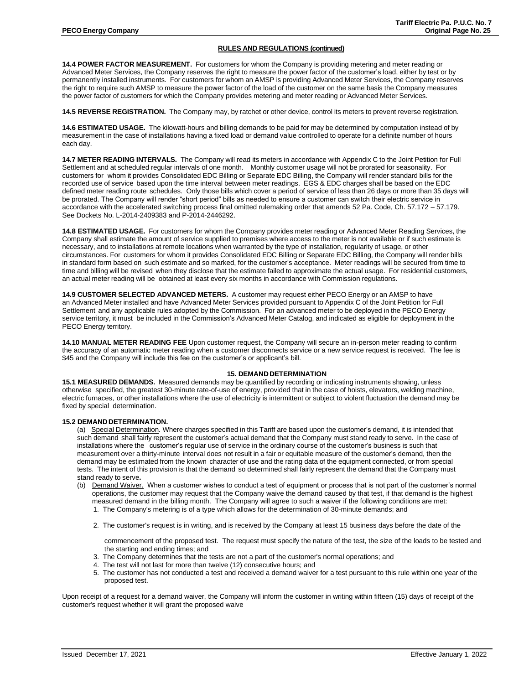**14.4 POWER FACTOR MEASUREMENT.** For customers for whom the Company is providing metering and meter reading or Advanced Meter Services, the Company reserves the right to measure the power factor of the customer's load, either by test or by permanently installed instruments. For customers for whom an AMSP is providing Advanced Meter Services, the Company reserves the right to require such AMSP to measure the power factor of the load of the customer on the same basis the Company measures the power factor of customers for which the Company provides metering and meter reading or Advanced Meter Services.

**14.5 REVERSE REGISTRATION.** The Company may, by ratchet or other device, control its meters to prevent reverse registration.

**14.6 ESTIMATED USAGE.** The kilowatt-hours and billing demands to be paid for may be determined by computation instead of by measurement in the case of installations having a fixed load or demand value controlled to operate for a definite number of hours each day.

**14.7 METER READING INTERVALS.** The Company will read its meters in accordance with Appendix C to the Joint Petition for Full Settlement and at scheduled regular intervals of one month. Monthly customer usage will not be prorated for seasonality. For customers for whom it provides Consolidated EDC Billing or Separate EDC Billing, the Company will render standard bills for the recorded use of service based upon the time interval between meter readings. EGS & EDC charges shall be based on the EDC defined meter reading route schedules. Only those bills which cover a period of service of less than 26 days or more than 35 days will be prorated. The Company will render "short period" bills as needed to ensure a customer can switch their electric service in accordance with the accelerated switching process final omitted rulemaking order that amends 52 Pa. Code, Ch. 57.172 – 57.179. See Dockets No. L-2014-2409383 and P-2014-2446292.

**14.8 ESTIMATED USAGE.** For customers for whom the Company provides meter reading or Advanced Meter Reading Services, the Company shall estimate the amount of service supplied to premises where access to the meter is not available or if such estimate is necessary, and to installations at remote locations when warranted by the type of installation, regularity of usage, or other circumstances. For customers for whom it provides Consolidated EDC Billing or Separate EDC Billing, the Company will render bills in standard form based on such estimate and so marked, for the customer's acceptance. Meter readings will be secured from time to time and billing will be revised when they disclose that the estimate failed to approximate the actual usage. For residential customers, an actual meter reading will be obtained at least every six months in accordance with Commission regulations.

**14.9 CUSTOMER SELECTED ADVANCED METERS.** A customer may request either PECO Energy or an AMSP to have an Advanced Meter installed and have Advanced Meter Services provided pursuant to Appendix C of the Joint Petition for Full Settlement and any applicable rules adopted by the Commission. For an advanced meter to be deployed in the PECO Energy service territory, it must be included in the Commission's Advanced Meter Catalog, and indicated as eligible for deployment in the PECO Energy territory.

**14.10 MANUAL METER READING FEE** Upon customer request, the Company will secure an in-person meter reading to confirm the accuracy of an automatic meter reading when a customer disconnects service or a new service request is received. The fee is \$45 and the Company will include this fee on the customer's or applicant's bill.

# **15. DEMAND DETERMINATION**

**15.1 MEASURED DEMANDS.** Measured demands may be quantified by recording or indicating instruments showing, unless otherwise specified, the greatest 30-minute rate-of-use of energy, provided that in the case of hoists, elevators, welding machine, electric furnaces, or other installations where the use of electricity is intermittent or subject to violent fluctuation the demand may be fixed by special determination.

#### **15.2 DEMAND DETERMINATION.**

(a) Special Determination. Where charges specified in this Tariff are based upon the customer's demand, it is intended that such demand shall fairly represent the customer's actual demand that the Company must stand ready to serve. In the case of installations where the customer's regular use of service in the ordinary course of the customer's business is such that measurement over a thirty-minute interval does not result in a fair or equitable measure of the customer's demand, then the demand may be estimated from the known character of use and the rating data of the equipment connected, or from special tests. The intent of this provision is that the demand so determined shall fairly represent the demand that the Company must stand ready to serve**.**

- (b) Demand Waiver. When a customer wishes to conduct a test of equipment or process that is not part of the customer's normal operations, the customer may request that the Company waive the demand caused by that test, if that demand is the highest measured demand in the billing month. The Company will agree to such a waiver if the following conditions are met:
	- 1. The Company's metering is of a type which allows for the determination of 30-minute demands; and
	- 2. The customer's request is in writing, and is received by the Company at least 15 business days before the date of the

commencement of the proposed test. The request must specify the nature of the test, the size of the loads to be tested and the starting and ending times; and

- 3. The Company determines that the tests are not a part of the customer's normal operations; and
- 4. The test will not last for more than twelve (12) consecutive hours; and
- 5. The customer has not conducted a test and received a demand waiver for a test pursuant to this rule within one year of the proposed test.

Upon receipt of a request for a demand waiver, the Company will inform the customer in writing within fifteen (15) days of receipt of the customer's request whether it will grant the proposed waive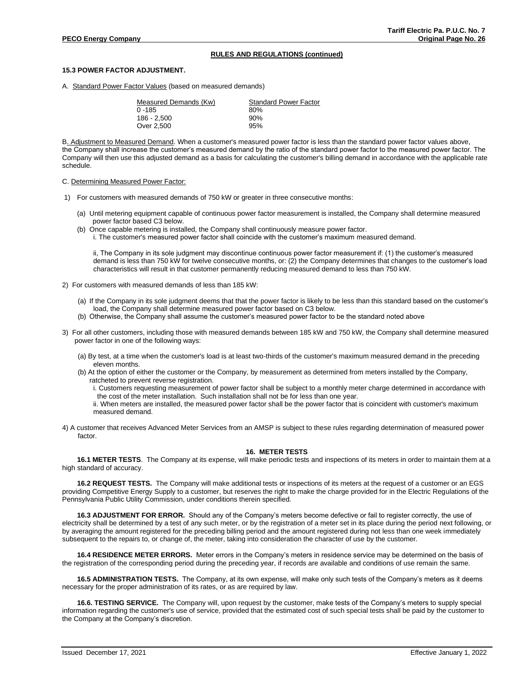### **15.3 POWER FACTOR ADJUSTMENT.**

A. Standard Power Factor Values (based on measured demands)

| Measured Demands (Kw) | <b>Standard Power Factor</b> |  |
|-----------------------|------------------------------|--|
| $0 - 185$             | 80%                          |  |
| 186 - 2.500           | 90%                          |  |
| Over 2,500            | 95%                          |  |

B. Adjustment to Measured Demand. When a customer's measured power factor is less than the standard power factor values above, the Company shall increase the customer's measured demand by the ratio of the standard power factor to the measured power factor. The Company will then use this adjusted demand as a basis for calculating the customer's billing demand in accordance with the applicable rate schedule.

#### C. Determining Measured Power Factor:

- 1) For customers with measured demands of 750 kW or greater in three consecutive months:
	- (a) Until metering equipment capable of continuous power factor measurement is installed, the Company shall determine measured power factor based C3 below.
	- (b) Once capable metering is installed, the Company shall continuously measure power factor.

i. The customer's measured power factor shall coincide with the customer's maximum measured demand.

ii, The Company in its sole judgment may discontinue continuous power factor measurement if: (1) the customer's measured demand is less than 750 kW for twelve consecutive months, or: (2) the Company determines that changes to the customer's load characteristics will result in that customer permanently reducing measured demand to less than 750 kW.

- 2) For customers with measured demands of less than 185 kW:
	- (a) If the Company in its sole judgment deems that that the power factor is likely to be less than this standard based on the customer's load, the Company shall determine measured power factor based on C3 below.
	- (b) Otherwise, the Company shall assume the customer's measured power factor to be the standard noted above
- 3) For all other customers, including those with measured demands between 185 kW and 750 kW, the Company shall determine measured power factor in one of the following ways:
	- (a) By test, at a time when the customer's load is at least two-thirds of the customer's maximum measured demand in the preceding eleven months.
	- (b) At the option of either the customer or the Company, by measurement as determined from meters installed by the Company, ratcheted to prevent reverse registration.
		- i. Customers requesting measurement of power factor shall be subject to a monthly meter charge determined in accordance with the cost of the meter installation. Such installation shall not be for less than one year.
		- ii. When meters are installed, the measured power factor shall be the power factor that is coincident with customer's maximum measured demand.
- 4) A customer that receives Advanced Meter Services from an AMSP is subject to these rules regarding determination of measured power factor.

### **16. METER TESTS**

**16.1 METER TESTS**. The Company at its expense, will make periodic tests and inspections of its meters in order to maintain them at a high standard of accuracy.

**16.2 REQUEST TESTS.** The Company will make additional tests or inspections of its meters at the request of a customer or an EGS providing Competitive Energy Supply to a customer, but reserves the right to make the charge provided for in the Electric Regulations of the Pennsylvania Public Utility Commission, under conditions therein specified.

**16.3 ADJUSTMENT FOR ERROR.** Should any of the Company's meters become defective or fail to register correctly, the use of electricity shall be determined by a test of any such meter, or by the registration of a meter set in its place during the period next following, or by averaging the amount registered for the preceding billing period and the amount registered during not less than one week immediately subsequent to the repairs to, or change of, the meter, taking into consideration the character of use by the customer.

**16.4 RESIDENCE METER ERRORS.** Meter errors in the Company's meters in residence service may be determined on the basis of the registration of the corresponding period during the preceding year, if records are available and conditions of use remain the same.

**16.5 ADMINISTRATION TESTS.** The Company, at its own expense, will make only such tests of the Company's meters as it deems necessary for the proper administration of its rates, or as are required by law.

**16.6. TESTING SERVICE.** The Company will, upon request by the customer, make tests of the Company's meters to supply special information regarding the customer's use of service, provided that the estimated cost of such special tests shall be paid by the customer to the Company at the Company's discretion.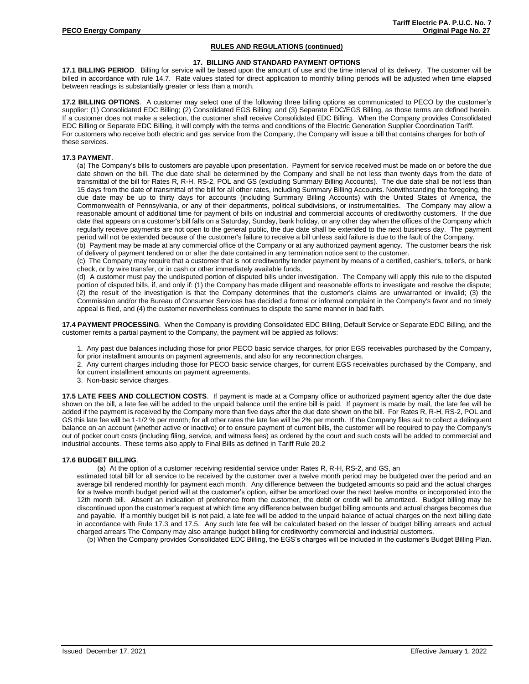# **17. BILLING AND STANDARD PAYMENT OPTIONS**

**17.1 BILLING PERIOD**. Billing for service will be based upon the amount of use and the time interval of its delivery. The customer will be billed in accordance with rule 14.7. Rate values stated for direct application to monthly billing periods will be adjusted when time elapsed between readings is substantially greater or less than a month.

**17.2 BILLING OPTIONS**. A customer may select one of the following three billing options as communicated to PECO by the customer's supplier: (1) Consolidated EDC Billing; (2) Consolidated EGS Billing; and (3) Separate EDC/EGS Billing, as those terms are defined herein. If a customer does not make a selection, the customer shall receive Consolidated EDC Billing. When the Company provides Consolidated EDC Billing or Separate EDC Billing, it will comply with the terms and conditions of the Electric Generation Supplier Coordination Tariff. For customers who receive both electric and gas service from the Company, the Company will issue a bill that contains charges for both of these services.

### **17.3 PAYMENT**.

(a) The Company's bills to customers are payable upon presentation. Payment for service received must be made on or before the due date shown on the bill. The due date shall be determined by the Company and shall be not less than twenty days from the date of transmittal of the bill for Rates R, R-H, RS-2, POL and GS (excluding Summary Billing Accounts). The due date shall be not less than 15 days from the date of transmittal of the bill for all other rates, including Summary Billing Accounts. Notwithstanding the foregoing, the due date may be up to thirty days for accounts (including Summary Billing Accounts) with the United States of America, the Commonwealth of Pennsylvania, or any of their departments, political subdivisions, or instrumentalities. The Company may allow a reasonable amount of additional time for payment of bills on industrial and commercial accounts of creditworthy customers. If the due date that appears on a customer's bill falls on a Saturday, Sunday, bank holiday, or any other day when the offices of the Company which regularly receive payments are not open to the general public, the due date shall be extended to the next business day. The payment period will not be extended because of the customer's failure to receive a bill unless said failure is due to the fault of the Company.

(b) Payment may be made at any commercial office of the Company or at any authorized payment agency. The customer bears the risk of delivery of payment tendered on or after the date contained in any termination notice sent to the customer.

(c) The Company may require that a customer that is not creditworthy tender payment by means of a certified, cashier's, teller's, or bank check, or by wire transfer, or in cash or other immediately available funds.

(d) A customer must pay the undisputed portion of disputed bills under investigation. The Company will apply this rule to the disputed portion of disputed bills, if, and only if: (1) the Company has made diligent and reasonable efforts to investigate and resolve the dispute; (2) the result of the investigation is that the Company determines that the customer's claims are unwarranted or invalid; (3) the Commission and/or the Bureau of Consumer Services has decided a formal or informal complaint in the Company's favor and no timely appeal is filed, and (4) the customer nevertheless continues to dispute the same manner in bad faith.

**17.4 PAYMENT PROCESSING**. When the Company is providing Consolidated EDC Billing, Default Service or Separate EDC Billing, and the customer remits a partial payment to the Company, the payment will be applied as follows:

1. Any past due balances including those for prior PECO basic service charges, for prior EGS receivables purchased by the Company, for prior installment amounts on payment agreements, and also for any reconnection charges.

- 2. Any current charges including those for PECO basic service charges, for current EGS receivables purchased by the Company, and
- for current installment amounts on payment agreements.

3. Non-basic service charges.

**17.5 LATE FEES AND COLLECTION COSTS**. If payment is made at a Company office or authorized payment agency after the due date shown on the bill, a late fee will be added to the unpaid balance until the entire bill is paid. If payment is made by mail, the late fee will be added if the payment is received by the Company more than five days after the due date shown on the bill. For Rates R, R-H, RS-2, POL and GS this late fee will be 1-1/2 % per month; for all other rates the late fee will be 2% per month. If the Company files suit to collect a delinquent balance on an account (whether active or inactive) or to ensure payment of current bills, the customer will be required to pay the Company's out of pocket court costs (including filing, service, and witness fees) as ordered by the court and such costs will be added to commercial and industrial accounts. These terms also apply to Final Bills as defined in Tariff Rule 20.2

#### **17.6 BUDGET BILLING**.

(a) At the option of a customer receiving residential service under Rates R, R-H, RS-2, and GS, an

estimated total bill for all service to be received by the customer over a twelve month period may be budgeted over the period and an average bill rendered monthly for payment each month. Any difference between the budgeted amounts so paid and the actual charges for a twelve month budget period will at the customer's option, either be amortized over the next twelve months or incorporated into the 12th month bill. Absent an indication of preference from the customer, the debit or credit will be amortized. Budget billing may be discontinued upon the customer's request at which time any difference between budget billing amounts and actual charges becomes due and payable. If a monthly budget bill is not paid, a late fee will be added to the unpaid balance of actual charges on the next billing date in accordance with Rule 17.3 and 17.5. Any such late fee will be calculated based on the lesser of budget billing arrears and actual charged arrears The Company may also arrange budget billing for creditworthy commercial and industrial customers.

(b) When the Company provides Consolidated EDC Billing, the EGS's charges will be included in the customer's Budget Billing Plan.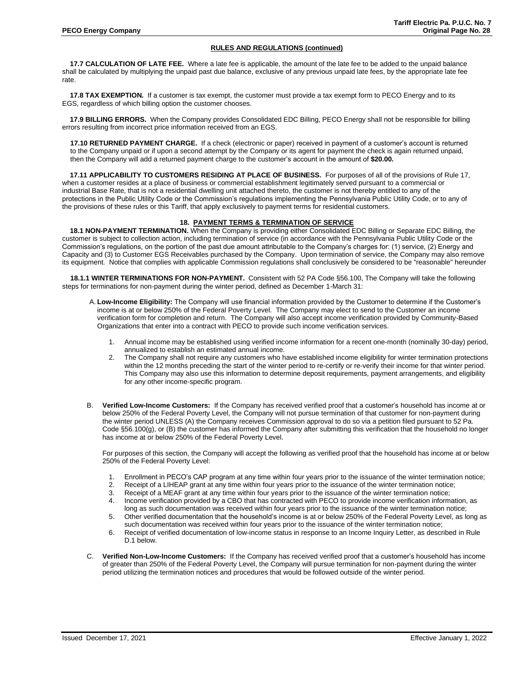**17.7 CALCULATION OF LATE FEE.** Where a late fee is applicable, the amount of the late fee to be added to the unpaid balance shall be calculated by multiplying the unpaid past due balance, exclusive of any previous unpaid late fees, by the appropriate late fee rate.

**17.8 TAX EXEMPTION.** If a customer is tax exempt, the customer must provide a tax exempt form to PECO Energy and to its EGS, regardless of which billing option the customer chooses.

**17.9 BILLING ERRORS.** When the Company provides Consolidated EDC Billing, PECO Energy shall not be responsible for billing errors resulting from incorrect price information received from an EGS.

**17.10 RETURNED PAYMENT CHARGE.** If a check (electronic or paper) received in payment of a customer's account is returned to the Company unpaid or if upon a second attempt by the Company or its agent for payment the check is again returned unpaid, then the Company will add a returned payment charge to the customer's account in the amount of **\$20.00.**

**17.11 APPLICABILITY TO CUSTOMERS RESIDING AT PLACE OF BUSINESS.** For purposes of all of the provisions of Rule 17, when a customer resides at a place of business or commercial establishment legitimately served pursuant to a commercial or industrial Base Rate, that is not a residential dwelling unit attached thereto, the customer is not thereby entitled to any of the protections in the Public Utility Code or the Commission's regulations implementing the Pennsylvania Public Utility Code, or to any of the provisions of these rules or this Tariff, that apply exclusively to payment terms for residential customers.

# **18. PAYMENT TERMS & TERMINATION OF SERVICE**

 **18.1 NON-PAYMENT TERMINATION.** When the Company is providing either Consolidated EDC Billing or Separate EDC Billing, the customer is subject to collection action, including termination of service (in accordance with the Pennsylvania Public Utility Code or the Commission's regulations, on the portion of the past due amount attributable to the Company's charges for: (1) service, (2) Energy and Capacity and (3) to Customer EGS Receivables purchased by the Company. Upon termination of service, the Company may also remove its equipment. Notice that complies with applicable Commission regulations shall conclusively be considered to be "reasonable" hereunder

**18.1.1 WINTER TERMINATIONS FOR NON-PAYMENT.** Consistent with 52 PA Code §56.100, The Company will take the following steps for terminations for non-payment during the winter period, defined as December 1-March 31:

- A. **Low-Income Eligibility:** The Company will use financial information provided by the Customer to determine if the Customer's income is at or below 250% of the Federal Poverty Level. The Company may elect to send to the Customer an income verification form for completion and return. The Company will also accept income verification provided by Community-Based Organizations that enter into a contract with PECO to provide such income verification services.
	- 1. Annual income may be established using verified income information for a recent one-month (nominally 30-day) period, annualized to establish an estimated annual income.
	- 2. The Company shall not require any customers who have established income eligibility for winter termination protections within the 12 months preceding the start of the winter period to re-certify or re-verify their income for that winter period. This Company may also use this information to determine deposit requirements, payment arrangements, and eligibility for any other income-specific program.
- B. **Verified Low-Income Customers:** If the Company has received verified proof that a customer's household has income at or below 250% of the Federal Poverty Level, the Company will not pursue termination of that customer for non-payment during the winter period UNLESS (A) the Company receives Commission approval to do so via a petition filed pursuant to 52 Pa. Code §56.100(g), or (B) the customer has informed the Company after submitting this verification that the household no longer has income at or below 250% of the Federal Poverty Level.

For purposes of this section, the Company will accept the following as verified proof that the household has income at or below 250% of the Federal Poverty Level:

- 1. Enrollment in PECO's CAP program at any time within four years prior to the issuance of the winter termination notice;<br>2. Receipt of a LIHEAP grant at any time within four years prior to the issuance of the winter termi
- 2. Receipt of a LIHEAP grant at any time within four years prior to the issuance of the winter termination notice;<br>3. Receipt of a MEAF grant at any time within four years prior to the issuance of the winter termination no
- Receipt of a MEAF grant at any time within four years prior to the issuance of the winter termination notice;
- 4. Income verification provided by a CBO that has contracted with PECO to provide income verification information, as long as such documentation was received within four years prior to the issuance of the winter termination notice;
- 5. Other verified documentation that the household's income is at or below 250% of the Federal Poverty Level, as long as such documentation was received within four years prior to the issuance of the winter termination notice;
- 6. Receipt of verified documentation of low-income status in response to an Income Inquiry Letter, as described in Rule D.1 below.
- C. **Verified Non-Low-Income Customers:** If the Company has received verified proof that a customer's household has income of greater than 250% of the Federal Poverty Level, the Company will pursue termination for non-payment during the winter period utilizing the termination notices and procedures that would be followed outside of the winter period.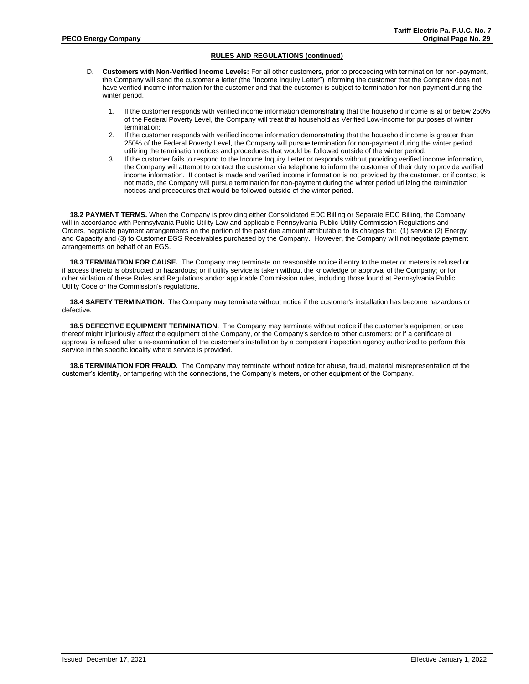- D. **Customers with Non-Verified Income Levels:** For all other customers, prior to proceeding with termination for non-payment, the Company will send the customer a letter (the "Income Inquiry Letter") informing the customer that the Company does not have verified income information for the customer and that the customer is subject to termination for non-payment during the winter period.
	- 1. If the customer responds with verified income information demonstrating that the household income is at or below 250% of the Federal Poverty Level, the Company will treat that household as Verified Low-Income for purposes of winter termination;
	- 2. If the customer responds with verified income information demonstrating that the household income is greater than 250% of the Federal Poverty Level, the Company will pursue termination for non-payment during the winter period utilizing the termination notices and procedures that would be followed outside of the winter period.
	- 3. If the customer fails to respond to the Income Inquiry Letter or responds without providing verified income information, the Company will attempt to contact the customer via telephone to inform the customer of their duty to provide verified income information. If contact is made and verified income information is not provided by the customer, or if contact is not made, the Company will pursue termination for non-payment during the winter period utilizing the termination notices and procedures that would be followed outside of the winter period.

**18.2 PAYMENT TERMS.** When the Company is providing either Consolidated EDC Billing or Separate EDC Billing, the Company will in accordance with Pennsylvania Public Utility Law and applicable Pennsylvania Public Utility Commission Regulations and Orders, negotiate payment arrangements on the portion of the past due amount attributable to its charges for: (1) service (2) Energy and Capacity and (3) to Customer EGS Receivables purchased by the Company. However, the Company will not negotiate payment arrangements on behalf of an EGS.

**18.3 TERMINATION FOR CAUSE.** The Company may terminate on reasonable notice if entry to the meter or meters is refused or if access thereto is obstructed or hazardous; or if utility service is taken without the knowledge or approval of the Company; or for other violation of these Rules and Regulations and/or applicable Commission rules, including those found at Pennsylvania Public Utility Code or the Commission's regulations.

**18.4 SAFETY TERMINATION.** The Company may terminate without notice if the customer's installation has become hazardous or defective.

**18.5 DEFECTIVE EQUIPMENT TERMINATION.** The Company may terminate without notice if the customer's equipment or use thereof might injuriously affect the equipment of the Company, or the Company's service to other customers; or if a certificate of approval is refused after a re-examination of the customer's installation by a competent inspection agency authorized to perform this service in the specific locality where service is provided.

**18.6 TERMINATION FOR FRAUD.** The Company may terminate without notice for abuse, fraud, material misrepresentation of the customer's identity, or tampering with the connections, the Company's meters, or other equipment of the Company.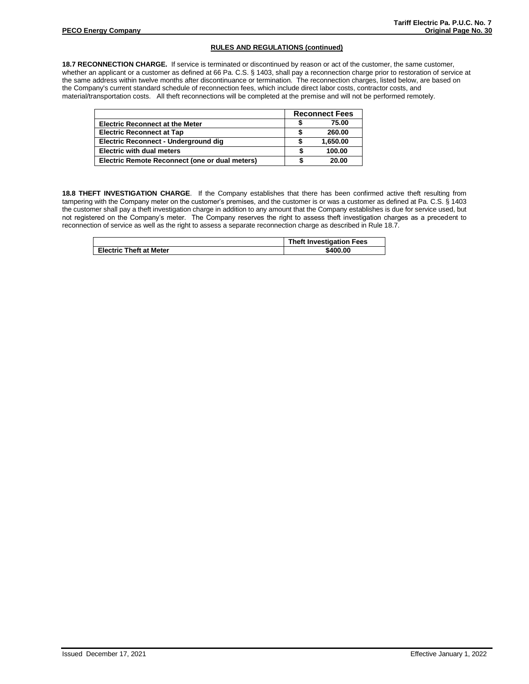**18.7 RECONNECTION CHARGE.** If service is terminated or discontinued by reason or act of the customer, the same customer, whether an applicant or a customer as defined at 66 Pa. C.S. § 1403, shall pay a reconnection charge prior to restoration of service at the same address within twelve months after discontinuance or termination. The reconnection charges, listed below, are based on the Company's current standard schedule of reconnection fees, which include direct labor costs, contractor costs, and material/transportation costs. All theft reconnections will be completed at the premise and will not be performed remotely.

|                                                | <b>Reconnect Fees</b> |
|------------------------------------------------|-----------------------|
| <b>Electric Reconnect at the Meter</b>         | 75.00                 |
| <b>Electric Reconnect at Tap</b>               | 260.00                |
| Electric Reconnect - Underground dig           | 1.650.00              |
| <b>Electric with dual meters</b>               | 100.00                |
| Electric Remote Reconnect (one or dual meters) | 20.00                 |

**18.8 THEFT INVESTIGATION CHARGE**. If the Company establishes that there has been confirmed active theft resulting from tampering with the Company meter on the customer's premises, and the customer is or was a customer as defined at Pa. C.S. § 1403 the customer shall pay a theft investigation charge in addition to any amount that the Company establishes is due for service used, but not registered on the Company's meter. The Company reserves the right to assess theft investigation charges as a precedent to reconnection of service as well as the right to assess a separate reconnection charge as described in Rule 18.7.

|                                | <b>Theft Investigation Fees</b> |
|--------------------------------|---------------------------------|
| <b>Electric Theft at Meter</b> | \$400.00                        |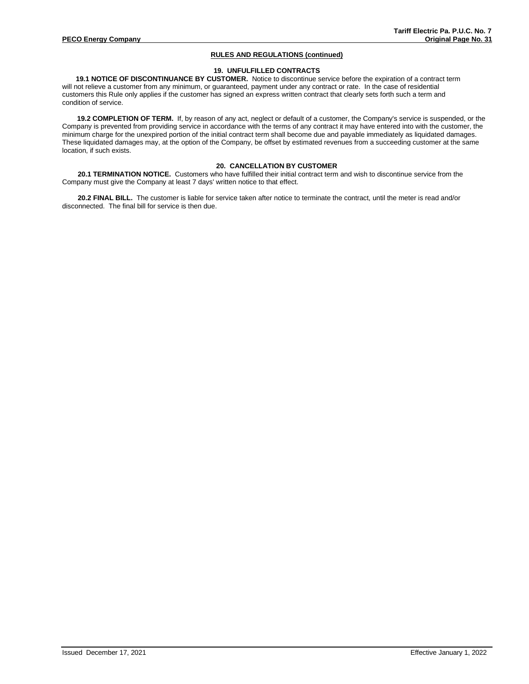# **19. UNFULFILLED CONTRACTS**

 **19.1 NOTICE OF DISCONTINUANCE BY CUSTOMER.** Notice to discontinue service before the expiration of a contract term will not relieve a customer from any minimum, or guaranteed, payment under any contract or rate. In the case of residential customers this Rule only applies if the customer has signed an express written contract that clearly sets forth such a term and condition of service.

**19.2 COMPLETION OF TERM.** If, by reason of any act, neglect or default of a customer, the Company's service is suspended, or the Company is prevented from providing service in accordance with the terms of any contract it may have entered into with the customer, the minimum charge for the unexpired portion of the initial contract term shall become due and payable immediately as liquidated damages. These liquidated damages may, at the option of the Company, be offset by estimated revenues from a succeeding customer at the same location, if such exists.

# **20. CANCELLATION BY CUSTOMER**

**20.1 TERMINATION NOTICE.** Customers who have fulfilled their initial contract term and wish to discontinue service from the Company must give the Company at least 7 days' written notice to that effect.

**20.2 FINAL BILL.** The customer is liable for service taken after notice to terminate the contract, until the meter is read and/or disconnected. The final bill for service is then due.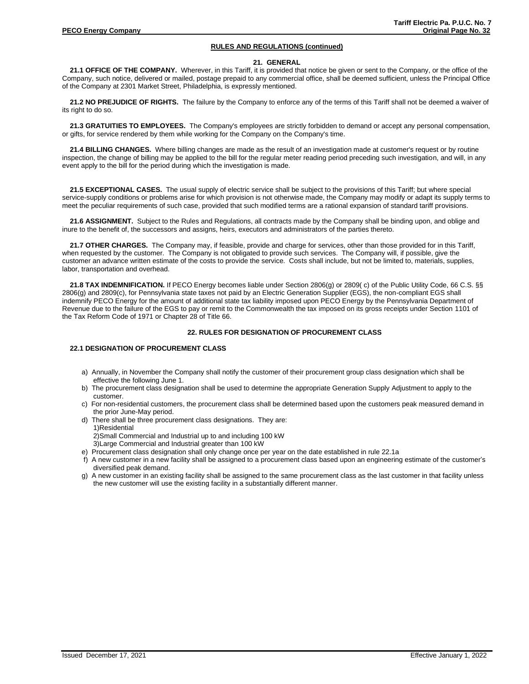#### **21. GENERAL**

21.1 OFFICE OF THE COMPANY. Wherever, in this Tariff, it is provided that notice be given or sent to the Company, or the office of the Company, such notice, delivered or mailed, postage prepaid to any commercial office, shall be deemed sufficient, unless the Principal Office of the Company at 2301 Market Street, Philadelphia, is expressly mentioned.

**21.2 NO PREJUDICE OF RIGHTS.** The failure by the Company to enforce any of the terms of this Tariff shall not be deemed a waiver of its right to do so.

**21.3 GRATUITIES TO EMPLOYEES.** The Company's employees are strictly forbidden to demand or accept any personal compensation, or gifts, for service rendered by them while working for the Company on the Company's time.

**21.4 BILLING CHANGES.** Where billing changes are made as the result of an investigation made at customer's request or by routine inspection, the change of billing may be applied to the bill for the regular meter reading period preceding such investigation, and will, in any event apply to the bill for the period during which the investigation is made.

**21.5 EXCEPTIONAL CASES.** The usual supply of electric service shall be subject to the provisions of this Tariff; but where special service-supply conditions or problems arise for which provision is not otherwise made, the Company may modify or adapt its supply terms to meet the peculiar requirements of such case, provided that such modified terms are a rational expansion of standard tariff provisions.

**21.6 ASSIGNMENT.** Subject to the Rules and Regulations, all contracts made by the Company shall be binding upon, and oblige and inure to the benefit of, the successors and assigns, heirs, executors and administrators of the parties thereto.

**21.7 OTHER CHARGES.** The Company may, if feasible, provide and charge for services, other than those provided for in this Tariff, when requested by the customer. The Company is not obligated to provide such services. The Company will, if possible, give the customer an advance written estimate of the costs to provide the service. Costs shall include, but not be limited to, materials, supplies, labor, transportation and overhead.

**21.8 TAX INDEMNIFICATION.** If PECO Energy becomes liable under Section 2806(g) or 2809( c) of the Public Utility Code, 66 C.S. §§ 2806(g) and 2809(c), for Pennsylvania state taxes not paid by an Electric Generation Supplier (EGS), the non-compliant EGS shall indemnify PECO Energy for the amount of additional state tax liability imposed upon PECO Energy by the Pennsylvania Department of Revenue due to the failure of the EGS to pay or remit to the Commonwealth the tax imposed on its gross receipts under Section 1101 of the Tax Reform Code of 1971 or Chapter 28 of Title 66.

# **22. RULES FOR DESIGNATION OF PROCUREMENT CLASS**

### **22.1 DESIGNATION OF PROCUREMENT CLASS**

- a) Annually, in November the Company shall notify the customer of their procurement group class designation which shall be effective the following June 1.
- b) The procurement class designation shall be used to determine the appropriate Generation Supply Adjustment to apply to the customer.
- c) For non-residential customers, the procurement class shall be determined based upon the customers peak measured demand in the prior June-May period.
- d) There shall be three procurement class designations. They are: 1)Residential

2)Small Commercial and Industrial up to and including 100 kW

- 3)Large Commercial and Industrial greater than 100 kW
- e) Procurement class designation shall only change once per year on the date established in rule 22.1a
- f) A new customer in a new facility shall be assigned to a procurement class based upon an engineering estimate of the customer's diversified peak demand.
- g) A new customer in an existing facility shall be assigned to the same procurement class as the last customer in that facility unless the new customer will use the existing facility in a substantially different manner.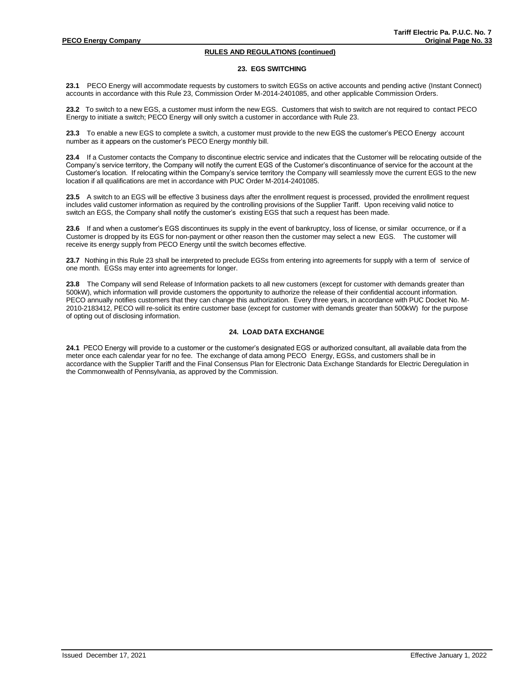#### **23. EGS SWITCHING**

**23.1** PECO Energy will accommodate requests by customers to switch EGSs on active accounts and pending active (Instant Connect) accounts in accordance with this Rule 23, Commission Order M-2014-2401085, and other applicable Commission Orders.

**23.2** To switch to a new EGS, a customer must inform the new EGS. Customers that wish to switch are not required to contact PECO Energy to initiate a switch; PECO Energy will only switch a customer in accordance with Rule 23.

**23.3** To enable a new EGS to complete a switch, a customer must provide to the new EGS the customer's PECO Energy account number as it appears on the customer's PECO Energy monthly bill.

**23.4** If a Customer contacts the Company to discontinue electric service and indicates that the Customer will be relocating outside of the Company's service territory, the Company will notify the current EGS of the Customer's discontinuance of service for the account at the Customer's location. If relocating within the Company's service territory the Company will seamlessly move the current EGS to the new location if all qualifications are met in accordance with PUC Order M-2014-2401085.

**23.5** A switch to an EGS will be effective 3 business days after the enrollment request is processed, provided the enrollment request includes valid customer information as required by the controlling provisions of the Supplier Tariff. Upon receiving valid notice to switch an EGS, the Company shall notify the customer's existing EGS that such a request has been made.

**23.6** If and when a customer's EGS discontinues its supply in the event of bankruptcy, loss of license, or similar occurrence, or if a Customer is dropped by its EGS for non-payment or other reason then the customer may select a new EGS. The customer will receive its energy supply from PECO Energy until the switch becomes effective.

**23.7** Nothing in this Rule 23 shall be interpreted to preclude EGSs from entering into agreements for supply with a term of service of one month. EGSs may enter into agreements for longer.

**23.8** The Company will send Release of Information packets to all new customers (except for customer with demands greater than 500kW), which information will provide customers the opportunity to authorize the release of their confidential account information. PECO annually notifies customers that they can change this authorization. Every three years, in accordance with PUC Docket No. M-2010-2183412, PECO will re-solicit its entire customer base (except for customer with demands greater than 500kW) for the purpose of opting out of disclosing information.

### **24. LOAD DATA EXCHANGE**

**24.1** PECO Energy will provide to a customer or the customer's designated EGS or authorized consultant, all available data from the meter once each calendar year for no fee. The exchange of data among PECO Energy, EGSs, and customers shall be in accordance with the Supplier Tariff and the Final Consensus Plan for Electronic Data Exchange Standards for Electric Deregulation in the Commonwealth of Pennsylvania, as approved by the Commission.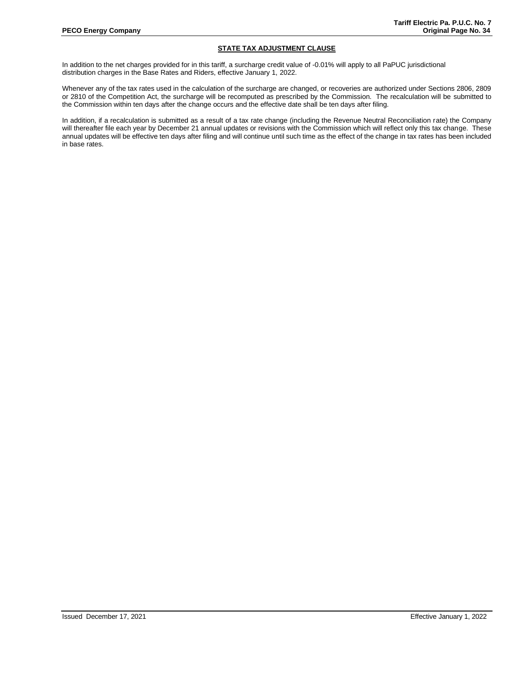# **STATE TAX ADJUSTMENT CLAUSE**

In addition to the net charges provided for in this tariff, a surcharge credit value of -0.01% will apply to all PaPUC jurisdictional distribution charges in the Base Rates and Riders, effective January 1, 2022.

Whenever any of the tax rates used in the calculation of the surcharge are changed, or recoveries are authorized under Sections 2806, 2809 or 2810 of the Competition Act, the surcharge will be recomputed as prescribed by the Commission. The recalculation will be submitted to the Commission within ten days after the change occurs and the effective date shall be ten days after filing.

In addition, if a recalculation is submitted as a result of a tax rate change (including the Revenue Neutral Reconciliation rate) the Company will thereafter file each year by December 21 annual updates or revisions with the Commission which will reflect only this tax change. These annual updates will be effective ten days after filing and will continue until such time as the effect of the change in tax rates has been included in base rates.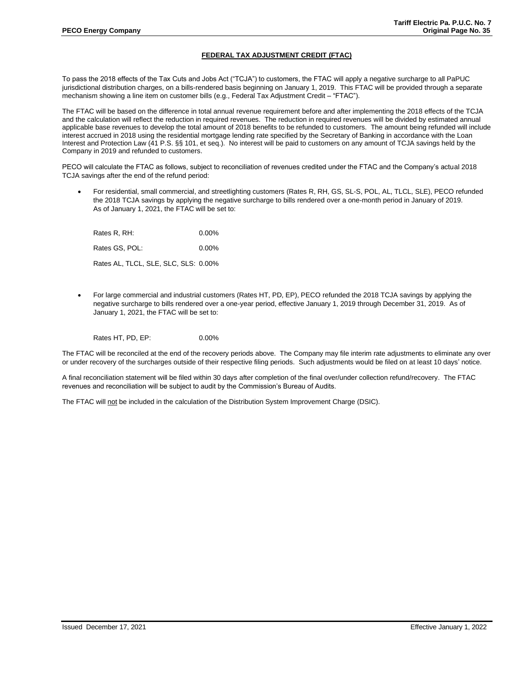# **FEDERAL TAX ADJUSTMENT CREDIT (FTAC)**

To pass the 2018 effects of the Tax Cuts and Jobs Act ("TCJA") to customers, the FTAC will apply a negative surcharge to all PaPUC jurisdictional distribution charges, on a bills-rendered basis beginning on January 1, 2019. This FTAC will be provided through a separate mechanism showing a line item on customer bills (e.g., Federal Tax Adjustment Credit – "FTAC").

The FTAC will be based on the difference in total annual revenue requirement before and after implementing the 2018 effects of the TCJA and the calculation will reflect the reduction in required revenues. The reduction in required revenues will be divided by estimated annual applicable base revenues to develop the total amount of 2018 benefits to be refunded to customers. The amount being refunded will include interest accrued in 2018 using the residential mortgage lending rate specified by the Secretary of Banking in accordance with the Loan Interest and Protection Law (41 P.S. §§ 101, et seq.). No interest will be paid to customers on any amount of TCJA savings held by the Company in 2019 and refunded to customers.

PECO will calculate the FTAC as follows, subject to reconciliation of revenues credited under the FTAC and the Company's actual 2018 TCJA savings after the end of the refund period:

• For residential, small commercial, and streetlighting customers (Rates R, RH, GS, SL-S, POL, AL, TLCL, SLE), PECO refunded the 2018 TCJA savings by applying the negative surcharge to bills rendered over a one-month period in January of 2019. As of January 1, 2021, the FTAC will be set to:

| Rates R, RH:                         | $0.00\%$ |
|--------------------------------------|----------|
| Rates GS. POL:                       | $0.00\%$ |
| Rates AL, TLCL, SLE, SLC, SLS: 0.00% |          |

• For large commercial and industrial customers (Rates HT, PD, EP), PECO refunded the 2018 TCJA savings by applying the negative surcharge to bills rendered over a one-year period, effective January 1, 2019 through December 31, 2019. As of January 1, 2021, the FTAC will be set to:

Rates HT, PD, EP: 0.00%

The FTAC will be reconciled at the end of the recovery periods above. The Company may file interim rate adjustments to eliminate any over or under recovery of the surcharges outside of their respective filing periods. Such adjustments would be filed on at least 10 days' notice.

A final reconciliation statement will be filed within 30 days after completion of the final over/under collection refund/recovery. The FTAC revenues and reconciliation will be subject to audit by the Commission's Bureau of Audits.

The FTAC will not be included in the calculation of the Distribution System Improvement Charge (DSIC).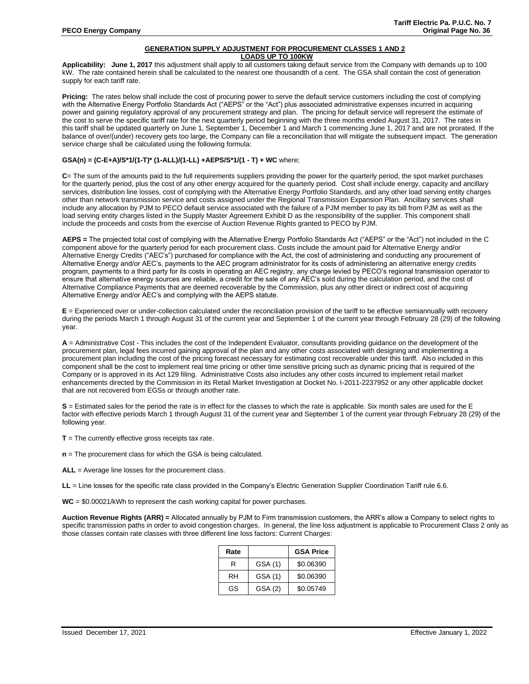#### **GENERATION SUPPLY ADJUSTMENT FOR PROCUREMENT CLASSES 1 AND 2 LOADS UP TO 100KW**

Applicability: June 1, 2017 this adjustment shall apply to all customers taking default service from the Company with demands up to 100 kW. The rate contained herein shall be calculated to the nearest one thousandth of a cent. The GSA shall contain the cost of generation supply for each tariff rate.

**Pricing:** The rates below shall include the cost of procuring power to serve the default service customers including the cost of complying with the Alternative Energy Portfolio Standards Act ("AEPS" or the "Act") plus associated administrative expenses incurred in acquiring power and gaining regulatory approval of any procurement strategy and plan. The pricing for default service will represent the estimate of the cost to serve the specific tariff rate for the next quarterly period beginning with the three months ended August 31, 2017. The rates in this tariff shall be updated quarterly on June 1, September 1, December 1 and March 1 commencing June 1, 2017 and are not prorated. If the balance of over/(under) recovery gets too large, the Company can file a reconciliation that will mitigate the subsequent impact. The generation service charge shall be calculated using the following formula:

# **GSA(n) = (C-E+A)/S\*1/(1-T)\* (1-ALL)/(1-LL) +AEPS/S\*1/(1 - T) + WC** where;

**C**= The sum of the amounts paid to the full requirements suppliers providing the power for the quarterly period, the spot market purchases for the quarterly period, plus the cost of any other energy acquired for the quarterly period. Cost shall include energy, capacity and ancillary services, distribution line losses, cost of complying with the Alternative Energy Portfolio Standards, and any other load serving entity charges other than network transmission service and costs assigned under the Regional Transmission Expansion Plan. Ancillary services shall include any allocation by PJM to PECO default service associated with the failure of a PJM member to pay its bill from PJM as well as the load serving entity charges listed in the Supply Master Agreement Exhibit D as the responsibility of the supplier. This component shall include the proceeds and costs from the exercise of Auction Revenue Rights granted to PECO by PJM.

**AEPS =** The projected total cost of complying with the Alternative Energy Portfolio Standards Act ("AEPS" or the "Act") not included in the C component above for the quarterly period for each procurement class. Costs include the amount paid for Alternative Energy and/or Alternative Energy Credits ("AEC's") purchased for compliance with the Act, the cost of administering and conducting any procurement of Alternative Energy and/or AEC's, payments to the AEC program administrator for its costs of administering an alternative energy credits program, payments to a third party for its costs in operating an AEC registry, any charge levied by PECO's regional transmission operator to ensure that alternative energy sources are reliable, a credit for the sale of any AEC's sold during the calculation period, and the cost of Alternative Compliance Payments that are deemed recoverable by the Commission, plus any other direct or indirect cost of acquiring Alternative Energy and/or AEC's and complying with the AEPS statute.

**E** = Experienced over or under-collection calculated under the reconciliation provision of the tariff to be effective semiannually with recovery during the periods March 1 through August 31 of the current year and September 1 of the current year through February 28 (29) of the following year.

**A** = Administrative Cost - This includes the cost of the Independent Evaluator, consultants providing guidance on the development of the procurement plan, legal fees incurred gaining approval of the plan and any other costs associated with designing and implementing a procurement plan including the cost of the pricing forecast necessary for estimating cost recoverable under this tariff. Also included in this component shall be the cost to implement real time pricing or other time sensitive pricing such as dynamic pricing that is required of the Company or is approved in its Act 129 filing. Administrative Costs also includes any other costs incurred to implement retail market enhancements directed by the Commission in its Retail Market Investigation at Docket No. I-2011-2237952 or any other applicable docket that are not recovered from EGSs or through another rate.

**S** = Estimated sales for the period the rate is in effect for the classes to which the rate is applicable. Six month sales are used for the E factor with effective periods March 1 through August 31 of the current year and September 1 of the current year through February 28 (29) of the following year.

**T** = The currently effective gross receipts tax rate.

**n** = The procurement class for which the GSA is being calculated.

**ALL** = Average line losses for the procurement class.

**LL** = Line losses for the specific rate class provided in the Company's Electric Generation Supplier Coordination Tariff rule 6.6.

**WC** = \$0.00021/kWh to represent the cash working capital for power purchases.

**Auction Revenue Rights (ARR) =** Allocated annually by PJM to Firm transmission customers, the ARR's allow a Company to select rights to specific transmission paths in order to avoid congestion charges. In general, the line loss adjustment is applicable to Procurement Class 2 only as those classes contain rate classes with three different line loss factors: Current Charges:

| Rate |         | <b>GSA Price</b> |
|------|---------|------------------|
| R    | GSA (1) | \$0.06390        |
| RH   | GSA (1) | \$0.06390        |
| GS   | GSA (2) | \$0.05749        |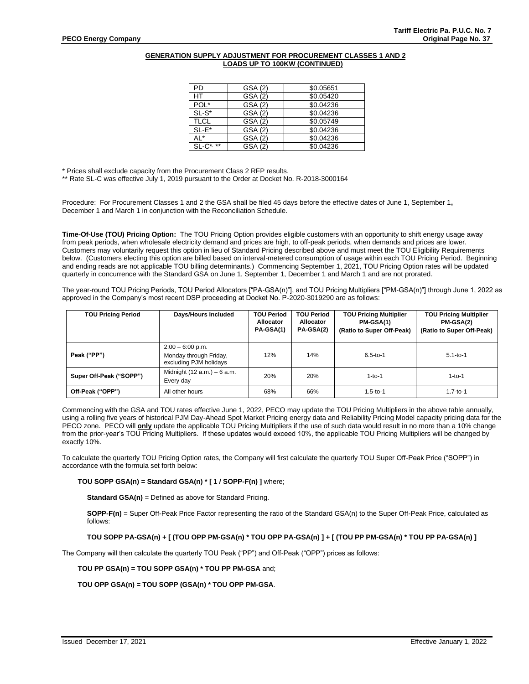## **GENERATION SUPPLY ADJUSTMENT FOR PROCUREMENT CLASSES 1 AND 2 LOADS UP TO 100KW (CONTINUED)**

| PD            | GSA (2) | \$0.05651 |
|---------------|---------|-----------|
| НT            | GSA (2) | \$0.05420 |
| POL*          | GSA (2) | \$0.04236 |
| $SL-S^*$      | GSA (2) | \$0.04236 |
| <b>TLCL</b>   | GSA (2) | \$0.05749 |
| $SL-E^*$      | GSA (2) | \$0.04236 |
| AL*           | GSA (2) | \$0.04236 |
| $SL-C^{*,**}$ | GSA (2) | \$0.04236 |

\* Prices shall exclude capacity from the Procurement Class 2 RFP results.

\*\* Rate SL-C was effective July 1, 2019 pursuant to the Order at Docket No. R-2018-3000164

Procedure: For Procurement Classes 1 and 2 the GSA shall be filed 45 days before the effective dates of June 1, September 1**,**  December 1 and March 1 in conjunction with the Reconciliation Schedule.

**Time-Of-Use (TOU) Pricing Option:** The TOU Pricing Option provides eligible customers with an opportunity to shift energy usage away from peak periods, when wholesale electricity demand and prices are high, to off-peak periods, when demands and prices are lower. Customers may voluntarily request this option in lieu of Standard Pricing described above and must meet the TOU Eligibility Requirements below. (Customers electing this option are billed based on interval-metered consumption of usage within each TOU Pricing Period. Beginning and ending reads are not applicable TOU billing determinants.) Commencing September 1, 2021, TOU Pricing Option rates will be updated quarterly in concurrence with the Standard GSA on June 1, September 1, December 1 and March 1 and are not prorated.

The year-round TOU Pricing Periods, TOU Period Allocators ["PA-GSA(n)"], and TOU Pricing Multipliers ["PM-GSA(n)"] through June 1, 2022 as approved in the Company's most recent DSP proceeding at Docket No. P-2020-3019290 are as follows:

| <b>TOU Pricing Period</b> | Days/Hours Included                                                    | <b>TOU Period</b><br>Allocator<br>PA-GSA(1) | <b>TOU Period</b><br>Allocator<br>PA-GSA(2) | <b>TOU Pricing Multiplier</b><br>PM-GSA(1)<br>(Ratio to Super Off-Peak) | <b>TOU Pricing Multiplier</b><br>PM-GSA(2)<br>(Ratio to Super Off-Peak) |
|---------------------------|------------------------------------------------------------------------|---------------------------------------------|---------------------------------------------|-------------------------------------------------------------------------|-------------------------------------------------------------------------|
| Peak ("PP")               | $2:00 - 6:00$ p.m.<br>Monday through Friday,<br>excluding PJM holidays | 12%                                         | 14%                                         | $6.5 - to - 1$                                                          | $5.1 - to - 1$                                                          |
| Super Off-Peak ("SOPP")   | Midnight $(12 a.m.) - 6 a.m.$<br>Every day                             | 20%                                         | 20%                                         | $1 - 10 - 1$                                                            | $1 - 10 - 1$                                                            |
| Off-Peak ("OPP")          | All other hours                                                        | 68%                                         | 66%                                         | $1.5 - to - 1$                                                          | $1.7 - to - 1$                                                          |

Commencing with the GSA and TOU rates effective June 1, 2022, PECO may update the TOU Pricing Multipliers in the above table annually, using a rolling five years of historical PJM Day-Ahead Spot Market Pricing energy data and Reliability Pricing Model capacity pricing data for the PECO zone. PECO will **only** update the applicable TOU Pricing Multipliers if the use of such data would result in no more than a 10% change from the prior-year's TOU Pricing Multipliers. If these updates would exceed 10%, the applicable TOU Pricing Multipliers will be changed by exactly 10%.

To calculate the quarterly TOU Pricing Option rates, the Company will first calculate the quarterly TOU Super Off-Peak Price ("SOPP") in accordance with the formula set forth below:

## **TOU SOPP GSA(n) = Standard GSA(n) \* [ 1 / SOPP-F(n) ]** where;

**Standard GSA(n)** = Defined as above for Standard Pricing.

**SOPP-F(n)** = Super Off-Peak Price Factor representing the ratio of the Standard GSA(n) to the Super Off-Peak Price, calculated as follows:

## **TOU SOPP PA-GSA(n) + [ (TOU OPP PM-GSA(n) \* TOU OPP PA-GSA(n) ] + [ (TOU PP PM-GSA(n) \* TOU PP PA-GSA(n) ]**

The Company will then calculate the quarterly TOU Peak ("PP") and Off-Peak ("OPP") prices as follows:

## **TOU PP GSA(n) = TOU SOPP GSA(n) \* TOU PP PM-GSA** and;

**TOU OPP GSA(n) = TOU SOPP (GSA(n) \* TOU OPP PM-GSA**.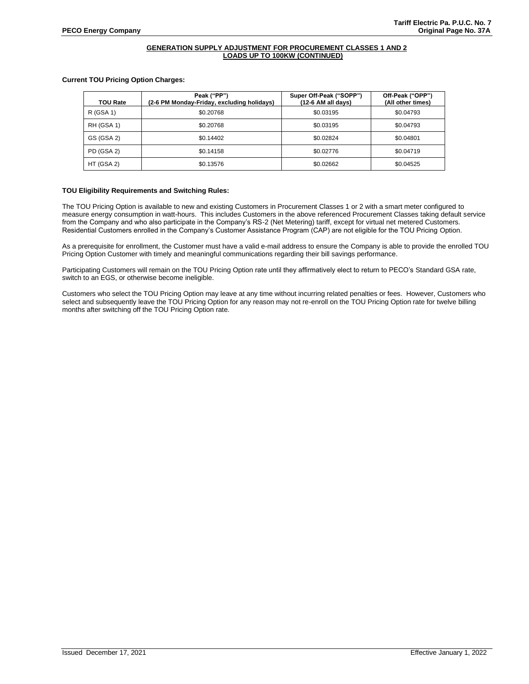# **GENERATION SUPPLY ADJUSTMENT FOR PROCUREMENT CLASSES 1 AND 2 LOADS UP TO 100KW (CONTINUED)**

## **Current TOU Pricing Option Charges:**

| <b>TOU Rate</b> | Peak ("PP")<br>(2-6 PM Monday-Friday, excluding holidays) | Super Off-Peak ("SOPP")<br>(12-6 AM all days) | Off-Peak ("OPP")<br>(All other times) |
|-----------------|-----------------------------------------------------------|-----------------------------------------------|---------------------------------------|
| R (GSA 1)       | \$0.20768                                                 | \$0.03195                                     | \$0.04793                             |
| RH (GSA 1)      | \$0.20768                                                 | \$0.03195                                     | \$0.04793                             |
| GS (GSA 2)      | \$0.14402                                                 | \$0.02824                                     | \$0.04801                             |
| PD (GSA 2)      | \$0.14158                                                 | \$0.02776                                     | \$0.04719                             |
| HT (GSA 2)      | \$0.13576                                                 | \$0.02662                                     | \$0.04525                             |

## **TOU Eligibility Requirements and Switching Rules:**

The TOU Pricing Option is available to new and existing Customers in Procurement Classes 1 or 2 with a smart meter configured to measure energy consumption in watt-hours. This includes Customers in the above referenced Procurement Classes taking default service from the Company and who also participate in the Company's RS-2 (Net Metering) tariff, except for virtual net metered Customers. Residential Customers enrolled in the Company's Customer Assistance Program (CAP) are not eligible for the TOU Pricing Option.

As a prerequisite for enrollment, the Customer must have a valid e-mail address to ensure the Company is able to provide the enrolled TOU Pricing Option Customer with timely and meaningful communications regarding their bill savings performance.

Participating Customers will remain on the TOU Pricing Option rate until they affirmatively elect to return to PECO's Standard GSA rate, switch to an EGS, or otherwise become ineligible.

Customers who select the TOU Pricing Option may leave at any time without incurring related penalties or fees. However, Customers who select and subsequently leave the TOU Pricing Option for any reason may not re-enroll on the TOU Pricing Option rate for twelve billing months after switching off the TOU Pricing Option rate.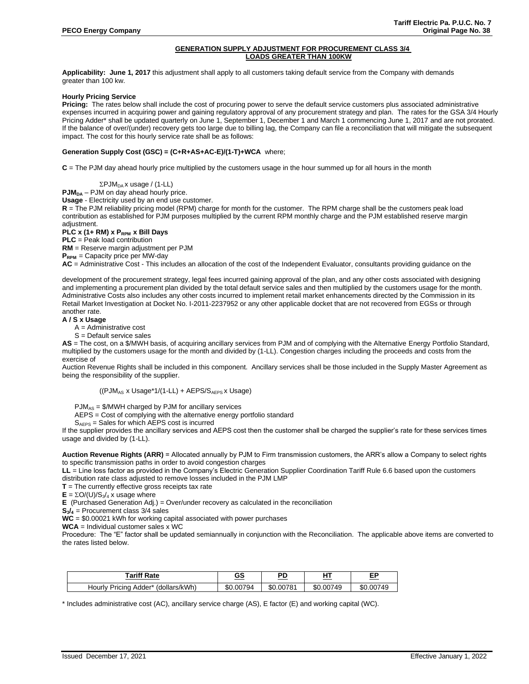# **GENERATION SUPPLY ADJUSTMENT FOR PROCUREMENT CLASS 3/4 LOADS GREATER THAN 100KW**

**Applicability: June 1, 2017** this adjustment shall apply to all customers taking default service from the Company with demands greater than 100 kw.

## **Hourly Pricing Service**

**Pricing:** The rates below shall include the cost of procuring power to serve the default service customers plus associated administrative expenses incurred in acquiring power and gaining regulatory approval of any procurement strategy and plan. The rates for the GSA 3/4 Hourly Pricing Adder\* shall be updated quarterly on June 1, September 1, December 1 and March 1 commencing June 1, 2017 and are not prorated. If the balance of over/(under) recovery gets too large due to billing lag, the Company can file a reconciliation that will mitigate the subsequent impact. The cost for this hourly service rate shall be as follows:

## **Generation Supply Cost (GSC) = (C+R+AS+AC-E)/(1-T)+WCA** where;

**C** = The PJM day ahead hourly price multiplied by the customers usage in the hour summed up for all hours in the month

 $\Sigma$ PJM<sub>DA</sub> x usage / (1-LL)

**PJM**<sub>DA</sub> – PJM on day ahead hourly price.

**Usage** - Electricity used by an end use customer.

**R** = The PJM reliability pricing model (RPM) charge for month for the customer. The RPM charge shall be the customers peak load contribution as established for PJM purposes multiplied by the current RPM monthly charge and the PJM established reserve margin adjustment.

**PLC x (1+ RM) x PRPM x Bill Days**

**PLC** = Peak load contribution

**RM** = Reserve margin adjustment per PJM

**PRPM** = Capacity price per MW-day

**AC** = Administrative Cost - This includes an allocation of the cost of the Independent Evaluator, consultants providing guidance on the

development of the procurement strategy, legal fees incurred gaining approval of the plan, and any other costs associated with designing and implementing a procurement plan divided by the total default service sales and then multiplied by the customers usage for the month. Administrative Costs also includes any other costs incurred to implement retail market enhancements directed by the Commission in its Retail Market Investigation at Docket No. I-2011-2237952 or any other applicable docket that are not recovered from EGSs or through another rate.

#### **A / S x Usage**

A = Administrative cost

S = Default service sales

**AS** = The cost, on a \$/MWH basis, of acquiring ancillary services from PJM and of complying with the Alternative Energy Portfolio Standard, multiplied by the customers usage for the month and divided by (1-LL). Congestion charges including the proceeds and costs from the exercise of

Auction Revenue Rights shall be included in this component. Ancillary services shall be those included in the Supply Master Agreement as being the responsibility of the supplier.

$$
((PJM_{AS} \times Usage^1/(1-LL) + AEPS/S_{AEPS} \times Usage)
$$

PJMAS = \$/MWH charged by PJM for ancillary services

AEPS = Cost of complying with the alternative energy portfolio standard

 $S_{AEPS}$  = Sales for which  $AEPS$  cost is incurred

If the supplier provides the ancillary services and AEPS cost then the customer shall be charged the supplier's rate for these services times usage and divided by (1-LL).

**Auction Revenue Rights (ARR)** = Allocated annually by PJM to Firm transmission customers, the ARR's allow a Company to select rights to specific transmission paths in order to avoid congestion charges

**LL** = Line loss factor as provided in the Company's Electric Generation Supplier Coordination Tariff Rule 6.6 based upon the customers distribution rate class adjusted to remove losses included in the PJM LMP

 $T$  = The currently effective gross receipts tax rate

 $E = \Sigma O/(U)/S_3/4$  x usage where

**E** (Purchased Generation Adj.) = Over/under recovery as calculated in the reconciliation

**S3/<sup>4</sup>** = Procurement class 3/4 sales

**WC** = \$0.00021 kWh for working capital associated with power purchases

**WCA** = Individual customer sales x WC

Procedure: The "E" factor shall be updated semiannually in conjunction with the Reconciliation. The applicable above items are converted to the rates listed below.

| Tariff Rate                                 | ~~                  | nг            | .             | --           |
|---------------------------------------------|---------------------|---------------|---------------|--------------|
|                                             | <u>دى</u>           | – L           | ____          |              |
| 'dollars/kWh<br>Adder*<br>Pricina<br>Hourly | .00794<br>œ۵<br>æС. | .00781<br>\$C | .00749<br>\$C | 00749<br>.৯৷ |

\* Includes administrative cost (AC), ancillary service charge (AS), E factor (E) and working capital (WC).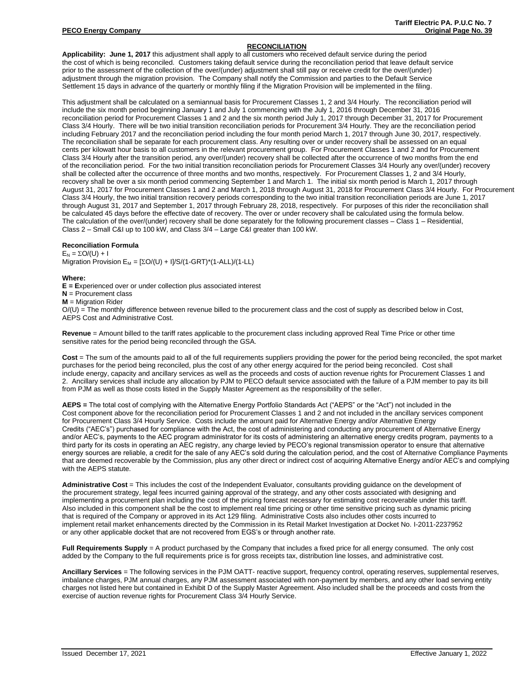# **RECONCILIATION**

**Applicability: June 1, 2017** this adjustment shall apply to all customers who received default service during the period the cost of which is being reconciled. Customers taking default service during the reconciliation period that leave default service prior to the assessment of the collection of the over/(under) adjustment shall still pay or receive credit for the over/(under) adjustment through the migration provision. The Company shall notify the Commission and parties to the Default Service Settlement 15 days in advance of the quarterly or monthly filing if the Migration Provision will be implemented in the filing.

This adjustment shall be calculated on a semiannual basis for Procurement Classes 1, 2 and 3/4 Hourly. The reconciliation period will include the six month period beginning January 1 and July 1 commencing with the July 1, 2016 through December 31, 2016 reconciliation period for Procurement Classes 1 and 2 and the six month period July 1, 2017 through December 31, 2017 for Procurement Class 3/4 Hourly. There will be two initial transition reconciliation periods for Procurement 3/4 Hourly. They are the reconciliation period including February 2017 and the reconciliation period including the four month period March 1, 2017 through June 30, 2017, respectively. The reconciliation shall be separate for each procurement class. Any resulting over or under recovery shall be assessed on an equal cents per kilowatt hour basis to all customers in the relevant procurement group. For Procurement Classes 1 and 2 and for Procurement Class 3/4 Hourly after the transition period, any over/(under) recovery shall be collected after the occurrence of two months from the end of the reconciliation period. For the two initial transition reconciliation periods for Procurement Classes 3/4 Hourly any over/(under) recovery shall be collected after the occurrence of three months and two months, respectively. For Procurement Classes 1, 2 and 3/4 Hourly, recovery shall be over a six month period commencing September 1 and March 1. The initial six month period is March 1, 2017 through August 31, 2017 for Procurement Classes 1 and 2 and March 1, 2018 through August 31, 2018 for Procurement Class 3/4 Hourly. For Procurement Class 3/4 Hourly, the two initial transition recovery periods corresponding to the two initial transition reconciliation periods are June 1, 2017 through August 31, 2017 and September 1, 2017 through February 28, 2018, respectively. For purposes of this rider the reconciliation shall be calculated 45 days before the effective date of recovery. The over or under recovery shall be calculated using the formula below. The calculation of the over/(under) recovery shall be done separately for the following procurement classes – Class 1 – Residential, Class 2 – Small C&I up to 100 kW, and Class 3/4 – Large C&I greater than 100 kW.

## **Reconciliation Formula**

 $E_N = \Sigma O/(U) + I$ Migration Provision  $E_M = [\Sigma O/(U) + I/S/(1-GRT)^*(1-ALL)/(1-LL)$ 

## **Where:**

**E = E**xperienced over or under collection plus associated interest

**N** = Procurement class

**M** = Migration Rider

 $O/(U)$  = The monthly difference between revenue billed to the procurement class and the cost of supply as described below in Cost, AEPS Cost and Administrative Cost.

**Revenue** = Amount billed to the tariff rates applicable to the procurement class including approved Real Time Price or other time sensitive rates for the period being reconciled through the GSA.

**Cost** = The sum of the amounts paid to all of the full requirements suppliers providing the power for the period being reconciled, the spot market purchases for the period being reconciled, plus the cost of any other energy acquired for the period being reconciled. Cost shall include energy, capacity and ancillary services as well as the proceeds and costs of auction revenue rights for Procurement Classes 1 and 2. Ancillary services shall include any allocation by PJM to PECO default service associated with the failure of a PJM member to pay its bill from PJM as well as those costs listed in the Supply Master Agreement as the responsibility of the seller.

**AEPS =** The total cost of complying with the Alternative Energy Portfolio Standards Act ("AEPS" or the "Act") not included in the Cost component above for the reconciliation period for Procurement Classes 1 and 2 and not included in the ancillary services component for Procurement Class 3/4 Hourly Service. Costs include the amount paid for Alternative Energy and/or Alternative Energy Credits ("AEC's") purchased for compliance with the Act, the cost of administering and conducting any procurement of Alternative Energy and/or AEC's, payments to the AEC program administrator for its costs of administering an alternative energy credits program, payments to a third party for its costs in operating an AEC registry, any charge levied by PECO's regional transmission operator to ensure that alternative energy sources are reliable, a credit for the sale of any AEC's sold during the calculation period, and the cost of Alternative Compliance Payments that are deemed recoverable by the Commission, plus any other direct or indirect cost of acquiring Alternative Energy and/or AEC's and complying with the AEPS statute.

**Administrative Cost** = This includes the cost of the Independent Evaluator, consultants providing guidance on the development of the procurement strategy, legal fees incurred gaining approval of the strategy, and any other costs associated with designing and implementing a procurement plan including the cost of the pricing forecast necessary for estimating cost recoverable under this tariff. Also included in this component shall be the cost to implement real time pricing or other time sensitive pricing such as dynamic pricing that is required of the Company or approved in its Act 129 filing. Administrative Costs also includes other costs incurred to implement retail market enhancements directed by the Commission in its Retail Market Investigation at Docket No. I-2011-2237952 or any other applicable docket that are not recovered from EGS's or through another rate.

**Full Requirements Supply** = A product purchased by the Company that includes a fixed price for all energy consumed. The only cost added by the Company to the full requirements price is for gross receipts tax, distribution line losses, and administrative cost.

**Ancillary Services** = The following services in the PJM OATT- reactive support, frequency control, operating reserves, supplemental reserves, imbalance charges, PJM annual charges, any PJM assessment associated with non-payment by members, and any other load serving entity charges not listed here but contained in Exhibit D of the Supply Master Agreement. Also included shall be the proceeds and costs from the exercise of auction revenue rights for Procurement Class 3/4 Hourly Service.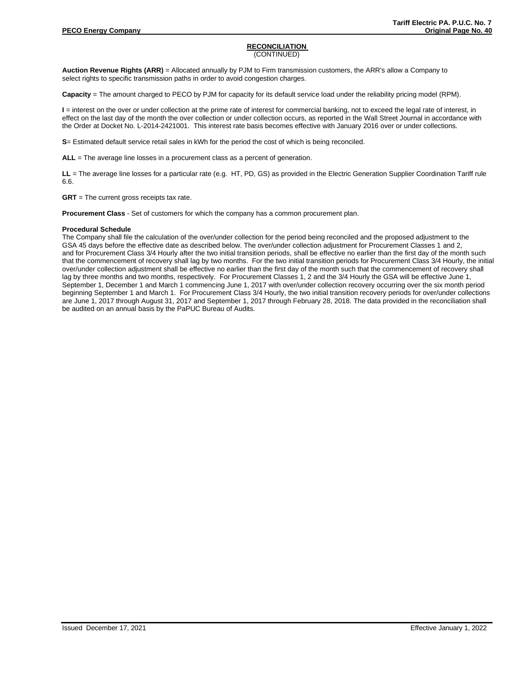## **RECONCILIATION**  (CONTINUED)

**Auction Revenue Rights (ARR)** = Allocated annually by PJM to Firm transmission customers, the ARR's allow a Company to select rights to specific transmission paths in order to avoid congestion charges.

**Capacity** = The amount charged to PECO by PJM for capacity for its default service load under the reliability pricing model (RPM).

**I** = interest on the over or under collection at the prime rate of interest for commercial banking, not to exceed the legal rate of interest, in effect on the last day of the month the over collection or under collection occurs, as reported in the Wall Street Journal in accordance with the Order at Docket No. L-2014-2421001. This interest rate basis becomes effective with January 2016 over or under collections.

**S**= Estimated default service retail sales in kWh for the period the cost of which is being reconciled.

**ALL** = The average line losses in a procurement class as a percent of generation.

**LL** = The average line losses for a particular rate (e.g. HT, PD, GS) as provided in the Electric Generation Supplier Coordination Tariff rule 6.6.

**GRT** = The current gross receipts tax rate.

**Procurement Class** - Set of customers for which the company has a common procurement plan.

## **Procedural Schedule**

The Company shall file the calculation of the over/under collection for the period being reconciled and the proposed adjustment to the GSA 45 days before the effective date as described below. The over/under collection adjustment for Procurement Classes 1 and 2, and for Procurement Class 3/4 Hourly after the two initial transition periods, shall be effective no earlier than the first day of the month such that the commencement of recovery shall lag by two months. For the two initial transition periods for Procurement Class 3/4 Hourly, the initial over/under collection adjustment shall be effective no earlier than the first day of the month such that the commencement of recovery shall lag by three months and two months, respectively. For Procurement Classes 1, 2 and the 3/4 Hourly the GSA will be effective June 1, September 1, December 1 and March 1 commencing June 1, 2017 with over/under collection recovery occurring over the six month period beginning September 1 and March 1. For Procurement Class 3/4 Hourly, the two initial transition recovery periods for over/under collections are June 1, 2017 through August 31, 2017 and September 1, 2017 through February 28, 2018. The data provided in the reconciliation shall be audited on an annual basis by the PaPUC Bureau of Audits.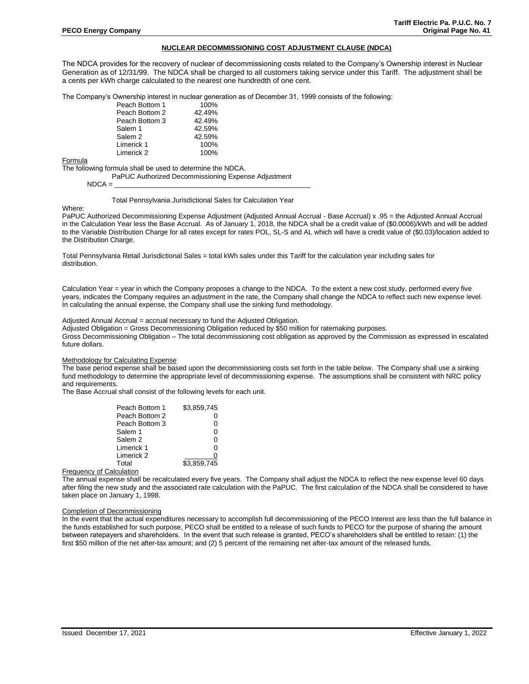## **NUCLEAR DECOMMISSIONING COST ADJUSTMENT CLAUSE (NDCA)**

The NDCA provides for the recovery of nuclear of decommissioning costs related to the Company's Ownership interest in Nuclear Generation as of 12/31/99. The NDCA shall be charged to all customers taking service under this Tariff. The adjustment shall be a cents per kWh charge calculated to the nearest one hundredth of one cent.

The Company's Ownership interest in nuclear generation as of December 31, 1999 consists of the following:

| Peach Bottom 1 | 100%   |
|----------------|--------|
| Peach Bottom 2 | 42.49% |
| Peach Bottom 3 | 42.49% |
| Salem 1        | 42.59% |
| Salem 2        | 42.59% |
| Limerick 1     | 100%   |
| Limerick 2     | 100%   |
|                |        |

Formula

The following formula shall be used to determine the NDCA.

PaPUC Authorized Decommissioning Expense Adjustment

 $NDCA =$ 

#### Total Pennsylvania Jurisdictional Sales for Calculation Year

Where:

PaPUC Authorized Decommissioning Expense Adjustment (Adjusted Annual Accrual - Base Accrual) x .95 = the Adjusted Annual Accrual in the Calculation Year less the Base Accrual. As of January 1, 2018, the NDCA shall be a credit value of (\$0.0006)/kWh and will be added to the Variable Distribution Charge for all rates except for rates POL, SL-S and AL which will have a credit value of (\$0.03)/location added to the Distribution Charge.

Total Pennsylvania Retail Jurisdictional Sales = total kWh sales under this Tariff for the calculation year including sales for distribution.

Calculation Year = year in which the Company proposes a change to the NDCA. To the extent a new cost study, performed every five years, indicates the Company requires an adjustment in the rate, the Company shall change the NDCA to reflect such new expense level. In calculating the annual expense, the Company shall use the sinking fund methodology.

#### Adjusted Annual Accrual = accrual necessary to fund the Adjusted Obligation.

Adjusted Obligation = Gross Decommissioning Obligation reduced by \$50 million for ratemaking purposes. Gross Decommissioning Obligation – The total decommissioning cost obligation as approved by the Commission as expressed in escalated future dollars.

#### Methodology for Calculating Expense

The base period expense shall be based upon the decommissioning costs set forth in the table below. The Company shall use a sinking fund methodology to determine the appropriate level of decommissioning expense. The assumptions shall be consistent with NRC policy and requirements.

The Base Accrual shall consist of the following levels for each unit.

| Peach Bottom 1 | \$3.859.745 |
|----------------|-------------|
| Peach Bottom 2 | 0           |
| Peach Bottom 3 | 0           |
| Salem 1        | 0           |
| Salem 2        | 0           |
| Limerick 1     | 0           |
| Limerick 2     |             |
| Total          | \$3.859.745 |
| مستلف والمساح  |             |

Frequency of Calculation

The annual expense shall be recalculated every five years. The Company shall adjust the NDCA to reflect the new expense level 60 days after filing the new study and the associated rate calculation with the PaPUC. The first calculation of the NDCA shall be considered to have taken place on January 1, 1998.

# Completion of Decommissioning

In the event that the actual expenditures necessary to accomplish full decommissioning of the PECO Interest are less than the full balance in the funds established for such purpose, PECO shall be entitled to a release of such funds to PECO for the purpose of sharing the amount between ratepayers and shareholders. In the event that such release is granted, PECO's shareholders shall be entitled to retain: (1) the first \$50 million of the net after-tax amount; and (2) 5 percent of the remaining net after-tax amount of the released funds.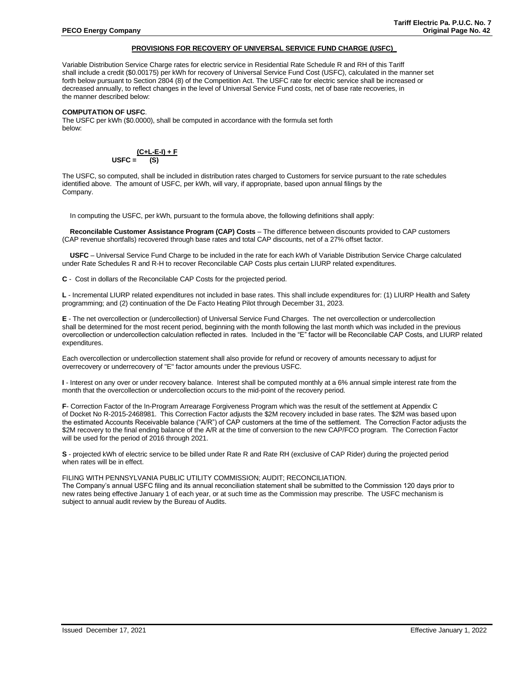## **PROVISIONS FOR RECOVERY OF UNIVERSAL SERVICE FUND CHARGE (USFC)\_**

Variable Distribution Service Charge rates for electric service in Residential Rate Schedule R and RH of this Tariff shall include a credit (\$0.00175) per kWh for recovery of Universal Service Fund Cost (USFC), calculated in the manner set forth below pursuant to Section 2804 (8) of the Competition Act. The USFC rate for electric service shall be increased or decreased annually, to reflect changes in the level of Universal Service Fund costs, net of base rate recoveries, in the manner described below:

#### **COMPUTATION OF USFC**.

The USFC per kWh (\$0.0000), shall be computed in accordance with the formula set forth below:

$$
USFC = \frac{(C + L - E - I) + F}{(S)}
$$

The USFC, so computed, shall be included in distribution rates charged to Customers for service pursuant to the rate schedules identified above. The amount of USFC, per kWh, will vary, if appropriate, based upon annual filings by the Company.

In computing the USFC, per kWh, pursuant to the formula above, the following definitions shall apply:

**Reconcilable Customer Assistance Program (CAP) Costs** – The difference between discounts provided to CAP customers (CAP revenue shortfalls) recovered through base rates and total CAP discounts, net of a 27% offset factor.

**USFC** – Universal Service Fund Charge to be included in the rate for each kWh of Variable Distribution Service Charge calculated under Rate Schedules R and R-H to recover Reconcilable CAP Costs plus certain LIURP related expenditures.

**C** - Cost in dollars of the Reconcilable CAP Costs for the projected period.

**L** - Incremental LIURP related expenditures not included in base rates. This shall include expenditures for: (1) LIURP Health and Safety programming; and (2) continuation of the De Facto Heating Pilot through December 31, 2023.

**E** - The net overcollection or (undercollection) of Universal Service Fund Charges. The net overcollection or undercollection shall be determined for the most recent period, beginning with the month following the last month which was included in the previous overcollection or undercollection calculation reflected in rates. Included in the "E" factor will be Reconcilable CAP Costs, and LIURP related expenditures.

Each overcollection or undercollection statement shall also provide for refund or recovery of amounts necessary to adjust for overrecovery or underrecovery of "E" factor amounts under the previous USFC.

**I** - Interest on any over or under recovery balance. Interest shall be computed monthly at a 6% annual simple interest rate from the month that the overcollection or undercollection occurs to the mid-point of the recovery period.

**F**- Correction Factor of the In-Program Arrearage Forgiveness Program which was the result of the settlement at Appendix C of Docket No R-2015-2468981. This Correction Factor adjusts the \$2M recovery included in base rates. The \$2M was based upon the estimated Accounts Receivable balance ("A/R") of CAP customers at the time of the settlement. The Correction Factor adjusts the \$2M recovery to the final ending balance of the A/R at the time of conversion to the new CAP/FCO program. The Correction Factor will be used for the period of 2016 through 2021.

**S** - projected kWh of electric service to be billed under Rate R and Rate RH (exclusive of CAP Rider) during the projected period when rates will be in effect.

FILING WITH PENNSYLVANIA PUBLIC UTILITY COMMISSION; AUDIT; RECONCILIATION.

The Company's annual USFC filing and its annual reconciliation statement shall be submitted to the Commission 120 days prior to new rates being effective January 1 of each year, or at such time as the Commission may prescribe. The USFC mechanism is subject to annual audit review by the Bureau of Audits.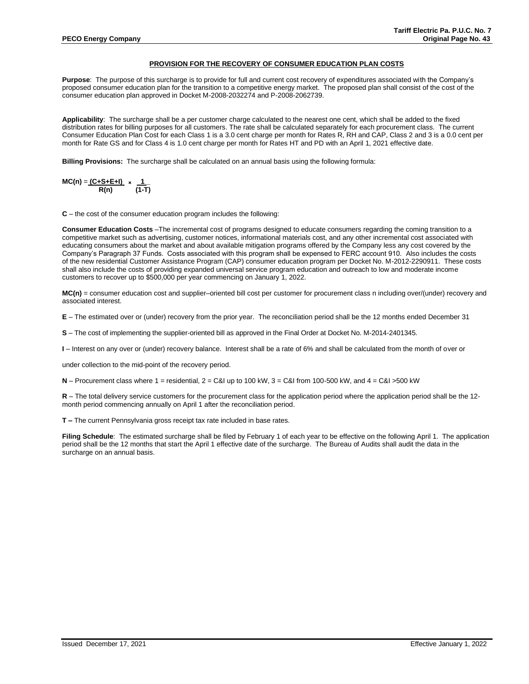## **PROVISION FOR THE RECOVERY OF CONSUMER EDUCATION PLAN COSTS**

**Purpose**: The purpose of this surcharge is to provide for full and current cost recovery of expenditures associated with the Company's proposed consumer education plan for the transition to a competitive energy market. The proposed plan shall consist of the cost of the consumer education plan approved in Docket M-2008-2032274 and P-2008-2062739.

**Applicability**: The surcharge shall be a per customer charge calculated to the nearest one cent, which shall be added to the fixed distribution rates for billing purposes for all customers. The rate shall be calculated separately for each procurement class. The current Consumer Education Plan Cost for each Class 1 is a 3.0 cent charge per month for Rates R, RH and CAP, Class 2 and 3 is a 0.0 cent per month for Rate GS and for Class 4 is 1.0 cent charge per month for Rates HT and PD with an April 1, 2021 effective date.

**Billing Provisions:** The surcharge shall be calculated on an annual basis using the following formula:

$$
MC(n) = \frac{(C + S + E + I)}{R(n)} \times \frac{1}{(1-T)}
$$

**C** – the cost of the consumer education program includes the following:

**Consumer Education Costs** –The incremental cost of programs designed to educate consumers regarding the coming transition to a competitive market such as advertising, customer notices, informational materials cost, and any other incremental cost associated with educating consumers about the market and about available mitigation programs offered by the Company less any cost covered by the Company's Paragraph 37 Funds. Costs associated with this program shall be expensed to FERC account 910. Also includes the costs of the new residential Customer Assistance Program (CAP) consumer education program per Docket No. M-2012-2290911. These costs shall also include the costs of providing expanded universal service program education and outreach to low and moderate income customers to recover up to \$500,000 per year commencing on January 1, 2022.

**MC(n)** = consumer education cost and supplier–oriented bill cost per customer for procurement class n including over/(under) recovery and associated interest.

**E** – The estimated over or (under) recovery from the prior year. The reconciliation period shall be the 12 months ended December 31

**S** – The cost of implementing the supplier-oriented bill as approved in the Final Order at Docket No. M-2014-2401345.

**I** – Interest on any over or (under) recovery balance. Interest shall be a rate of 6% and shall be calculated from the month of over or

under collection to the mid-point of the recovery period.

 $N -$  Procurement class where 1 = residential,  $2 = C&I$  up to 100 kW,  $3 = C&I$  from 100-500 kW, and  $4 = C&I$  >500 kW

**R** – The total delivery service customers for the procurement class for the application period where the application period shall be the 12 month period commencing annually on April 1 after the reconciliation period.

**T –** The current Pennsylvania gross receipt tax rate included in base rates.

**Filing Schedule**: The estimated surcharge shall be filed by February 1 of each year to be effective on the following April 1. The application period shall be the 12 months that start the April 1 effective date of the surcharge. The Bureau of Audits shall audit the data in the surcharge on an annual basis.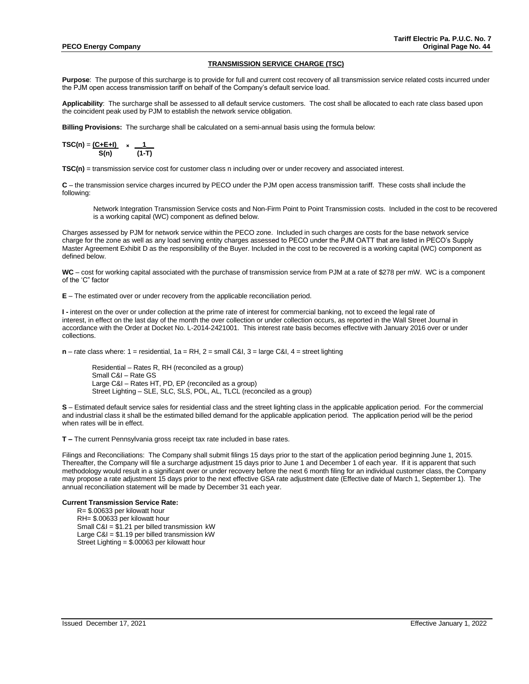#### **TRANSMISSION SERVICE CHARGE (TSC)**

**Purpose**: The purpose of this surcharge is to provide for full and current cost recovery of all transmission service related costs incurred under the PJM open access transmission tariff on behalf of the Company's default service load.

**Applicability**: The surcharge shall be assessed to all default service customers. The cost shall be allocated to each rate class based upon the coincident peak used by PJM to establish the network service obligation.

**Billing Provisions:** The surcharge shall be calculated on a semi-annual basis using the formula below:

TSC(n) = 
$$
\frac{(C+E+I)}{S(n)}
$$
 ×  $\frac{1}{(1-T)}$ 

**TSC(n)** = transmission service cost for customer class n including over or under recovery and associated interest.

**C** – the transmission service charges incurred by PECO under the PJM open access transmission tariff. These costs shall include the following:

Network Integration Transmission Service costs and Non-Firm Point to Point Transmission costs. Included in the cost to be recovered is a working capital (WC) component as defined below.

Charges assessed by PJM for network service within the PECO zone. Included in such charges are costs for the base network service charge for the zone as well as any load serving entity charges assessed to PECO under the PJM OATT that are listed in PECO's Supply Master Agreement Exhibit D as the responsibility of the Buyer. Included in the cost to be recovered is a working capital (WC) component as defined below.

**WC** – cost for working capital associated with the purchase of transmission service from PJM at a rate of \$278 per mW. WC is a component of the 'C" factor

**E** – The estimated over or under recovery from the applicable reconciliation period.

**I -** interest on the over or under collection at the prime rate of interest for commercial banking, not to exceed the legal rate of interest, in effect on the last day of the month the over collection or under collection occurs, as reported in the Wall Street Journal in accordance with the Order at Docket No. L-2014-2421001. This interest rate basis becomes effective with January 2016 over or under collections.

**n** – rate class where: 1 = residential, 1a = RH, 2 = small C&I, 3 = large C&I, 4 = street lighting

Residential – Rates R, RH (reconciled as a group) Small C&I – Rate GS Large C&I – Rates HT, PD, EP (reconciled as a group) Street Lighting – SLE, SLC, SLS, POL, AL, TLCL (reconciled as a group)

**S** – Estimated default service sales for residential class and the street lighting class in the applicable application period. For the commercial and industrial class it shall be the estimated billed demand for the applicable application period. The application period will be the period when rates will be in effect.

**T –** The current Pennsylvania gross receipt tax rate included in base rates.

Filings and Reconciliations: The Company shall submit filings 15 days prior to the start of the application period beginning June 1, 2015. Thereafter, the Company will file a surcharge adjustment 15 days prior to June 1 and December 1 of each year. If it is apparent that such methodology would result in a significant over or under recovery before the next 6 month filing for an individual customer class, the Company may propose a rate adjustment 15 days prior to the next effective GSA rate adjustment date (Effective date of March 1, September 1). The annual reconciliation statement will be made by December 31 each year.

#### **Current Transmission Service Rate:**

R= \$.00633 per kilowatt hour RH= \$.00633 per kilowatt hour Small  $C&I = $1.21$  per billed transmission kW Large C&I = \$1.19 per billed transmission kW Street Lighting = \$.00063 per kilowatt hour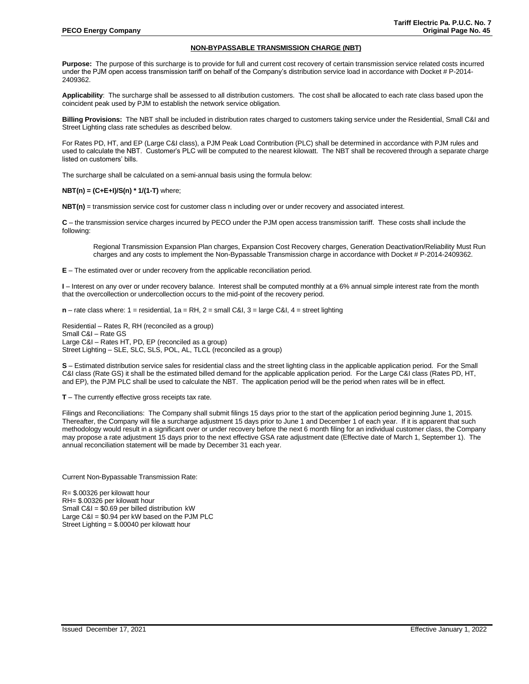## **NON-BYPASSABLE TRANSMISSION CHARGE (NBT)**

**Purpose:** The purpose of this surcharge is to provide for full and current cost recovery of certain transmission service related costs incurred under the PJM open access transmission tariff on behalf of the Company's distribution service load in accordance with Docket # P-2014- 2409362.

**Applicability**: The surcharge shall be assessed to all distribution customers. The cost shall be allocated to each rate class based upon the coincident peak used by PJM to establish the network service obligation.

**Billing Provisions:** The NBT shall be included in distribution rates charged to customers taking service under the Residential, Small C&I and Street Lighting class rate schedules as described below.

For Rates PD, HT, and EP (Large C&I class), a PJM Peak Load Contribution (PLC) shall be determined in accordance with PJM rules and used to calculate the NBT. Customer's PLC will be computed to the nearest kilowatt. The NBT shall be recovered through a separate charge listed on customers' bills.

The surcharge shall be calculated on a semi-annual basis using the formula below:

#### **NBT(n) = (C+E+I)/S(n) \* 1/(1-T)** where;

**NBT(n)** = transmission service cost for customer class n including over or under recovery and associated interest.

**C** – the transmission service charges incurred by PECO under the PJM open access transmission tariff. These costs shall include the following:

Regional Transmission Expansion Plan charges, Expansion Cost Recovery charges, Generation Deactivation/Reliability Must Run charges and any costs to implement the Non-Bypassable Transmission charge in accordance with Docket # P-2014-2409362.

**E** – The estimated over or under recovery from the applicable reconciliation period.

**I** – Interest on any over or under recovery balance. Interest shall be computed monthly at a 6% annual simple interest rate from the month that the overcollection or undercollection occurs to the mid-point of the recovery period.

**n** – rate class where: 1 = residential, 1a = RH, 2 = small C&I, 3 = large C&I, 4 = street lighting

Residential – Rates R, RH (reconciled as a group) Small C&I – Rate GS Large C&I – Rates HT, PD, EP (reconciled as a group) Street Lighting – SLE, SLC, SLS, POL, AL, TLCL (reconciled as a group)

**S** – Estimated distribution service sales for residential class and the street lighting class in the applicable application period. For the Small C&I class (Rate GS) it shall be the estimated billed demand for the applicable application period. For the Large C&I class (Rates PD, HT, and EP), the PJM PLC shall be used to calculate the NBT. The application period will be the period when rates will be in effect.

**T** – The currently effective gross receipts tax rate.

Filings and Reconciliations: The Company shall submit filings 15 days prior to the start of the application period beginning June 1, 2015. Thereafter, the Company will file a surcharge adjustment 15 days prior to June 1 and December 1 of each year. If it is apparent that such methodology would result in a significant over or under recovery before the next 6 month filing for an individual customer class, the Company may propose a rate adjustment 15 days prior to the next effective GSA rate adjustment date (Effective date of March 1, September 1). The annual reconciliation statement will be made by December 31 each year.

Current Non-Bypassable Transmission Rate:

R= \$.00326 per kilowatt hour RH= \$.00326 per kilowatt hour Small C&I = \$0.69 per billed distribution kW Large C&I = \$0.94 per kW based on the PJM PLC Street Lighting = \$.00040 per kilowatt hour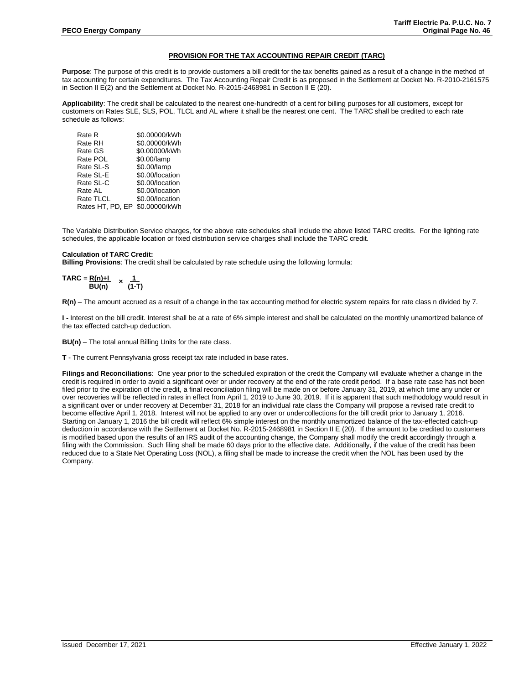## **PROVISION FOR THE TAX ACCOUNTING REPAIR CREDIT (TARC)**

**Purpose**: The purpose of this credit is to provide customers a bill credit for the tax benefits gained as a result of a change in the method of tax accounting for certain expenditures. The Tax Accounting Repair Credit is as proposed in the Settlement at Docket No. R-2010-2161575 in Section II E(2) and the Settlement at Docket No. R-2015-2468981 in Section II E (20).

**Applicability**: The credit shall be calculated to the nearest one-hundredth of a cent for billing purposes for all customers, except for customers on Rates SLE, SLS, POL, TLCL and AL where it shall be the nearest one cent. The TARC shall be credited to each rate schedule as follows:

| Rate R           | \$0.00000/kWh   |
|------------------|-----------------|
| Rate RH          | \$0.00000/kWh   |
| Rate GS          | \$0.00000/kWh   |
| Rate POL         | \$0.00/lamp     |
| Rate SL-S        | \$0.00/lamp     |
| Rate SL-E        | \$0.00/location |
| Rate SL-C        | \$0.00/location |
| Rate AL          | \$0.00/location |
| Rate TLCL        | \$0.00/location |
| Rates HT, PD, EP | \$0.00000/kWh   |
|                  |                 |

The Variable Distribution Service charges, for the above rate schedules shall include the above listed TARC credits. For the lighting rate schedules, the applicable location or fixed distribution service charges shall include the TARC credit.

## **Calculation of TARC Credit:**

**Billing Provisions**: The credit shall be calculated by rate schedule using the following formula:

$$
TARC = \frac{R(n)+1}{BU(n)} \times \frac{1}{(1-T)}
$$

**R(n)** – The amount accrued as a result of a change in the tax accounting method for electric system repairs for rate class n divided by 7.

**I -** Interest on the bill credit. Interest shall be at a rate of 6% simple interest and shall be calculated on the monthly unamortized balance of the tax effected catch-up deduction.

**BU(n)** – The total annual Billing Units for the rate class.

**T** - The current Pennsylvania gross receipt tax rate included in base rates.

**Filings and Reconciliations**: One year prior to the scheduled expiration of the credit the Company will evaluate whether a change in the credit is required in order to avoid a significant over or under recovery at the end of the rate credit period. If a base rate case has not been filed prior to the expiration of the credit, a final reconciliation filing will be made on or before January 31, 2019, at which time any under or over recoveries will be reflected in rates in effect from April 1, 2019 to June 30, 2019. If it is apparent that such methodology would result in a significant over or under recovery at December 31, 2018 for an individual rate class the Company will propose a revised rate credit to become effective April 1, 2018. Interest will not be applied to any over or undercollections for the bill credit prior to January 1, 2016. Starting on January 1, 2016 the bill credit will reflect 6% simple interest on the monthly unamortized balance of the tax-effected catch-up deduction in accordance with the Settlement at Docket No. R-2015-2468981 in Section II E (20). If the amount to be credited to customers is modified based upon the results of an IRS audit of the accounting change, the Company shall modify the credit accordingly through a filing with the Commission. Such filing shall be made 60 days prior to the effective date. Additionally, if the value of the credit has been reduced due to a State Net Operating Loss (NOL), a filing shall be made to increase the credit when the NOL has been used by the Company.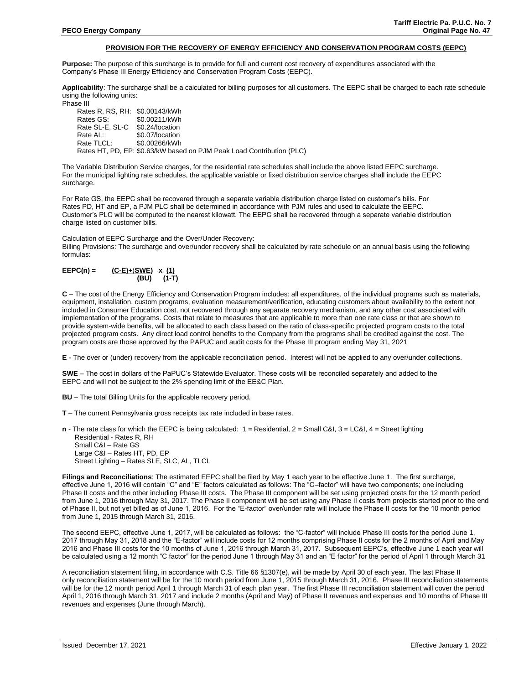## **PROVISION FOR THE RECOVERY OF ENERGY EFFICIENCY AND CONSERVATION PROGRAM COSTS (EEPC)**

**Purpose:** The purpose of this surcharge is to provide for full and current cost recovery of expenditures associated with the Company's Phase III Energy Efficiency and Conservation Program Costs (EEPC).

**Applicability**: The surcharge shall be a calculated for billing purposes for all customers. The EEPC shall be charged to each rate schedule using the following units:

Phase III

Rates R, RS, RH: \$0.00143/kWh  $$0.00211/kWh$ Rate SL-E, SL-C \$0.24/location<br>Rate AL: \$0.07/location Rate AL: \$0.07/location<br>Rate TLCL: \$0.00266/kWh \$0.00266/kWh Rates HT, PD, EP: \$0.63/kW based on PJM Peak Load Contribution (PLC)

The Variable Distribution Service charges, for the residential rate schedules shall include the above listed EEPC surcharge. For the municipal lighting rate schedules, the applicable variable or fixed distribution service charges shall include the EEPC surcharge.

For Rate GS, the EEPC shall be recovered through a separate variable distribution charge listed on customer's bills. For Rates PD, HT and EP, a PJM PLC shall be determined in accordance with PJM rules and used to calculate the EEPC. Customer's PLC will be computed to the nearest kilowatt. The EEPC shall be recovered through a separate variable distribution charge listed on customer bills.

#### Calculation of EEPC Surcharge and the Over/Under Recovery:

Billing Provisions: The surcharge and over/under recovery shall be calculated by rate schedule on an annual basis using the following formulas:

| $EEPC(n) =$ | $(C-E)+(SWE)$ x (1) |            |
|-------------|---------------------|------------|
|             |                     | (BU) (1-T) |

**C** – The cost of the Energy Efficiency and Conservation Program includes: all expenditures, of the individual programs such as materials, equipment, installation, custom programs, evaluation measurement/verification, educating customers about availability to the extent not included in Consumer Education cost, not recovered through any separate recovery mechanism, and any other cost associated with implementation of the programs. Costs that relate to measures that are applicable to more than one rate class or that are shown to provide system-wide benefits, will be allocated to each class based on the ratio of class-specific projected program costs to the total projected program costs. Any direct load control benefits to the Company from the programs shall be credited against the cost. The program costs are those approved by the PAPUC and audit costs for the Phase III program ending May 31, 2021

**E** - The over or (under) recovery from the applicable reconciliation period. Interest will not be applied to any over/under collections.

**SWE** – The cost in dollars of the PaPUC's Statewide Evaluator. These costs will be reconciled separately and added to the EEPC and will not be subject to the 2% spending limit of the EE&C Plan.

- **BU** The total Billing Units for the applicable recovery period.
- **T** The current Pennsylvania gross receipts tax rate included in base rates.

**n** - The rate class for which the EEPC is being calculated: 1 = Residential, 2 = Small C&I, 3 = LC&I, 4 = Street lighting Residential - Rates R, RH Small C&I – Rate GS Large C&I – Rates HT, PD, EP Street Lighting – Rates SLE, SLC, AL, TLCL

**Filings and Reconciliations**: The estimated EEPC shall be filed by May 1 each year to be effective June 1. The first surcharge, effective June 1, 2016 will contain "C" and "E" factors calculated as follows: The "C–factor" will have two components; one including Phase II costs and the other including Phase III costs. The Phase III component will be set using projected costs for the 12 month period from June 1, 2016 through May 31, 2017. The Phase II component will be set using any Phase II costs from projects started prior to the end of Phase II, but not yet billed as of June 1, 2016. For the "E-factor" over/under rate will include the Phase II costs for the 10 month period from June 1, 2015 through March 31, 2016.

The second EEPC, effective June 1, 2017, will be calculated as follows: the "C-factor" will include Phase III costs for the period June 1, 2017 through May 31, 2018 and the "E-factor" will include costs for 12 months comprising Phase II costs for the 2 months of April and May 2016 and Phase III costs for the 10 months of June 1, 2016 through March 31, 2017. Subsequent EEPC's, effective June 1 each year will be calculated using a 12 month "C factor" for the period June 1 through May 31 and an "E factor" for the period of April 1 through March 31

A reconciliation statement filing, in accordance with C.S. Title 66 §1307(e), will be made by April 30 of each year. The last Phase II only reconciliation statement will be for the 10 month period from June 1, 2015 through March 31, 2016. Phase III reconciliation statements will be for the 12 month period April 1 through March 31 of each plan year. The first Phase III reconciliation statement will cover the period April 1, 2016 through March 31, 2017 and include 2 months (April and May) of Phase II revenues and expenses and 10 months of Phase III revenues and expenses (June through March).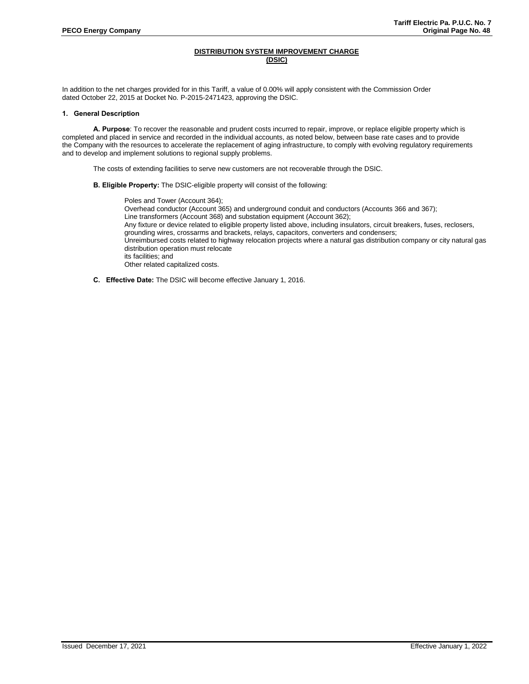# **DISTRIBUTION SYSTEM IMPROVEMENT CHARGE (DSIC)**

In addition to the net charges provided for in this Tariff, a value of 0.00% will apply consistent with the Commission Order dated October 22, 2015 at Docket No. P-2015-2471423, approving the DSIC.

#### **1. General Description**

**A. Purpose**: To recover the reasonable and prudent costs incurred to repair, improve, or replace eligible property which is completed and placed in service and recorded in the individual accounts, as noted below, between base rate cases and to provide the Company with the resources to accelerate the replacement of aging infrastructure, to comply with evolving regulatory requirements and to develop and implement solutions to regional supply problems.

The costs of extending facilities to serve new customers are not recoverable through the DSIC.

**B. Eligible Property:** The DSIC-eligible property will consist of the following:

Poles and Tower (Account 364); Overhead conductor (Account 365) and underground conduit and conductors (Accounts 366 and 367); Line transformers (Account 368) and substation equipment (Account 362); Any fixture or device related to eligible property listed above, including insulators, circuit breakers, fuses, reclosers, grounding wires, crossarms and brackets, relays, capacitors, converters and condensers; Unreimbursed costs related to highway relocation projects where a natural gas distribution company or city natural gas distribution operation must relocate its facilities; and Other related capitalized costs.

**C. Effective Date:** The DSIC will become effective January 1, 2016.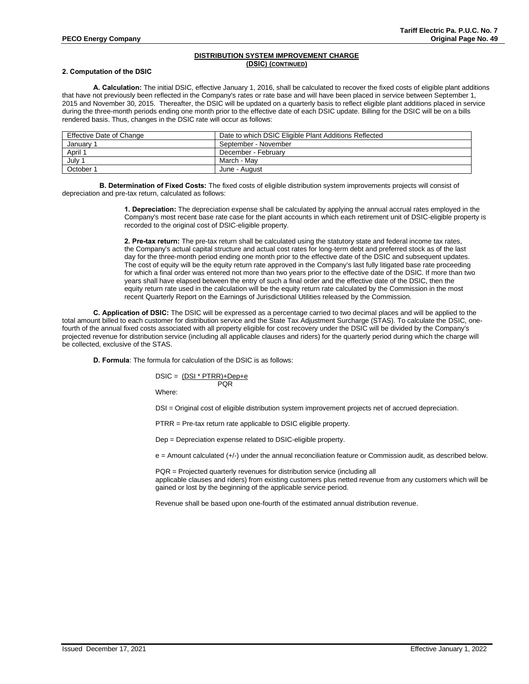## **DISTRIBUTION SYSTEM IMPROVEMENT CHARGE (DSIC) (CONTINUED)**

#### **2. Computation of the DSIC**

**A. Calculation:** The initial DSIC, effective January 1, 2016, shall be calculated to recover the fixed costs of eligible plant additions that have not previously been reflected in the Company's rates or rate base and will have been placed in service between September 1, 2015 and November 30, 2015. Thereafter, the DSIC will be updated on a quarterly basis to reflect eligible plant additions placed in service during the three-month periods ending one month prior to the effective date of each DSIC update. Billing for the DSIC will be on a bills rendered basis. Thus, changes in the DSIC rate will occur as follows:

| Effective Date of Change | Date to which DSIC Eligible Plant Additions Reflected |
|--------------------------|-------------------------------------------------------|
| Januarv                  | September - November                                  |
| April 1                  | December - February                                   |
| July '                   | March - Mav                                           |
| October 1                | June - August                                         |

**B. Determination of Fixed Costs:** The fixed costs of eligible distribution system improvements projects will consist of depreciation and pre-tax return, calculated as follows:

> **1. Depreciation:** The depreciation expense shall be calculated by applying the annual accrual rates employed in the Company's most recent base rate case for the plant accounts in which each retirement unit of DSIC-eligible property is recorded to the original cost of DSIC-eligible property.

**2. Pre-tax return:** The pre-tax return shall be calculated using the statutory state and federal income tax rates, the Company's actual capital structure and actual cost rates for long-term debt and preferred stock as of the last day for the three-month period ending one month prior to the effective date of the DSIC and subsequent updates. The cost of equity will be the equity return rate approved in the Company's last fully litigated base rate proceeding for which a final order was entered not more than two years prior to the effective date of the DSIC. If more than two years shall have elapsed between the entry of such a final order and the effective date of the DSIC, then the equity return rate used in the calculation will be the equity return rate calculated by the Commission in the most recent Quarterly Report on the Earnings of Jurisdictional Utilities released by the Commission.

**C. Application of DSIC:** The DSIC will be expressed as a percentage carried to two decimal places and will be applied to the total amount billed to each customer for distribution service and the State Tax Adjustment Surcharge (STAS). To calculate the DSIC, onefourth of the annual fixed costs associated with all property eligible for cost recovery under the DSIC will be divided by the Company's projected revenue for distribution service (including all applicable clauses and riders) for the quarterly period during which the charge will be collected, exclusive of the STAS.

**D. Formula**: The formula for calculation of the DSIC is as follows:

 $DSIC = (DSI * PTRR) + Dep + e$ **POR** 

Where:

DSI = Original cost of eligible distribution system improvement projects net of accrued depreciation.

PTRR = Pre-tax return rate applicable to DSIC eligible property.

Dep = Depreciation expense related to DSIC-eligible property.

e = Amount calculated (+/-) under the annual reconciliation feature or Commission audit, as described below.

PQR = Projected quarterly revenues for distribution service (including all applicable clauses and riders) from existing customers plus netted revenue from any customers which will be gained or lost by the beginning of the applicable service period.

Revenue shall be based upon one-fourth of the estimated annual distribution revenue.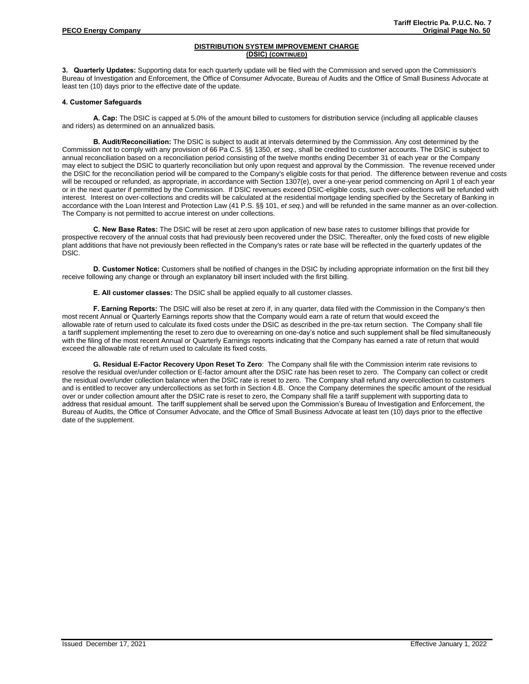# **DISTRIBUTION SYSTEM IMPROVEMENT CHARGE (DSIC) (CONTINUED)**

**3. Quarterly Updates:** Supporting data for each quarterly update will be filed with the Commission and served upon the Commission's Bureau of Investigation and Enforcement, the Office of Consumer Advocate, Bureau of Audits and the Office of Small Business Advocate at least ten (10) days prior to the effective date of the update.

## **4. Customer Safeguards**

**A. Cap:** The DSIC is capped at 5.0% of the amount billed to customers for distribution service (including all applicable clauses and riders) as determined on an annualized basis.

**B. Audit/Reconciliation:** The DSIC is subject to audit at intervals determined by the Commission. Any cost determined by the Commission not to comply with any provision of 66 Pa C.S. §§ 1350, *et seq*., shall be credited to customer accounts. The DSIC is subject to annual reconciliation based on a reconciliation period consisting of the twelve months ending December 31 of each year or the Company may elect to subject the DSIC to quarterly reconciliation but only upon request and approval by the Commission. The revenue received under the DSIC for the reconciliation period will be compared to the Company's eligible costs for that period. The difference between revenue and costs will be recouped or refunded, as appropriate, in accordance with Section 1307(e), over a one-year period commencing on April 1 of each year or in the next quarter if permitted by the Commission. If DSIC revenues exceed DSIC-eligible costs, such over-collections will be refunded with interest. Interest on over-collections and credits will be calculated at the residential mortgage lending specified by the Secretary of Banking in accordance with the Loan Interest and Protection Law (41 P.S. §§ 101, *et seq*.) and will be refunded in the same manner as an over-collection. The Company is not permitted to accrue interest on under collections.

**C. New Base Rates:** The DSIC will be reset at zero upon application of new base rates to customer billings that provide for prospective recovery of the annual costs that had previously been recovered under the DSIC. Thereafter, only the fixed costs of new eligible plant additions that have not previously been reflected in the Company's rates or rate base will be reflected in the quarterly updates of the DSlC.

**D. Customer Notice:** Customers shall be notified of changes in the DSIC by including appropriate information on the first bill they receive following any change or through an explanatory bill insert included with the first billing.

**E. All customer classes:** The DSIC shall be applied equally to all customer classes.

**F. Earning Reports:** The DSlC will also be reset at zero if, in any quarter, data filed with the Commission in the Company's then most recent Annual or Quarterly Earnings reports show that the Company would earn a rate of return that would exceed the allowable rate of return used to calculate its fixed costs under the DSIC as described in the pre-tax return section. The Company shall file a tariff supplement implementing the reset to zero due to overearning on one-day's notice and such supplement shall be filed simultaneously with the filing of the most recent Annual or Quarterly Earnings reports indicating that the Company has earned a rate of return that would exceed the allowable rate of return used to calculate its fixed costs.

**G. Residual E-Factor Recovery Upon Reset To Zero**: The Company shall file with the Commission interim rate revisions to resolve the residual over/under collection or E-factor amount after the DSIC rate has been reset to zero. The Company can collect or credit the residual over/under collection balance when the DSIC rate is reset to zero. The Company shall refund any overcollection to customers and is entitled to recover any undercollections as set forth in Section 4.B. Once the Company determines the specific amount of the residual over or under collection amount after the DSIC rate is reset to zero, the Company shall file a tariff supplement with supporting data to address that residual amount. The tariff supplement shall be served upon the Commission's Bureau of Investigation and Enforcement, the Bureau of Audits, the Office of Consumer Advocate, and the Office of Small Business Advocate at least ten (10) days prior to the effective date of the supplement.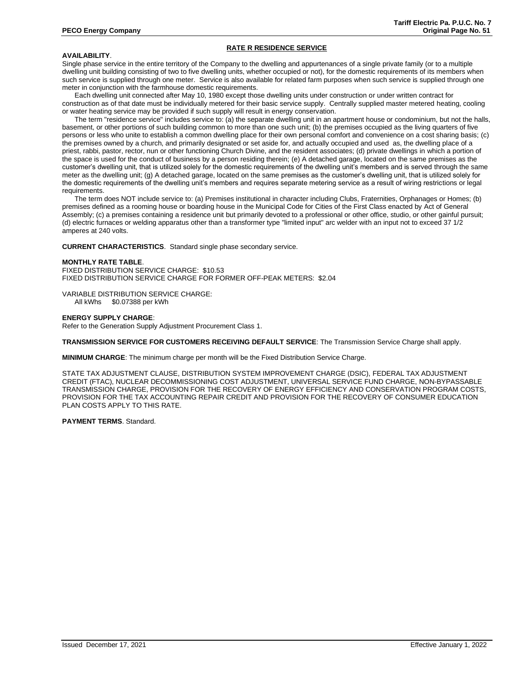# **RATE R RESIDENCE SERVICE**

#### **AVAILABILITY**.

Single phase service in the entire territory of the Company to the dwelling and appurtenances of a single private family (or to a multiple dwelling unit building consisting of two to five dwelling units, whether occupied or not), for the domestic requirements of its members when such service is supplied through one meter. Service is also available for related farm purposes when such service is supplied through one meter in conjunction with the farmhouse domestic requirements.

Each dwelling unit connected after May 10, 1980 except those dwelling units under construction or under written contract for construction as of that date must be individually metered for their basic service supply. Centrally supplied master metered heating, cooling or water heating service may be provided if such supply will result in energy conservation.

The term "residence service" includes service to: (a) the separate dwelling unit in an apartment house or condominium, but not the halls, basement, or other portions of such building common to more than one such unit; (b) the premises occupied as the living quarters of five persons or less who unite to establish a common dwelling place for their own personal comfort and convenience on a cost sharing basis; (c) the premises owned by a church, and primarily designated or set aside for, and actually occupied and used as, the dwelling place of a priest, rabbi, pastor, rector, nun or other functioning Church Divine, and the resident associates; (d) private dwellings in which a portion of the space is used for the conduct of business by a person residing therein; (e) A detached garage, located on the same premises as the customer's dwelling unit, that is utilized solely for the domestic requirements of the dwelling unit's members and is served through the same meter as the dwelling unit; (g) A detached garage, located on the same premises as the customer's dwelling unit, that is utilized solely for the domestic requirements of the dwelling unit's members and requires separate metering service as a result of wiring restrictions or legal requirements.

The term does NOT include service to: (a) Premises institutional in character including Clubs, Fraternities, Orphanages or Homes; (b) premises defined as a rooming house or boarding house in the Municipal Code for Cities of the First Class enacted by Act of General Assembly; (c) a premises containing a residence unit but primarily devoted to a professional or other office, studio, or other gainful pursuit; (d) electric furnaces or welding apparatus other than a transformer type "limited input" arc welder with an input not to exceed 37 1/2 amperes at 240 volts.

**CURRENT CHARACTERISTICS**. Standard single phase secondary service.

#### **MONTHLY RATE TABLE**.

FIXED DISTRIBUTION SERVICE CHARGE: \$10.53 FIXED DISTRIBUTION SERVICE CHARGE FOR FORMER OFF-PEAK METERS: \$2.04

VARIABLE DISTRIBUTION SERVICE CHARGE: All kWhs \$0.07388 per kWh

#### **ENERGY SUPPLY CHARGE**:

Refer to the Generation Supply Adjustment Procurement Class 1.

**TRANSMISSION SERVICE FOR CUSTOMERS RECEIVING DEFAULT SERVICE**: The Transmission Service Charge shall apply.

**MINIMUM CHARGE**: The minimum charge per month will be the Fixed Distribution Service Charge.

STATE TAX ADJUSTMENT CLAUSE, DISTRIBUTION SYSTEM IMPROVEMENT CHARGE (DSIC), FEDERAL TAX ADJUSTMENT CREDIT (FTAC), NUCLEAR DECOMMISSIONING COST ADJUSTMENT, UNIVERSAL SERVICE FUND CHARGE, NON-BYPASSABLE TRANSMISSION CHARGE, PROVISION FOR THE RECOVERY OF ENERGY EFFICIENCY AND CONSERVATION PROGRAM COSTS, PROVISION FOR THE TAX ACCOUNTING REPAIR CREDIT AND PROVISION FOR THE RECOVERY OF CONSUMER EDUCATION PLAN COSTS APPLY TO THIS RATE.

#### **PAYMENT TERMS**. Standard.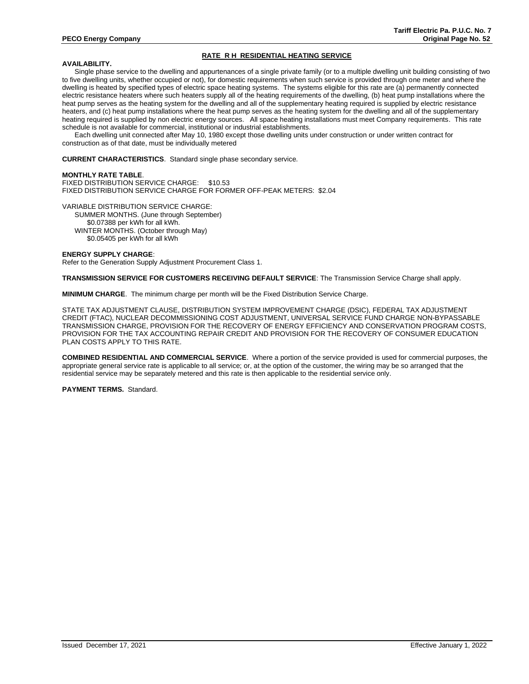# **RATE R H RESIDENTIAL HEATING SERVICE**

#### **AVAILABILITY.**

Single phase service to the dwelling and appurtenances of a single private family (or to a multiple dwelling unit building consisting of two to five dwelling units, whether occupied or not), for domestic requirements when such service is provided through one meter and where the dwelling is heated by specified types of electric space heating systems. The systems eligible for this rate are (a) permanently connected electric resistance heaters where such heaters supply all of the heating requirements of the dwelling, (b) heat pump installations where the heat pump serves as the heating system for the dwelling and all of the supplementary heating required is supplied by electric resistance heaters, and (c) heat pump installations where the heat pump serves as the heating system for the dwelling and all of the supplementary heating required is supplied by non electric energy sources. All space heating installations must meet Company requirements. This rate schedule is not available for commercial, institutional or industrial establishments.

Each dwelling unit connected after May 10, 1980 except those dwelling units under construction or under written contract for construction as of that date, must be individually metered

**CURRENT CHARACTERISTICS**. Standard single phase secondary service.

#### **MONTHLY RATE TABLE**.

FIXED DISTRIBUTION SERVICE CHARGE: \$10.53 FIXED DISTRIBUTION SERVICE CHARGE FOR FORMER OFF-PEAK METERS: \$2.04

VARIABLE DISTRIBUTION SERVICE CHARGE: SUMMER MONTHS. (June through September) \$0.07388 per kWh for all kWh. WINTER MONTHS. (October through May) \$0.05405 per kWh for all kWh

#### **ENERGY SUPPLY CHARGE**:

Refer to the Generation Supply Adjustment Procurement Class 1.

**TRANSMISSION SERVICE FOR CUSTOMERS RECEIVING DEFAULT SERVICE**: The Transmission Service Charge shall apply.

**MINIMUM CHARGE**. The minimum charge per month will be the Fixed Distribution Service Charge.

STATE TAX ADJUSTMENT CLAUSE, DISTRIBUTION SYSTEM IMPROVEMENT CHARGE (DSIC), FEDERAL TAX ADJUSTMENT CREDIT (FTAC), NUCLEAR DECOMMISSIONING COST ADJUSTMENT, UNIVERSAL SERVICE FUND CHARGE NON-BYPASSABLE TRANSMISSION CHARGE, PROVISION FOR THE RECOVERY OF ENERGY EFFICIENCY AND CONSERVATION PROGRAM COSTS, PROVISION FOR THE TAX ACCOUNTING REPAIR CREDIT AND PROVISION FOR THE RECOVERY OF CONSUMER EDUCATION PLAN COSTS APPLY TO THIS RATE.

**COMBINED RESIDENTIAL AND COMMERCIAL SERVICE**. Where a portion of the service provided is used for commercial purposes, the appropriate general service rate is applicable to all service; or, at the option of the customer, the wiring may be so arranged that the residential service may be separately metered and this rate is then applicable to the residential service only.

**PAYMENT TERMS.** Standard.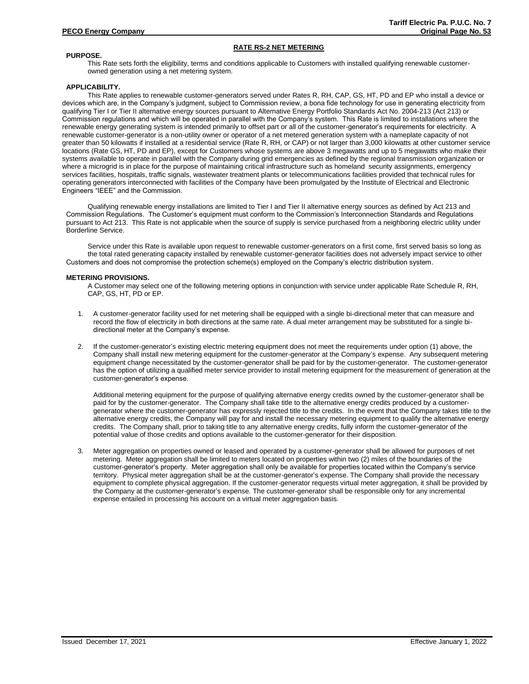# **RATE RS-2 NET METERING**

## **PURPOSE.**

This Rate sets forth the eligibility, terms and conditions applicable to Customers with installed qualifying renewable customerowned generation using a net metering system.

## **APPLICABILITY.**

This Rate applies to renewable customer-generators served under Rates R, RH, CAP, GS, HT, PD and EP who install a device or devices which are, in the Company's judgment, subject to Commission review, a bona fide technology for use in generating electricity from qualifying Tier I or Tier II alternative energy sources pursuant to Alternative Energy Portfolio Standards Act No. 2004-213 (Act 213) or Commission regulations and which will be operated in parallel with the Company's system. This Rate is limited to installations where the renewable energy generating system is intended primarily to offset part or all of the customer-generator's requirements for electricity. A renewable customer-generator is a non-utility owner or operator of a net metered generation system with a nameplate capacity of not greater than 50 kilowatts if installed at a residential service (Rate R, RH, or CAP) or not larger than 3,000 kilowatts at other customer service locations (Rate GS, HT, PD and EP), except for Customers whose systems are above 3 megawatts and up to 5 megawatts who make their systems available to operate in parallel with the Company during grid emergencies as defined by the regional transmission organization or where a microgrid is in place for the purpose of maintaining critical infrastructure such as homeland security assignments, emergency services facilities, hospitals, traffic signals, wastewater treatment plants or telecommunications facilities provided that technical rules for operating generators interconnected with facilities of the Company have been promulgated by the Institute of Electrical and Electronic Engineers "IEEE" and the Commission.

Qualifying renewable energy installations are limited to Tier I and Tier II alternative energy sources as defined by Act 213 and Commission Regulations. The Customer's equipment must conform to the Commission's Interconnection Standards and Regulations pursuant to Act 213. This Rate is not applicable when the source of supply is service purchased from a neighboring electric utility under Borderline Service.

Service under this Rate is available upon request to renewable customer-generators on a first come, first served basis so long as the total rated generating capacity installed by renewable customer-generator facilities does not adversely impact service to other Customers and does not compromise the protection scheme(s) employed on the Company's electric distribution system.

## **METERING PROVISIONS.**

A Customer may select one of the following metering options in conjunction with service under applicable Rate Schedule R, RH, CAP, GS, HT, PD or EP.

- 1. A customer-generator facility used for net metering shall be equipped with a single bi-directional meter that can measure and record the flow of electricity in both directions at the same rate. A dual meter arrangement may be substituted for a single bidirectional meter at the Company's expense.
- 2. If the customer-generator's existing electric metering equipment does not meet the requirements under option (1) above, the Company shall install new metering equipment for the customer-generator at the Company's expense. Any subsequent metering equipment change necessitated by the customer-generator shall be paid for by the customer-generator. The customer-generator has the option of utilizing a qualified meter service provider to install metering equipment for the measurement of generation at the customer-generator's expense.

Additional metering equipment for the purpose of qualifying alternative energy credits owned by the customer-generator shall be paid for by the customer-generator. The Company shall take title to the alternative energy credits produced by a customergenerator where the customer-generator has expressly rejected title to the credits. In the event that the Company takes title to the alternative energy credits, the Company will pay for and install the necessary metering equipment to qualify the alternative energy credits. The Company shall, prior to taking title to any alternative energy credits, fully inform the customer-generator of the potential value of those credits and options available to the customer-generator for their disposition.

3. Meter aggregation on properties owned or leased and operated by a customer-generator shall be allowed for purposes of net metering. Meter aggregation shall be limited to meters located on properties within two (2) miles of the boundaries of the customer-generator's property. Meter aggregation shall only be available for properties located within the Company's service territory. Physical meter aggregation shall be at the customer-generator's expense. The Company shall provide the necessary equipment to complete physical aggregation. If the customer-generator requests virtual meter aggregation, it shall be provided by the Company at the customer-generator's expense. The customer-generator shall be responsible only for any incremental expense entailed in processing his account on a virtual meter aggregation basis.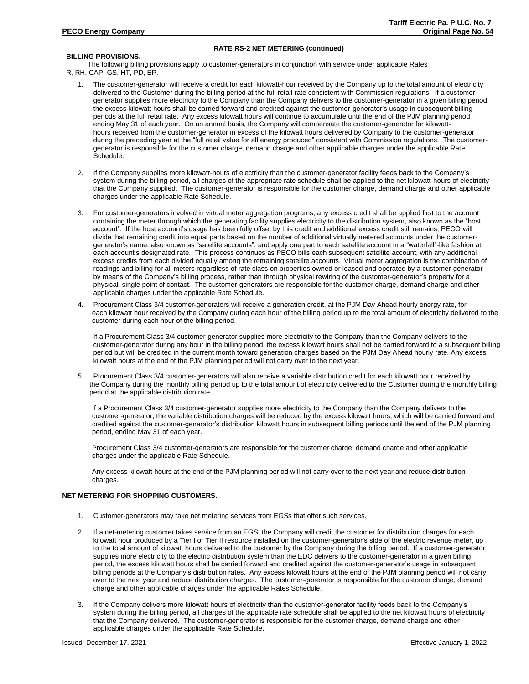# **RATE RS-2 NET METERING (continued)**

# **BILLING PROVISIONS.**

The following billing provisions apply to customer-generators in conjunction with service under applicable Rates R, RH, CAP, GS, HT, PD, EP.

- 1. The customer-generator will receive a credit for each kilowatt-hour received by the Company up to the total amount of electricity delivered to the Customer during the billing period at the full retail rate consistent with Commission regulations. If a customergenerator supplies more electricity to the Company than the Company delivers to the customer-generator in a given billing period, the excess kilowatt hours shall be carried forward and credited against the customer-generator's usage in subsequent billing periods at the full retail rate. Any excess kilowatt hours will continue to accumulate until the end of the PJM planning period ending May 31 of each year. On an annual basis, the Company will compensate the customer-generator for kilowatthours received from the customer-generator in excess of the kilowatt hours delivered by Company to the customer-generator during the preceding year at the "full retail value for all energy produced" consistent with Commission regulations. The customergenerator is responsible for the customer charge, demand charge and other applicable charges under the applicable Rate Schedule.
- 2. If the Company supplies more kilowatt-hours of electricity than the customer-generator facility feeds back to the Company's system during the billing period, all charges of the appropriate rate schedule shall be applied to the net kilowatt-hours of electricity that the Company supplied. The customer-generator is responsible for the customer charge, demand charge and other applicable charges under the applicable Rate Schedule.
- 3. For customer-generators involved in virtual meter aggregation programs, any excess credit shall be applied first to the account containing the meter through which the generating facility supplies electricity to the distribution system, also known as the "host account". If the host account's usage has been fully offset by this credit and additional excess credit still remains, PECO will divide that remaining credit into equal parts based on the number of additional virtually metered accounts under the customergenerator's name, also known as "satellite accounts", and apply one part to each satellite account in a "waterfall"-like fashion at each account's designated rate. This process continues as PECO bills each subsequent satellite account, with any additional excess credits from each divided equally among the remaining satellite accounts. Virtual meter aggregation is the combination of readings and billing for all meters regardless of rate class on properties owned or leased and operated by a customer-generator by means of the Company's billing process, rather than through physical rewiring of the customer-generator's property for a physical, single point of contact. The customer-generators are responsible for the customer charge, demand charge and other applicable charges under the applicable Rate Schedule.
- 4. Procurement Class 3/4 customer-generators will receive a generation credit, at the PJM Day Ahead hourly energy rate, for each kilowatt hour received by the Company during each hour of the billing period up to the total amount of electricity delivered to the customer during each hour of the billing period.

If a Procurement Class 3/4 customer-generator supplies more electricity to the Company than the Company delivers to the customer-generator during any hour in the billing period, the excess kilowatt hours shall not be carried forward to a subsequent billing period but will be credited in the current month toward generation charges based on the PJM Day Ahead hourly rate. Any excess kilowatt hours at the end of the PJM planning period will not carry over to the next year.

5. Procurement Class 3/4 customer-generators will also receive a variable distribution credit for each kilowatt hour received by the Company during the monthly billing period up to the total amount of electricity delivered to the Customer during the monthly billing period at the applicable distribution rate.

If a Procurement Class 3/4 customer-generator supplies more electricity to the Company than the Company delivers to the customer-generator, the variable distribution charges will be reduced by the excess kilowatt hours, which will be carried forward and credited against the customer-generator's distribution kilowatt hours in subsequent billing periods until the end of the PJM planning period, ending May 31 of each year.

Procurement Class 3/4 customer-generators are responsible for the customer charge, demand charge and other applicable charges under the applicable Rate Schedule.

Any excess kilowatt hours at the end of the PJM planning period will not carry over to the next year and reduce distribution charges.

## **NET METERING FOR SHOPPING CUSTOMERS.**

- 1. Customer-generators may take net metering services from EGSs that offer such services.
- 2. If a net-metering customer takes service from an EGS, the Company will credit the customer for distribution charges for each kilowatt hour produced by a Tier I or Tier II resource installed on the customer-generator's side of the electric revenue meter, up to the total amount of kilowatt hours delivered to the customer by the Company during the billing period. If a customer-generator supplies more electricity to the electric distribution system than the EDC delivers to the customer-generator in a given billing period, the excess kilowatt hours shall be carried forward and credited against the customer-generator's usage in subsequent billing periods at the Company's distribution rates. Any excess kilowatt hours at the end of the PJM planning period will not carry over to the next year and reduce distribution charges. The customer-generator is responsible for the customer charge, demand charge and other applicable charges under the applicable Rates Schedule.
- 3. If the Company delivers more kilowatt hours of electricity than the customer-generator facility feeds back to the Company's system during the billing period, all charges of the applicable rate schedule shall be applied to the net kilowatt hours of electricity that the Company delivered. The customer-generator is responsible for the customer charge, demand charge and other applicable charges under the applicable Rate Schedule.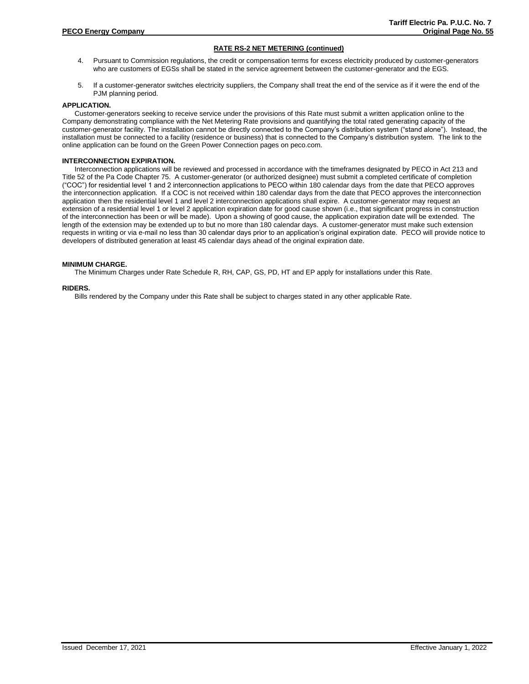# **RATE RS-2 NET METERING (continued)**

- 4. Pursuant to Commission regulations, the credit or compensation terms for excess electricity produced by customer-generators who are customers of EGSs shall be stated in the service agreement between the customer-generator and the EGS.
- 5. If a customer-generator switches electricity suppliers, the Company shall treat the end of the service as if it were the end of the PJM planning period.

# **APPLICATION.**

Customer-generators seeking to receive service under the provisions of this Rate must submit a written application online to the Company demonstrating compliance with the Net Metering Rate provisions and quantifying the total rated generating capacity of the customer-generator facility. The installation cannot be directly connected to the Company's distribution system ("stand alone"). Instead, the installation must be connected to a facility (residence or business) that is connected to the Company's distribution system. The link to the online application can be found on the Green Power Connection pages on peco.com.

## **INTERCONNECTION EXPIRATION.**

Interconnection applications will be reviewed and processed in accordance with the timeframes designated by PECO in Act 213 and Title 52 of the Pa Code Chapter 75. A customer-generator (or authorized designee) must submit a completed certificate of completion ("COC") for residential level 1 and 2 interconnection applications to PECO within 180 calendar days from the date that PECO approves the interconnection application. If a COC is not received within 180 calendar days from the date that PECO approves the interconnection application then the residential level 1 and level 2 interconnection applications shall expire. A customer-generator may request an extension of a residential level 1 or level 2 application expiration date for good cause shown (i.e., that significant progress in construction of the interconnection has been or will be made). Upon a showing of good cause, the application expiration date will be extended. The length of the extension may be extended up to but no more than 180 calendar days. A customer-generator must make such extension requests in writing or via e-mail no less than 30 calendar days prior to an application's original expiration date. PECO will provide notice to developers of distributed generation at least 45 calendar days ahead of the original expiration date.

## **MINIMUM CHARGE.**

The Minimum Charges under Rate Schedule R, RH, CAP, GS, PD, HT and EP apply for installations under this Rate.

## **RIDERS.**

Bills rendered by the Company under this Rate shall be subject to charges stated in any other applicable Rate.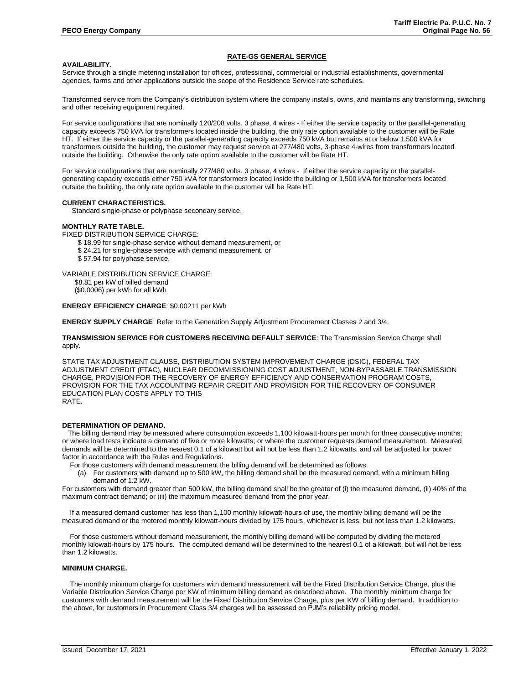## **RATE-GS GENERAL SERVICE**

## **AVAILABILITY.**

Service through a single metering installation for offices, professional, commercial or industrial establishments, governmental agencies, farms and other applications outside the scope of the Residence Service rate schedules.

Transformed service from the Company's distribution system where the company installs, owns, and maintains any transforming, switching and other receiving equipment required.

For service configurations that are nominally 120/208 volts, 3 phase, 4 wires - If either the service capacity or the parallel-generating capacity exceeds 750 kVA for transformers located inside the building, the only rate option available to the customer will be Rate HT. If either the service capacity or the parallel-generating capacity exceeds 750 kVA but remains at or below 1,500 kVA for transformers outside the building, the customer may request service at 277/480 volts, 3-phase 4-wires from transformers located outside the building. Otherwise the only rate option available to the customer will be Rate HT.

For service configurations that are nominally 277/480 volts, 3 phase, 4 wires - If either the service capacity or the parallelgenerating capacity exceeds either 750 kVA for transformers located inside the building or 1,500 kVA for transformers located outside the building, the only rate option available to the customer will be Rate HT.

#### **CURRENT CHARACTERISTICS.**

Standard single-phase or polyphase secondary service.

## **MONTHLY RATE TABLE.**

FIXED DISTRIBUTION SERVICE CHARGE:

- \$ 18.99 for single-phase service without demand measurement, or
- \$ 24.21 for single-phase service with demand measurement, or
- \$ 57.94 for polyphase service.
- VARIABLE DISTRIBUTION SERVICE CHARGE:

\$8.81 per kW of billed demand (\$0.0006) per kWh for all kWh

#### **ENERGY EFFICIENCY CHARGE**: \$0.00211 per kWh

**ENERGY SUPPLY CHARGE**: Refer to the Generation Supply Adjustment Procurement Classes 2 and 3/4.

## **TRANSMISSION SERVICE FOR CUSTOMERS RECEIVING DEFAULT SERVICE**: The Transmission Service Charge shall apply.

STATE TAX ADJUSTMENT CLAUSE, DISTRIBUTION SYSTEM IMPROVEMENT CHARGE (DSIC), FEDERAL TAX ADJUSTMENT CREDIT (FTAC), NUCLEAR DECOMMISSIONING COST ADJUSTMENT, NON-BYPASSABLE TRANSMISSION CHARGE, PROVISION FOR THE RECOVERY OF ENERGY EFFICIENCY AND CONSERVATION PROGRAM COSTS, PROVISION FOR THE TAX ACCOUNTING REPAIR CREDIT AND PROVISION FOR THE RECOVERY OF CONSUMER EDUCATION PLAN COSTS APPLY TO THIS RATE.

#### **DETERMINATION OF DEMAND.**

 The billing demand may be measured where consumption exceeds 1,100 kilowatt-hours per month for three consecutive months; or where load tests indicate a demand of five or more kilowatts; or where the customer requests demand measurement. Measured demands will be determined to the nearest 0.1 of a kilowatt but will not be less than 1.2 kilowatts, and will be adjusted for power factor in accordance with the Rules and Regulations.

For those customers with demand measurement the billing demand will be determined as follows:

(a) For customers with demand up to 500 kW, the billing demand shall be the measured demand, with a minimum billing demand of 1.2 kW.

For customers with demand greater than 500 kW, the billing demand shall be the greater of (i) the measured demand, (ii) 40% of the maximum contract demand; or (iii) the maximum measured demand from the prior year.

If a measured demand customer has less than 1,100 monthly kilowatt-hours of use, the monthly billing demand will be the measured demand or the metered monthly kilowatt-hours divided by 175 hours, whichever is less, but not less than 1.2 kilowatts.

 For those customers without demand measurement, the monthly billing demand will be computed by dividing the metered monthly kilowatt-hours by 175 hours. The computed demand will be determined to the nearest 0.1 of a kilowatt, but will not be less than 1.2 kilowatts.

#### **MINIMUM CHARGE.**

The monthly minimum charge for customers with demand measurement will be the Fixed Distribution Service Charge, plus the Variable Distribution Service Charge per KW of minimum billing demand as described above. The monthly minimum charge for customers with demand measurement will be the Fixed Distribution Service Charge, plus per KW of billing demand. In addition to the above, for customers in Procurement Class 3/4 charges will be assessed on PJM's reliability pricing model.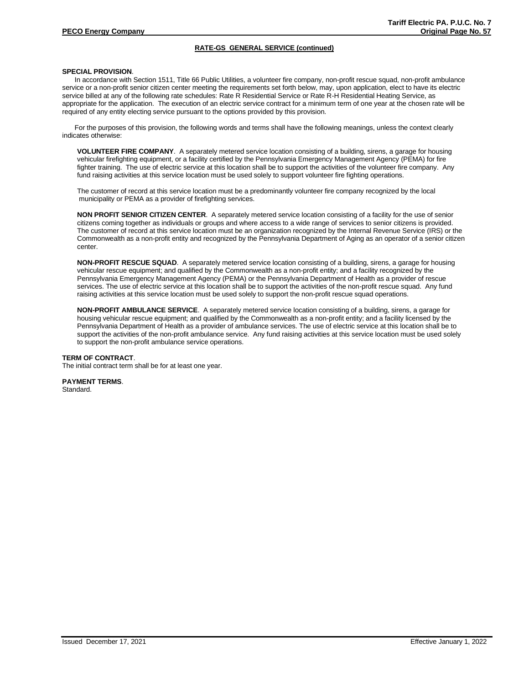# **RATE-GS GENERAL SERVICE (continued)**

## **SPECIAL PROVISION**.

In accordance with Section 1511, Title 66 Public Utilities, a volunteer fire company, non-profit rescue squad, non-profit ambulance service or a non-profit senior citizen center meeting the requirements set forth below, may, upon application, elect to have its electric service billed at any of the following rate schedules: Rate R Residential Service or Rate R-H Residential Heating Service, as appropriate for the application. The execution of an electric service contract for a minimum term of one year at the chosen rate will be required of any entity electing service pursuant to the options provided by this provision.

For the purposes of this provision, the following words and terms shall have the following meanings, unless the context clearly indicates otherwise:

**VOLUNTEER FIRE COMPANY**. A separately metered service location consisting of a building, sirens, a garage for housing vehicular firefighting equipment, or a facility certified by the Pennsylvania Emergency Management Agency (PEMA) for fire fighter training. The use of electric service at this location shall be to support the activities of the volunteer fire company. Any fund raising activities at this service location must be used solely to support volunteer fire fighting operations.

The customer of record at this service location must be a predominantly volunteer fire company recognized by the local municipality or PEMA as a provider of firefighting services.

**NON PROFIT SENIOR CITIZEN CENTER**. A separately metered service location consisting of a facility for the use of senior citizens coming together as individuals or groups and where access to a wide range of services to senior citizens is provided. The customer of record at this service location must be an organization recognized by the Internal Revenue Service (IRS) or the Commonwealth as a non-profit entity and recognized by the Pennsylvania Department of Aging as an operator of a senior citizen center.

**NON-PROFIT RESCUE SQUAD**. A separately metered service location consisting of a building, sirens, a garage for housing vehicular rescue equipment; and qualified by the Commonwealth as a non-profit entity; and a facility recognized by the Pennsylvania Emergency Management Agency (PEMA) or the Pennsylvania Department of Health as a provider of rescue services. The use of electric service at this location shall be to support the activities of the non-profit rescue squad. Any fund raising activities at this service location must be used solely to support the non-profit rescue squad operations.

**NON-PROFIT AMBULANCE SERVICE**. A separately metered service location consisting of a building, sirens, a garage for housing vehicular rescue equipment; and qualified by the Commonwealth as a non-profit entity; and a facility licensed by the Pennsylvania Department of Health as a provider of ambulance services. The use of electric service at this location shall be to support the activities of the non-profit ambulance service. Any fund raising activities at this service location must be used solely to support the non-profit ambulance service operations.

#### **TERM OF CONTRACT**.

The initial contract term shall be for at least one year.

**PAYMENT TERMS**.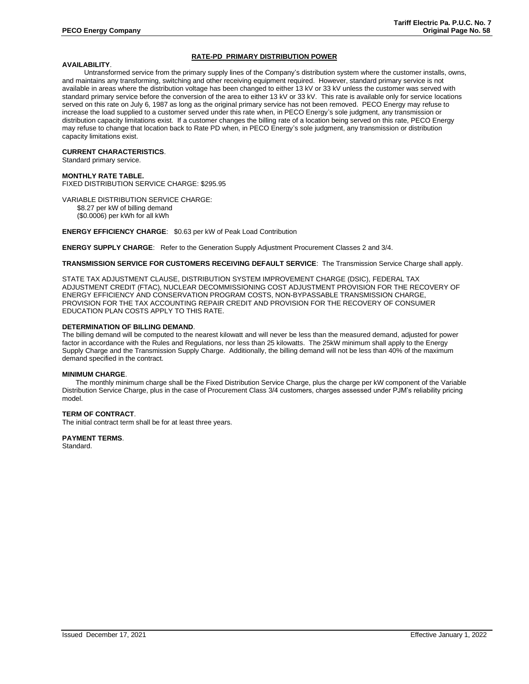# **RATE-PD PRIMARY DISTRIBUTION POWER**

## **AVAILABILITY**.

Untransformed service from the primary supply lines of the Company's distribution system where the customer installs, owns, and maintains any transforming, switching and other receiving equipment required. However, standard primary service is not available in areas where the distribution voltage has been changed to either 13 kV or 33 kV unless the customer was served with standard primary service before the conversion of the area to either 13 kV or 33 kV. This rate is available only for service locations served on this rate on July 6, 1987 as long as the original primary service has not been removed. PECO Energy may refuse to increase the load supplied to a customer served under this rate when, in PECO Energy's sole judgment, any transmission or distribution capacity limitations exist. If a customer changes the billing rate of a location being served on this rate, PECO Energy may refuse to change that location back to Rate PD when, in PECO Energy's sole judgment, any transmission or distribution capacity limitations exist.

#### **CURRENT CHARACTERISTICS**.

Standard primary service.

## **MONTHLY RATE TABLE.**

FIXED DISTRIBUTION SERVICE CHARGE: \$295.95

#### VARIABLE DISTRIBUTION SERVICE CHARGE:

\$8.27 per kW of billing demand

(\$0.0006) per kWh for all kWh

## **ENERGY EFFICIENCY CHARGE**: \$0.63 per kW of Peak Load Contribution

**ENERGY SUPPLY CHARGE**: Refer to the Generation Supply Adjustment Procurement Classes 2 and 3/4.

**TRANSMISSION SERVICE FOR CUSTOMERS RECEIVING DEFAULT SERVICE**: The Transmission Service Charge shall apply.

STATE TAX ADJUSTMENT CLAUSE, DISTRIBUTION SYSTEM IMPROVEMENT CHARGE (DSIC), FEDERAL TAX ADJUSTMENT CREDIT (FTAC), NUCLEAR DECOMMISSIONING COST ADJUSTMENT PROVISION FOR THE RECOVERY OF ENERGY EFFICIENCY AND CONSERVATION PROGRAM COSTS, NON-BYPASSABLE TRANSMISSION CHARGE, PROVISION FOR THE TAX ACCOUNTING REPAIR CREDIT AND PROVISION FOR THE RECOVERY OF CONSUMER EDUCATION PLAN COSTS APPLY TO THIS RATE.

## **DETERMINATION OF BILLING DEMAND**.

The billing demand will be computed to the nearest kilowatt and will never be less than the measured demand, adjusted for power factor in accordance with the Rules and Regulations, nor less than 25 kilowatts. The 25kW minimum shall apply to the Energy Supply Charge and the Transmission Supply Charge. Additionally, the billing demand will not be less than 40% of the maximum demand specified in the contract.

#### **MINIMUM CHARGE**.

The monthly minimum charge shall be the Fixed Distribution Service Charge, plus the charge per kW component of the Variable Distribution Service Charge, plus in the case of Procurement Class 3/4 customers, charges assessed under PJM's reliability pricing model.

## **TERM OF CONTRACT**.

The initial contract term shall be for at least three years.

#### **PAYMENT TERMS**.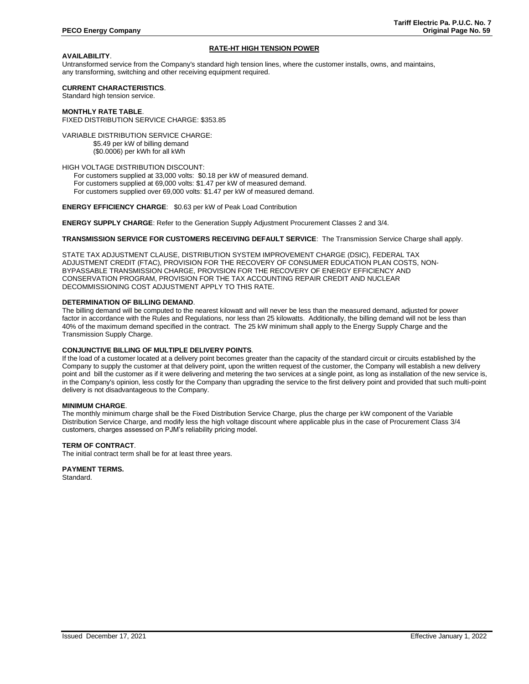# **RATE-HT HIGH TENSION POWER**

# **AVAILABILITY**.

Untransformed service from the Company's standard high tension lines, where the customer installs, owns, and maintains, any transforming, switching and other receiving equipment required.

## **CURRENT CHARACTERISTICS**.

Standard high tension service.

#### **MONTHLY RATE TABLE**. FIXED DISTRIBUTION SERVICE CHARGE: \$353.85

VARIABLE DISTRIBUTION SERVICE CHARGE: \$5.49 per kW of billing demand (\$0.0006) per kWh for all kWh

## HIGH VOLTAGE DISTRIBUTION DISCOUNT:

 For customers supplied at 33,000 volts: \$0.18 per kW of measured demand. For customers supplied at 69,000 volts: \$1.47 per kW of measured demand. For customers supplied over 69,000 volts: \$1.47 per kW of measured demand.

#### **ENERGY EFFICIENCY CHARGE**: \$0.63 per kW of Peak Load Contribution

**ENERGY SUPPLY CHARGE**: Refer to the Generation Supply Adjustment Procurement Classes 2 and 3/4.

## **TRANSMISSION SERVICE FOR CUSTOMERS RECEIVING DEFAULT SERVICE**: The Transmission Service Charge shall apply.

STATE TAX ADJUSTMENT CLAUSE, DISTRIBUTION SYSTEM IMPROVEMENT CHARGE (DSIC), FEDERAL TAX ADJUSTMENT CREDIT (FTAC), PROVISION FOR THE RECOVERY OF CONSUMER EDUCATION PLAN COSTS, NON-BYPASSABLE TRANSMISSION CHARGE, PROVISION FOR THE RECOVERY OF ENERGY EFFICIENCY AND CONSERVATION PROGRAM, PROVISION FOR THE TAX ACCOUNTING REPAIR CREDIT AND NUCLEAR DECOMMISSIONING COST ADJUSTMENT APPLY TO THIS RATE.

## **DETERMINATION OF BILLING DEMAND**.

The billing demand will be computed to the nearest kilowatt and will never be less than the measured demand, adjusted for power factor in accordance with the Rules and Regulations, nor less than 25 kilowatts. Additionally, the billing demand will not be less than 40% of the maximum demand specified in the contract. The 25 kW minimum shall apply to the Energy Supply Charge and the Transmission Supply Charge.

## **CONJUNCTIVE BILLING OF MULTIPLE DELIVERY POINTS**.

If the load of a customer located at a delivery point becomes greater than the capacity of the standard circuit or circuits established by the Company to supply the customer at that delivery point, upon the written request of the customer, the Company will establish a new delivery point and bill the customer as if it were delivering and metering the two services at a single point, as long as installation of the new service is, in the Company's opinion, less costly for the Company than upgrading the service to the first delivery point and provided that such multi-point delivery is not disadvantageous to the Company.

## **MINIMUM CHARGE**.

The monthly minimum charge shall be the Fixed Distribution Service Charge, plus the charge per kW component of the Variable Distribution Service Charge, and modify less the high voltage discount where applicable plus in the case of Procurement Class 3/4 customers, charges assessed on PJM's reliability pricing model.

#### **TERM OF CONTRACT**.

The initial contract term shall be for at least three years.

**PAYMENT TERMS.**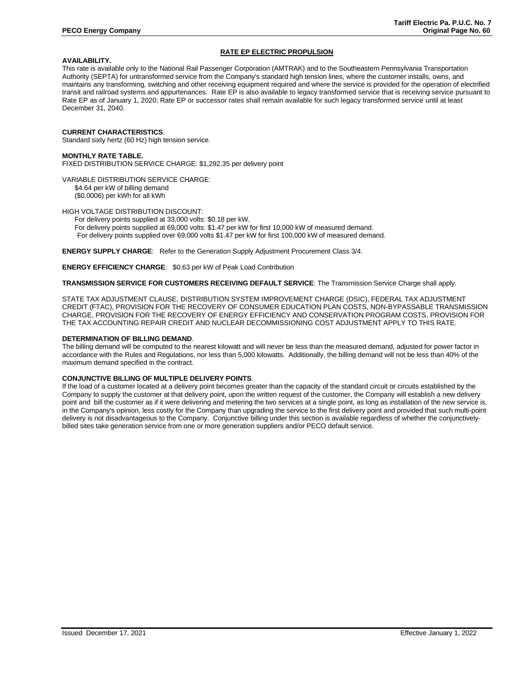# **RATE EP ELECTRIC PROPULSION**

## **AVAILABILITY.**

This rate is available only to the National Rail Passenger Corporation (AMTRAK) and to the Southeastern Pennsylvania Transportation Authority (SEPTA) for untransformed service from the Company's standard high tension lines, where the customer installs, owns, and maintains any transforming, switching and other receiving equipment required and where the service is provided for the operation of electrified transit and railroad systems and appurtenances. Rate EP is also available to legacy transformed service that is receiving service pursuant to Rate EP as of January 1, 2020; Rate EP or successor rates shall remain available for such legacy transformed service until at least December 31, 2040.

## **CURRENT CHARACTERISTICS**.

Standard sixty hertz (60 Hz) high tension service.

## **MONTHLY RATE TABLE.** FIXED DISTRIBUTION SERVICE CHARGE: \$1,292.35 per delivery point

VARIABLE DISTRIBUTION SERVICE CHARGE: \$4.64 per kW of billing demand (\$0.0006) per kWh for all kWh

HIGH VOLTAGE DISTRIBUTION DISCOUNT:

For delivery points supplied at 33,000 volts: \$0.18 per kW. For delivery points supplied at 69,000 volts: \$1.47 per kW for first 10,000 kW of measured demand. For delivery points supplied over 69,000 volts \$1.47 per kW for first 100,000 kW of measured demand.

**ENERGY SUPPLY CHARGE**: Refer to the Generation Supply Adjustment Procurement Class 3/4.

**ENERGY EFFICIENCY CHARGE**: \$0.63 per kW of Peak Load Contribution

#### **TRANSMISSION SERVICE FOR CUSTOMERS RECEIVING DEFAULT SERVICE**: The Transmission Service Charge shall apply.

STATE TAX ADJUSTMENT CLAUSE, DISTRIBUTION SYSTEM IMPROVEMENT CHARGE (DSIC), FEDERAL TAX ADJUSTMENT CREDIT (FTAC), PROVISION FOR THE RECOVERY OF CONSUMER EDUCATION PLAN COSTS, NON-BYPASSABLE TRANSMISSION CHARGE, PROVISION FOR THE RECOVERY OF ENERGY EFFICIENCY AND CONSERVATION PROGRAM COSTS, PROVISION FOR THE TAX ACCOUNTING REPAIR CREDIT AND NUCLEAR DECOMMISSIONING COST ADJUSTMENT APPLY TO THIS RATE.

#### **DETERMINATION OF BILLING DEMAND**.

The billing demand will be computed to the nearest kilowatt and will never be less than the measured demand, adjusted for power factor in accordance with the Rules and Regulations, nor less than 5,000 kilowatts. Additionally, the billing demand will not be less than 40% of the maximum demand specified in the contract.

#### **CONJUNCTIVE BILLING OF MULTIPLE DELIVERY POINTS**.

If the load of a customer located at a delivery point becomes greater than the capacity of the standard circuit or circuits established by the Company to supply the customer at that delivery point, upon the written request of the customer, the Company will establish a new delivery point and bill the customer as if it were delivering and metering the two services at a single point, as long as installation of the new service is, in the Company's opinion, less costly for the Company than upgrading the service to the first delivery point and provided that such multi-point delivery is not disadvantageous to the Company. Conjunctive billing under this section is available regardless of whether the conjunctivelybilled sites take generation service from one or more generation suppliers and/or PECO default service.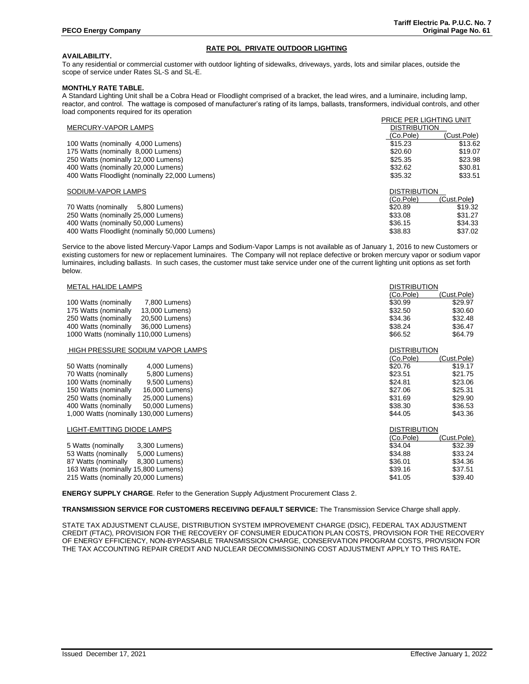# **RATE POL PRIVATE OUTDOOR LIGHTING**

# **AVAILABILITY.**

To any residential or commercial customer with outdoor lighting of sidewalks, driveways, yards, lots and similar places, outside the scope of service under Rates SL-S and SL-E.

## **MONTHLY RATE TABLE.**

A Standard Lighting Unit shall be a Cobra Head or Floodlight comprised of a bracket, the lead wires, and a luminaire, including lamp, reactor, and control. The wattage is composed of manufacturer's rating of its lamps, ballasts, transformers, individual controls, and other load components required for its operation

|                                                | PRICE PER LIGHTING UNIT |             |
|------------------------------------------------|-------------------------|-------------|
| <b>MERCURY-VAPOR LAMPS</b>                     | <b>DISTRIBUTION</b>     |             |
|                                                | (Co.Pole)               | (Cust.Pole) |
| 100 Watts (nominally 4,000 Lumens)             | \$15.23                 | \$13.62     |
| 175 Watts (nominally 8,000 Lumens)             | \$20.60                 | \$19.07     |
| 250 Watts (nominally 12,000 Lumens)            | \$25.35                 | \$23.98     |
| 400 Watts (nominally 20,000 Lumens)            | \$32.62                 | \$30.81     |
| 400 Watts Floodlight (nominally 22,000 Lumens) | \$35.32                 | \$33.51     |
| SODIUM-VAPOR LAMPS                             | <b>DISTRIBUTION</b>     |             |
|                                                | (Co.Pole)               | (Cust.Pole) |
| 70 Watts (nominally 5,800 Lumens)              | \$20.89                 | \$19.32     |
| 250 Watts (nominally 25,000 Lumens)            | \$33.08                 | \$31.27     |
| 400 Watts (nominally 50,000 Lumens)            | \$36.15                 | \$34.33     |
| 400 Watts Floodlight (nominally 50,000 Lumens) | \$38.83                 | \$37.02     |

Service to the above listed Mercury-Vapor Lamps and Sodium-Vapor Lamps is not available as of January 1, 2016 to new Customers or existing customers for new or replacement luminaires. The Company will not replace defective or broken mercury vapor or sodium vapor luminaires, including ballasts. In such cases, the customer must take service under one of the current lighting unit options as set forth below.

| <b>METAL HALIDE LAMPS</b>              | <b>DISTRIBUTION</b> |             |
|----------------------------------------|---------------------|-------------|
|                                        | (Co.Pole)           | (Cust.Pole) |
| 100 Watts (nominally<br>7,800 Lumens)  | \$30.99             | \$29.97     |
| 175 Watts (nominally<br>13,000 Lumens) | \$32.50             | \$30.60     |
| 250 Watts (nominally<br>20,500 Lumens) | \$34.36             | \$32.48     |
| 400 Watts (nominally<br>36,000 Lumens) | \$38.24             | \$36.47     |
| 1000 Watts (nominally 110,000 Lumens)  | \$66.52             | \$64.79     |
| HIGH PRESSURE SODIUM VAPOR LAMPS       | <b>DISTRIBUTION</b> |             |
|                                        | (Co.Pole)           | (Cust.Pole) |
| 50 Watts (nominally<br>4,000 Lumens)   | \$20.76             | \$19.17     |
| 70 Watts (nominally<br>5,800 Lumens)   | \$23.51             | \$21.75     |
| 100 Watts (nominally<br>9,500 Lumens)  | \$24.81             | \$23.06     |
| 150 Watts (nominally<br>16,000 Lumens) | \$27.06             | \$25.31     |
| 250 Watts (nominally<br>25,000 Lumens) | \$31.69             | \$29.90     |
| 400 Watts (nominally<br>50,000 Lumens) | \$38.30             | \$36.53     |
| 1,000 Watts (nominally 130,000 Lumens) | \$44.05             | \$43.36     |
| LIGHT-EMITTING DIODE LAMPS             | <b>DISTRIBUTION</b> |             |
|                                        | (Co.Pole)           | (Cust.Pole) |
| 5 Watts (nominally<br>3,300 Lumens)    | \$34.04             | \$32.39     |
| 53 Watts (nominally<br>5,000 Lumens)   | \$34.88             | \$33.24     |
| 87 Watts (nominally<br>8,300 Lumens)   | \$36.01             | \$34.36     |
| 163 Watts (nominally 15,800 Lumens)    | \$39.16             | \$37.51     |
| 215 Watts (nominally 20,000 Lumens)    | \$41.05             | \$39.40     |

**ENERGY SUPPLY CHARGE**. Refer to the Generation Supply Adjustment Procurement Class 2.

**TRANSMISSION SERVICE FOR CUSTOMERS RECEIVING DEFAULT SERVICE:** The Transmission Service Charge shall apply.

STATE TAX ADJUSTMENT CLAUSE, DISTRIBUTION SYSTEM IMPROVEMENT CHARGE (DSIC), FEDERAL TAX ADJUSTMENT CREDIT (FTAC), PROVISION FOR THE RECOVERY OF CONSUMER EDUCATION PLAN COSTS, PROVISION FOR THE RECOVERY OF ENERGY EFFICIENCY, NON-BYPASSABLE TRANSMISSION CHARGE, CONSERVATION PROGRAM COSTS, PROVISION FOR THE TAX ACCOUNTING REPAIR CREDIT AND NUCLEAR DECOMMISSIONING COST ADJUSTMENT APPLY TO THIS RATE**.**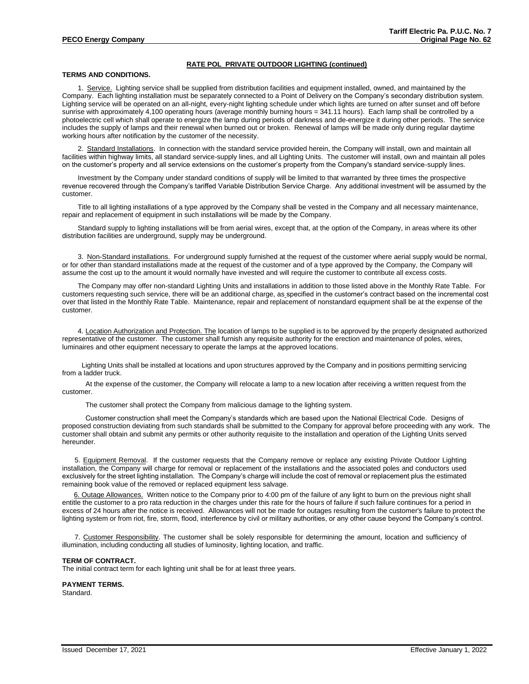# **RATE POL PRIVATE OUTDOOR LIGHTING (continued)**

# **TERMS AND CONDITIONS.**

1. Service. Lighting service shall be supplied from distribution facilities and equipment installed, owned, and maintained by the Company. Each lighting installation must be separately connected to a Point of Delivery on the Company's secondary distribution system. Lighting service will be operated on an all-night, every-night lighting schedule under which lights are turned on after sunset and off before sunrise with approximately 4,100 operating hours (average monthly burning hours = 341.11 hours). Each lamp shall be controlled by a photoelectric cell which shall operate to energize the lamp during periods of darkness and de-energize it during other periods. The service includes the supply of lamps and their renewal when burned out or broken. Renewal of lamps will be made only during regular daytime working hours after notification by the customer of the necessity.

2. Standard Installations. In connection with the standard service provided herein, the Company will install, own and maintain all facilities within highway limits, all standard service-supply lines, and all Lighting Units. The customer will install, own and maintain all poles on the customer's property and all service extensions on the customer's property from the Company's standard service-supply lines.

Investment by the Company under standard conditions of supply will be limited to that warranted by three times the prospective revenue recovered through the Company's tariffed Variable Distribution Service Charge. Any additional investment will be assumed by the customer.

Title to all lighting installations of a type approved by the Company shall be vested in the Company and all necessary maintenance, repair and replacement of equipment in such installations will be made by the Company.

Standard supply to lighting installations will be from aerial wires, except that, at the option of the Company, in areas where its other distribution facilities are underground, supply may be underground.

3. Non-Standard installations. For underground supply furnished at the request of the customer where aerial supply would be normal, or for other than standard installations made at the request of the customer and of a type approved by the Company, the Company will assume the cost up to the amount it would normally have invested and will require the customer to contribute all excess costs.

The Company may offer non-standard Lighting Units and installations in addition to those listed above in the Monthly Rate Table. For customers requesting such service, there will be an additional charge, as specified in the customer's contract based on the incremental cost over that listed in the Monthly Rate Table. Maintenance, repair and replacement of nonstandard equipment shall be at the expense of the customer.

4. Location Authorization and Protection. The location of lamps to be supplied is to be approved by the properly designated authorized representative of the customer. The customer shall furnish any requisite authority for the erection and maintenance of poles, wires, luminaires and other equipment necessary to operate the lamps at the approved locations.

Lighting Units shall be installed at locations and upon structures approved by the Company and in positions permitting servicing from a ladder truck.

At the expense of the customer, the Company will relocate a lamp to a new location after receiving a written request from the customer.

The customer shall protect the Company from malicious damage to the lighting system.

Customer construction shall meet the Company's standards which are based upon the National Electrical Code. Designs of proposed construction deviating from such standards shall be submitted to the Company for approval before proceeding with any work. The customer shall obtain and submit any permits or other authority requisite to the installation and operation of the Lighting Units served hereunder.

5. Equipment Removal. If the customer requests that the Company remove or replace any existing Private Outdoor Lighting installation, the Company will charge for removal or replacement of the installations and the associated poles and conductors used exclusively for the street lighting installation. The Company's charge will include the cost of removal or replacement plus the estimated remaining book value of the removed or replaced equipment less salvage.

6. Outage Allowances. Written notice to the Company prior to 4:00 pm of the failure of any light to burn on the previous night shall entitle the customer to a pro rata reduction in the charges under this rate for the hours of failure if such failure continues for a period in excess of 24 hours after the notice is received. Allowances will not be made for outages resulting from the customer's failure to protect the lighting system or from riot, fire, storm, flood, interference by civil or military authorities, or any other cause beyond the Company's control.

7. Customer Responsibility. The customer shall be solely responsible for determining the amount, location and sufficiency of illumination, including conducting all studies of luminosity, lighting location, and traffic.

#### **TERM OF CONTRACT.**

The initial contract term for each lighting unit shall be for at least three years.

**PAYMENT TERMS.**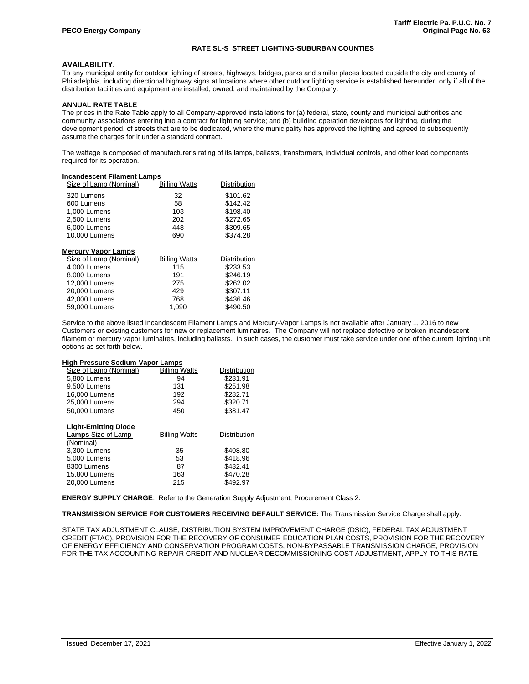# **RATE SL-S STREET LIGHTING-SUBURBAN COUNTIES**

# **AVAILABILITY.**

To any municipal entity for outdoor lighting of streets, highways, bridges, parks and similar places located outside the city and county of Philadelphia, including directional highway signs at locations where other outdoor lighting service is established hereunder, only if all of the distribution facilities and equipment are installed, owned, and maintained by the Company.

## **ANNUAL RATE TABLE**

The prices in the Rate Table apply to all Company-approved installations for (a) federal, state, county and municipal authorities and community associations entering into a contract for lighting service; and (b) building operation developers for lighting, during the development period, of streets that are to be dedicated, where the municipality has approved the lighting and agreed to subsequently assume the charges for it under a standard contract.

The wattage is composed of manufacturer's rating of its lamps, ballasts, transformers, individual controls, and other load components required for its operation.

## **Incandescent Filament Lamps**

| Size of Lamp (Nominal)     | <b>Billing Watts</b> | <b>Distribution</b> |
|----------------------------|----------------------|---------------------|
| 320 Lumens                 | 32                   | \$101.62            |
| 600 Lumens                 | 58                   | \$142.42            |
| 1.000 Lumens               | 103                  | \$198.40            |
| 2.500 Lumens               | 202                  | \$272.65            |
| 6,000 Lumens               | 448                  | \$309.65            |
| 10,000 Lumens              | 690                  | \$374.28            |
|                            |                      |                     |
| <b>Mercury Vapor Lamps</b> |                      |                     |
| Size of Lamp (Nominal)     | <b>Billing Watts</b> | <b>Distribution</b> |
|                            |                      |                     |
| 4,000 Lumens               | 115                  | \$233.53            |
| 8.000 Lumens               | 191                  | \$246.19            |
| 12.000 Lumens              | 275                  | \$262.02            |
| 20,000 Lumens              | 429                  | \$307.11            |
| 42,000 Lumens              | 768                  | \$436.46            |

Service to the above listed Incandescent Filament Lamps and Mercury-Vapor Lamps is not available after January 1, 2016 to new Customers or existing customers for new or replacement luminaires. The Company will not replace defective or broken incandescent filament or mercury vapor luminaires, including ballasts. In such cases, the customer must take service under one of the current lighting unit options as set forth below.

#### **High Pressure Sodium-Vapor Lamps**

| Size of Lamp (Nominal)      | <b>Billing Watts</b> | <b>Distribution</b> |
|-----------------------------|----------------------|---------------------|
| 5.800 Lumens                | 94                   | \$231.91            |
| 9.500 Lumens                | 131                  | \$251.98            |
| 16,000 Lumens               | 192                  | \$282.71            |
| 25,000 Lumens               | 294                  | \$320.71            |
| 50,000 Lumens               | 450                  | \$381.47            |
|                             |                      |                     |
| <b>Light-Emitting Diode</b> |                      |                     |
| <b>Lamps</b> Size of Lamp   | <b>Billing Watts</b> | <b>Distribution</b> |
| (Nominal)                   |                      |                     |
| 3,300 Lumens                | 35                   | \$408.80            |
| 5.000 Lumens                | 53                   | \$418.96            |
| 8300 Lumens                 | 87                   | \$432.41            |
| 15,800 Lumens               | 163                  | \$470.28            |
| 20,000 Lumens               | 215                  | \$492.97            |

**ENERGY SUPPLY CHARGE**: Refer to the Generation Supply Adjustment, Procurement Class 2.

**TRANSMISSION SERVICE FOR CUSTOMERS RECEIVING DEFAULT SERVICE:** The Transmission Service Charge shall apply.

STATE TAX ADJUSTMENT CLAUSE, DISTRIBUTION SYSTEM IMPROVEMENT CHARGE (DSIC), FEDERAL TAX ADJUSTMENT CREDIT (FTAC), PROVISION FOR THE RECOVERY OF CONSUMER EDUCATION PLAN COSTS, PROVISION FOR THE RECOVERY OF ENERGY EFFICIENCY AND CONSERVATION PROGRAM COSTS, NON-BYPASSABLE TRANSMISSION CHARGE, PROVISION FOR THE TAX ACCOUNTING REPAIR CREDIT AND NUCLEAR DECOMMISSIONING COST ADJUSTMENT, APPLY TO THIS RATE.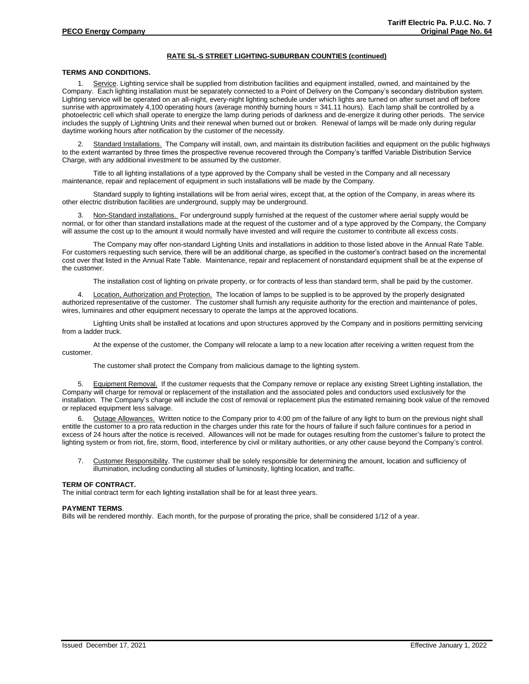# **RATE SL-S STREET LIGHTING-SUBURBAN COUNTIES (continued)**

## **TERMS AND CONDITIONS.**

1. Service. Lighting service shall be supplied from distribution facilities and equipment installed, owned, and maintained by the Company. Each lighting installation must be separately connected to a Point of Delivery on the Company's secondary distribution system. Lighting service will be operated on an all-night, every-night lighting schedule under which lights are turned on after sunset and off before sunrise with approximately 4,100 operating hours (average monthly burning hours = 341.11 hours). Each lamp shall be controlled by a photoelectric cell which shall operate to energize the lamp during periods of darkness and de-energize it during other periods. The service includes the supply of Lightning Units and their renewal when burned out or broken. Renewal of lamps will be made only during regular daytime working hours after notification by the customer of the necessity.

2. Standard Installations. The Company will install, own, and maintain its distribution facilities and equipment on the public highways to the extent warranted by three times the prospective revenue recovered through the Company's tariffed Variable Distribution Service Charge, with any additional investment to be assumed by the customer.

Title to all lighting installations of a type approved by the Company shall be vested in the Company and all necessary maintenance, repair and replacement of equipment in such installations will be made by the Company.

Standard supply to lighting installations will be from aerial wires, except that, at the option of the Company, in areas where its other electric distribution facilities are underground, supply may be underground.

3. Non-Standard installations. For underground supply furnished at the request of the customer where aerial supply would be normal, or for other than standard installations made at the request of the customer and of a type approved by the Company, the Company will assume the cost up to the amount it would normally have invested and will require the customer to contribute all excess costs.

The Company may offer non-standard Lighting Units and installations in addition to those listed above in the Annual Rate Table. For customers requesting such service, there will be an additional charge, as specified in the customer's contract based on the incremental cost over that listed in the Annual Rate Table. Maintenance, repair and replacement of nonstandard equipment shall be at the expense of the customer.

The installation cost of lighting on private property, or for contracts of less than standard term, shall be paid by the customer.

4. Location, Authorization and Protection. The location of lamps to be supplied is to be approved by the properly designated authorized representative of the customer. The customer shall furnish any requisite authority for the erection and maintenance of poles, wires, luminaires and other equipment necessary to operate the lamps at the approved locations.

Lighting Units shall be installed at locations and upon structures approved by the Company and in positions permitting servicing from a ladder truck.

At the expense of the customer, the Company will relocate a lamp to a new location after receiving a written request from the customer.

The customer shall protect the Company from malicious damage to the lighting system.

5. Equipment Removal. If the customer requests that the Company remove or replace any existing Street Lighting installation, the Company will charge for removal or replacement of the installation and the associated poles and conductors used exclusively for the installation. The Company's charge will include the cost of removal or replacement plus the estimated remaining book value of the removed or replaced equipment less salvage.

6. Outage Allowances. Written notice to the Company prior to 4:00 pm of the failure of any light to burn on the previous night shall entitle the customer to a pro rata reduction in the charges under this rate for the hours of failure if such failure continues for a period in excess of 24 hours after the notice is received. Allowances will not be made for outages resulting from the customer's failure to protect the lighting system or from riot, fire, storm, flood, interference by civil or military authorities, or any other cause beyond the Company's control.

7. Customer Responsibility. The customer shall be solely responsible for determining the amount, location and sufficiency of illumination, including conducting all studies of luminosity, lighting location, and traffic.

#### **TERM OF CONTRACT.**

The initial contract term for each lighting installation shall be for at least three years.

## **PAYMENT TERMS**.

Bills will be rendered monthly. Each month, for the purpose of prorating the price, shall be considered 1/12 of a year.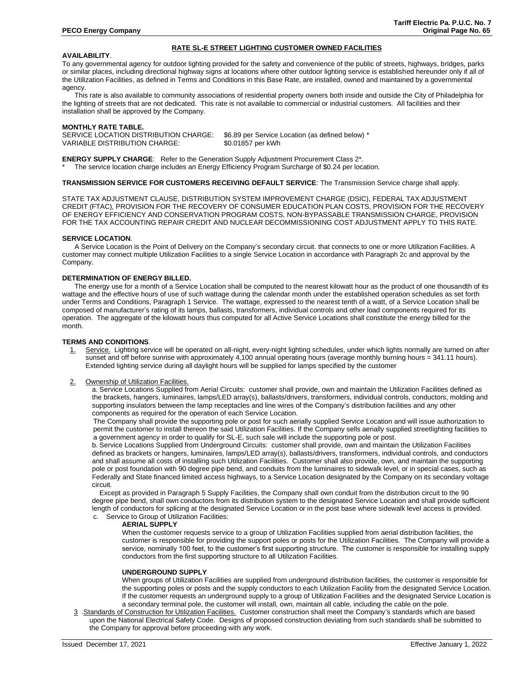# **AVAILABILITY**.

To any governmental agency for outdoor lighting provided for the safety and convenience of the public of streets, highways, bridges, parks or similar places, including directional highway signs at locations where other outdoor lighting service is established hereunder only if all of the Utilization Facilities, as defined in Terms and Conditions in this Base Rate, are installed, owned and maintained by a governmental agency.

**RATE SL-E STREET LIGHTING CUSTOMER OWNED FACILITIES**

 This rate is also available to community associations of residential property owners both inside and outside the City of Philadelphia for the lighting of streets that are not dedicated. This rate is not available to commercial or industrial customers. All facilities and their installation shall be approved by the Company.

#### **MONTHLY RATE TABLE.**

SERVICE LOCATION DISTRIBUTION CHARGE: \$6.89 per Service Location (as defined below) \* VARIABLE DISTRIBUTION CHARGE: \$0.01857 per kWh

**ENERGY SUPPLY CHARGE:** Refer to the Generation Supply Adjustment Procurement Class 2<sup>\*</sup>.

The service location charge includes an Energy Efficiency Program Surcharge of \$0.24 per location.

#### **TRANSMISSION SERVICE FOR CUSTOMERS RECEIVING DEFAULT SERVICE**: The Transmission Service charge shall apply.

STATE TAX ADJUSTMENT CLAUSE, DISTRIBUTION SYSTEM IMPROVEMENT CHARGE (DSIC), FEDERAL TAX ADJUSTMENT CREDIT (FTAC), PROVISION FOR THE RECOVERY OF CONSUMER EDUCATION PLAN COSTS, PROVISION FOR THE RECOVERY OF ENERGY EFFICIENCY AND CONSERVATION PROGRAM COSTS, NON-BYPASSABLE TRANSMISSION CHARGE, PROVISION FOR THE TAX ACCOUNTING REPAIR CREDIT AND NUCLEAR DECOMMISSIONING COST ADJUSTMENT APPLY TO THIS RATE.

## **SERVICE LOCATION**.

A Service Location is the Point of Delivery on the Company's secondary circuit. that connects to one or more Utilization Facilities. A customer may connect multiple Utilization Facilities to a single Service Location in accordance with Paragraph 2c and approval by the Company.

## **DETERMINATION OF ENERGY BILLED.**

The energy use for a month of a Service Location shall be computed to the nearest kilowatt hour as the product of one thousandth of its wattage and the effective hours of use of such wattage during the calendar month under the established operation schedules as set forth under Terms and Conditions, Paragraph 1 Service. The wattage, expressed to the nearest tenth of a watt, of a Service Location shall be composed of manufacturer's rating of its lamps, ballasts, transformers, individual controls and other load components required for its operation. The aggregate of the kilowatt hours thus computed for all Active Service Locations shall constitute the energy billed for the month.

#### **TERMS AND CONDITIONS**.

- Service. Lighting service will be operated on all-night, every-night lighting schedules, under which lights normally are turned on after sunset and off before sunrise with approximately  $4,100$  annual operating hours (average monthly burning hours = 341.11 hours). Extended lighting service during all daylight hours will be supplied for lamps specified by the customer
- 2. Ownership of Utilization Facilities.

a. Service Locations Supplied from Aerial Circuits: customer shall provide, own and maintain the Utilization Facilities defined as the brackets, hangers, luminaires, lamps/LED array(s), ballasts/drivers, transformers, individual controls, conductors, molding and supporting insulators between the lamp receptacles and line wires of the Company's distribution facilities and any other components as required for the operation of each Service Location.

The Company shall provide the supporting pole or post for such aerially supplied Service Location and will issue authorization to permit the customer to install thereon the said Utilization Facilities. If the Company sells aerially supplied streetlighting facilities to a government agency in order to qualify for SL-E, such sale will include the supporting pole or post.

b. Service Locations Supplied from Underground Circuits: customer shall provide, own and maintain the Utilization Facilities defined as brackets or hangers, luminaires, lamps/LED array(s), ballasts/drivers, transformers, individual controls, and conductors and shall assume all costs of installing such Utilization Facilities. Customer shall also provide, own, and maintain the supporting pole or post foundation with 90 degree pipe bend, and conduits from the luminaires to sidewalk level, or in special cases, such as Federally and State financed limited access highways, to a Service Location designated by the Company on its secondary voltage circuit.

Except as provided in Paragraph 5 Supply Facilities, the Company shall own conduit from the distribution circuit to the 90 degree pipe bend, shall own conductors from its distribution system to the designated Service Location and shall provide sufficient length of conductors for splicing at the designated Service Location or in the post base where sidewalk level access is provided. c. Service to Group of Utilization Facilities:

#### **AERIAL SUPPLY**

When the customer requests service to a group of Utilization Facilities supplied from aerial distribution facilities, the customer is responsible for providing the support poles or posts for the Utilization Facilities. The Company will provide a service, nominally 100 feet, to the customer's first supporting structure. The customer is responsible for installing supply conductors from the first supporting structure to all Utilization Facilities.

#### **UNDERGROUND SUPPLY**

When groups of Utilization Facilities are supplied from underground distribution facilities, the customer is responsible for the supporting poles or posts and the supply conductors to each Utilization Facility from the designated Service Location. If the customer requests an underground supply to a group of Utilization Facilities and the designated Service Location is a secondary terminal pole, the customer will install, own, maintain all cable, including the cable on the pole.

3 .Standards of Construction for Utilization Facilities. Customer construction shall meet the Company's standards which are based upon the National Electrical Safety Code. Designs of proposed construction deviating from such standards shall be submitted to the Company for approval before proceeding with any work.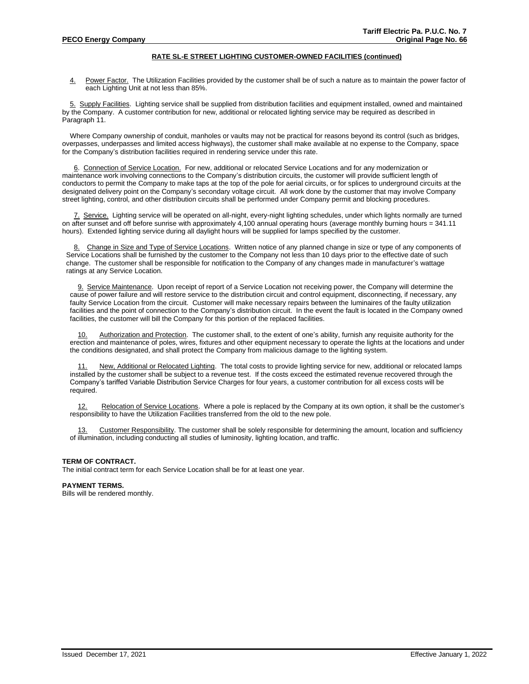## **RATE SL-E STREET LIGHTING CUSTOMER-OWNED FACILITIES (continued)**

4. Power Factor. The Utilization Facilities provided by the customer shall be of such a nature as to maintain the power factor of each Lighting Unit at not less than 85%.

5. Supply Facilities. Lighting service shall be supplied from distribution facilities and equipment installed, owned and maintained by the Company. A customer contribution for new, additional or relocated lighting service may be required as described in Paragraph 11.

Where Company ownership of conduit, manholes or vaults may not be practical for reasons beyond its control (such as bridges, overpasses, underpasses and limited access highways), the customer shall make available at no expense to the Company, space for the Company's distribution facilities required in rendering service under this rate.

6. Connection of Service Location. For new, additional or relocated Service Locations and for any modernization or maintenance work involving connections to the Company's distribution circuits, the customer will provide sufficient length of conductors to permit the Company to make taps at the top of the pole for aerial circuits, or for splices to underground circuits at the designated delivery point on the Company's secondary voltage circuit. All work done by the customer that may involve Company street lighting, control, and other distribution circuits shall be performed under Company permit and blocking procedures.

7. Service. Lighting service will be operated on all-night, every-night lighting schedules, under which lights normally are turned on after sunset and off before sunrise with approximately 4,100 annual operating hours (average monthly burning hours = 341.11 hours). Extended lighting service during all daylight hours will be supplied for lamps specified by the customer.

8. Change in Size and Type of Service Locations. Written notice of any planned change in size or type of any components of Service Locations shall be furnished by the customer to the Company not less than 10 days prior to the effective date of such change. The customer shall be responsible for notification to the Company of any changes made in manufacturer's wattage ratings at any Service Location.

9. Service Maintenance. Upon receipt of report of a Service Location not receiving power, the Company will determine the cause of power failure and will restore service to the distribution circuit and control equipment, disconnecting, if necessary, any faulty Service Location from the circuit. Customer will make necessary repairs between the luminaires of the faulty utilization facilities and the point of connection to the Company's distribution circuit. In the event the fault is located in the Company owned facilities, the customer will bill the Company for this portion of the replaced facilities.

Authorization and Protection. The customer shall, to the extent of one's ability, furnish any requisite authority for the erection and maintenance of poles, wires, fixtures and other equipment necessary to operate the lights at the locations and under the conditions designated, and shall protect the Company from malicious damage to the lighting system.

11. New, Additional or Relocated Lighting. The total costs to provide lighting service for new, additional or relocated lamps installed by the customer shall be subject to a revenue test. If the costs exceed the estimated revenue recovered through the Company's tariffed Variable Distribution Service Charges for four years, a customer contribution for all excess costs will be required.

12. Relocation of Service Locations. Where a pole is replaced by the Company at its own option, it shall be the customer's responsibility to have the Utilization Facilities transferred from the old to the new pole.

13. Customer Responsibility. The customer shall be solely responsible for determining the amount, location and sufficiency of illumination, including conducting all studies of luminosity, lighting location, and traffic.

#### **TERM OF CONTRACT.**

The initial contract term for each Service Location shall be for at least one year.

#### **PAYMENT TERMS.**

Bills will be rendered monthly.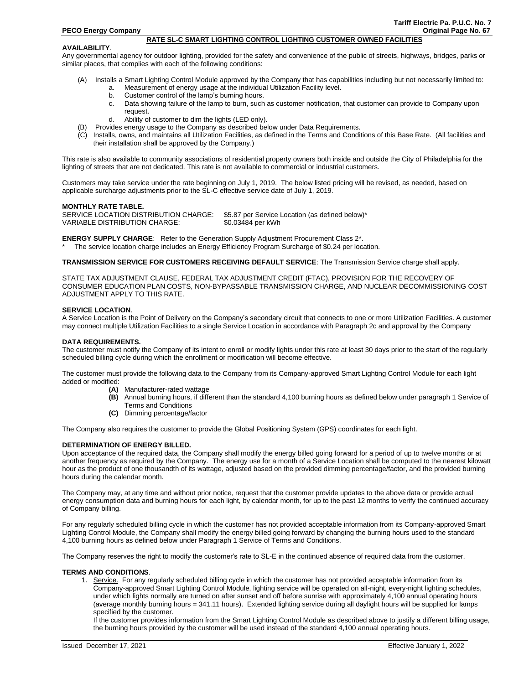#### **RATE SL-C SMART LIGHTING CONTROL LIGHTING CUSTOMER OWNED FACILITIES**

#### **AVAILABILITY**.

Any governmental agency for outdoor lighting, provided for the safety and convenience of the public of streets, highways, bridges, parks or similar places, that complies with each of the following conditions:

- (A) Installs a Smart Lighting Control Module approved by the Company that has capabilities including but not necessarily limited to:
	- a. Measurement of energy usage at the individual Utilization Facility level.
	- b. Customer control of the lamp's burning hours.
	- c. Data showing failure of the lamp to burn, such as customer notification, that customer can provide to Company upon request.
	- d. Ability of customer to dim the lights (LED only).
- (B) Provides energy usage to the Company as described below under Data Requirements.
- (C) Installs, owns, and maintains all Utilization Facilities, as defined in the Terms and Conditions of this Base Rate. (All facilities and their installation shall be approved by the Company.)

This rate is also available to community associations of residential property owners both inside and outside the City of Philadelphia for the lighting of streets that are not dedicated. This rate is not available to commercial or industrial customers.

Customers may take service under the rate beginning on July 1, 2019. The below listed pricing will be revised, as needed, based on applicable surcharge adjustments prior to the SL-C effective service date of July 1, 2019.

#### **MONTHLY RATE TABLE.**

SERVICE LOCATION DISTRIBUTION CHARGE: \$5.87 per Service Location (as defined below)\* VARIABLE DISTRIBUTION CHARGE: \$0.03484 per kWh

**ENERGY SUPPLY CHARGE**: Refer to the Generation Supply Adjustment Procurement Class 2\*.

The service location charge includes an Energy Efficiency Program Surcharge of \$0.24 per location.

**TRANSMISSION SERVICE FOR CUSTOMERS RECEIVING DEFAULT SERVICE**: The Transmission Service charge shall apply.

STATE TAX ADJUSTMENT CLAUSE, FEDERAL TAX ADJUSTMENT CREDIT (FTAC), PROVISION FOR THE RECOVERY OF CONSUMER EDUCATION PLAN COSTS, NON-BYPASSABLE TRANSMISSION CHARGE, AND NUCLEAR DECOMMISSIONING COST ADJUSTMENT APPLY TO THIS RATE.

## **SERVICE LOCATION**.

A Service Location is the Point of Delivery on the Company's secondary circuit that connects to one or more Utilization Facilities. A customer may connect multiple Utilization Facilities to a single Service Location in accordance with Paragraph 2c and approval by the Company

#### **DATA REQUIREMENTS.**

The customer must notify the Company of its intent to enroll or modify lights under this rate at least 30 days prior to the start of the regularly scheduled billing cycle during which the enrollment or modification will become effective.

The customer must provide the following data to the Company from its Company-approved Smart Lighting Control Module for each light added or modified:

- **(A)** Manufacturer-rated wattage
- **(B)** Annual burning hours, if different than the standard 4,100 burning hours as defined below under paragraph 1 Service of Terms and Conditions
- **(C)** Dimming percentage/factor

The Company also requires the customer to provide the Global Positioning System (GPS) coordinates for each light.

## **DETERMINATION OF ENERGY BILLED.**

Upon acceptance of the required data, the Company shall modify the energy billed going forward for a period of up to twelve months or at another frequency as required by the Company. The energy use for a month of a Service Location shall be computed to the nearest kilowatt hour as the product of one thousandth of its wattage, adjusted based on the provided dimming percentage/factor, and the provided burning hours during the calendar month.

The Company may, at any time and without prior notice, request that the customer provide updates to the above data or provide actual energy consumption data and burning hours for each light, by calendar month, for up to the past 12 months to verify the continued accuracy of Company billing.

For any regularly scheduled billing cycle in which the customer has not provided acceptable information from its Company-approved Smart Lighting Control Module, the Company shall modify the energy billed going forward by changing the burning hours used to the standard 4,100 burning hours as defined below under Paragraph 1 Service of Terms and Conditions.

The Company reserves the right to modify the customer's rate to SL-E in the continued absence of required data from the customer.

#### **TERMS AND CONDITIONS**.

1. Service. For any regularly scheduled billing cycle in which the customer has not provided acceptable information from its Company-approved Smart Lighting Control Module, lighting service will be operated on all-night, every-night lighting schedules, under which lights normally are turned on after sunset and off before sunrise with approximately 4,100 annual operating hours (average monthly burning hours = 341.11 hours). Extended lighting service during all daylight hours will be supplied for lamps specified by the customer.

If the customer provides information from the Smart Lighting Control Module as described above to justify a different billing usage, the burning hours provided by the customer will be used instead of the standard 4,100 annual operating hours.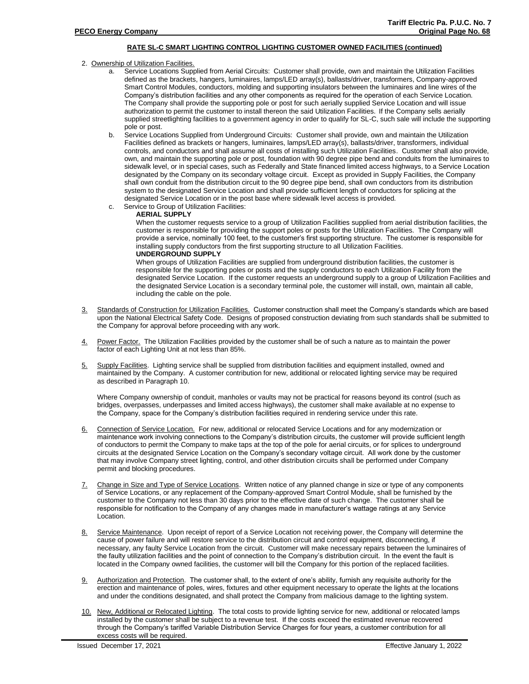# **RATE SL-C SMART LIGHTING CONTROL LIGHTING CUSTOMER OWNED FACILITIES (continued)**

- 2. Ownership of Utilization Facilities.
	- a. Service Locations Supplied from Aerial Circuits: Customer shall provide, own and maintain the Utilization Facilities defined as the brackets, hangers, luminaires, lamps/LED array(s), ballasts/driver, transformers, Company-approved Smart Control Modules, conductors, molding and supporting insulators between the luminaires and line wires of the Company's distribution facilities and any other components as required for the operation of each Service Location. The Company shall provide the supporting pole or post for such aerially supplied Service Location and will issue authorization to permit the customer to install thereon the said Utilization Facilities. If the Company sells aerially supplied streetlighting facilities to a government agency in order to qualify for SL-C, such sale will include the supporting pole or post.
	- b. Service Locations Supplied from Underground Circuits: Customer shall provide, own and maintain the Utilization Facilities defined as brackets or hangers, luminaires, lamps/LED array(s), ballasts/driver, transformers, individual controls, and conductors and shall assume all costs of installing such Utilization Facilities. Customer shall also provide, own, and maintain the supporting pole or post, foundation with 90 degree pipe bend and conduits from the luminaires to sidewalk level, or in special cases, such as Federally and State financed limited access highways, to a Service Location designated by the Company on its secondary voltage circuit. Except as provided in Supply Facilities, the Company shall own conduit from the distribution circuit to the 90 degree pipe bend, shall own conductors from its distribution system to the designated Service Location and shall provide sufficient length of conductors for splicing at the designated Service Location or in the post base where sidewalk level access is provided.
	- c. Service to Group of Utilization Facilities:

## **AERIAL SUPPLY**

When the customer requests service to a group of Utilization Facilities supplied from aerial distribution facilities, the customer is responsible for providing the support poles or posts for the Utilization Facilities. The Company will provide a service, nominally 100 feet, to the customer's first supporting structure. The customer is responsible for installing supply conductors from the first supporting structure to all Utilization Facilities. **UNDERGROUND SUPPLY**

When groups of Utilization Facilities are supplied from underground distribution facilities, the customer is responsible for the supporting poles or posts and the supply conductors to each Utilization Facility from the designated Service Location. If the customer requests an underground supply to a group of Utilization Facilities and the designated Service Location is a secondary terminal pole, the customer will install, own, maintain all cable, including the cable on the pole.

- 3. Standards of Construction for Utilization Facilities. Customer construction shall meet the Company's standards which are based upon the National Electrical Safety Code. Designs of proposed construction deviating from such standards shall be submitted to the Company for approval before proceeding with any work.
- 4. Power Factor. The Utilization Facilities provided by the customer shall be of such a nature as to maintain the power factor of each Lighting Unit at not less than 85%.
- 5. Supply Facilities. Lighting service shall be supplied from distribution facilities and equipment installed, owned and maintained by the Company. A customer contribution for new, additional or relocated lighting service may be required as described in Paragraph 10.

Where Company ownership of conduit, manholes or vaults may not be practical for reasons beyond its control (such as bridges, overpasses, underpasses and limited access highways), the customer shall make available at no expense to the Company, space for the Company's distribution facilities required in rendering service under this rate.

- 6. Connection of Service Location. For new, additional or relocated Service Locations and for any modernization or maintenance work involving connections to the Company's distribution circuits, the customer will provide sufficient length of conductors to permit the Company to make taps at the top of the pole for aerial circuits, or for splices to underground circuits at the designated Service Location on the Company's secondary voltage circuit. All work done by the customer that may involve Company street lighting, control, and other distribution circuits shall be performed under Company permit and blocking procedures.
- 7. Change in Size and Type of Service Locations. Written notice of any planned change in size or type of any components of Service Locations, or any replacement of the Company-approved Smart Control Module, shall be furnished by the customer to the Company not less than 30 days prior to the effective date of such change. The customer shall be responsible for notification to the Company of any changes made in manufacturer's wattage ratings at any Service Location.
- 8. Service Maintenance. Upon receipt of report of a Service Location not receiving power, the Company will determine the cause of power failure and will restore service to the distribution circuit and control equipment, disconnecting, if necessary, any faulty Service Location from the circuit. Customer will make necessary repairs between the luminaires of the faulty utilization facilities and the point of connection to the Company's distribution circuit. In the event the fault is located in the Company owned facilities, the customer will bill the Company for this portion of the replaced facilities.
- 9. Authorization and Protection. The customer shall, to the extent of one's ability, furnish any requisite authority for the erection and maintenance of poles, wires, fixtures and other equipment necessary to operate the lights at the locations and under the conditions designated, and shall protect the Company from malicious damage to the lighting system.
- 10. New, Additional or Relocated Lighting. The total costs to provide lighting service for new, additional or relocated lamps installed by the customer shall be subject to a revenue test. If the costs exceed the estimated revenue recovered through the Company's tariffed Variable Distribution Service Charges for four years, a customer contribution for all excess costs will be required.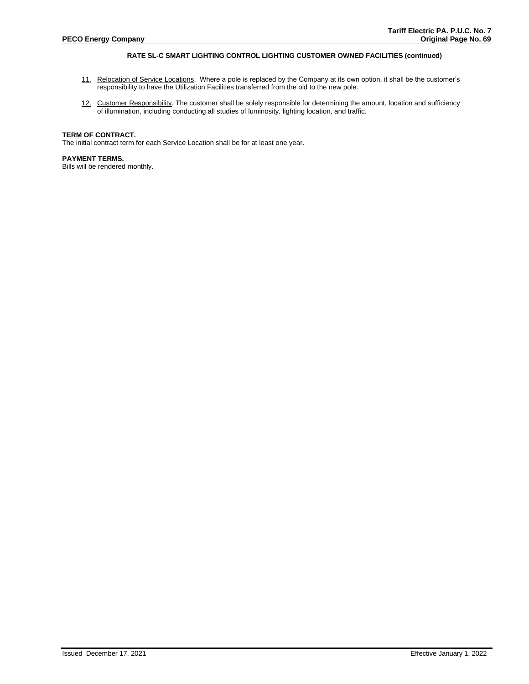# **RATE SL-C SMART LIGHTING CONTROL LIGHTING CUSTOMER OWNED FACILITIES (continued)**

- 11. Relocation of Service Locations. Where a pole is replaced by the Company at its own option, it shall be the customer's responsibility to have the Utilization Facilities transferred from the old to the new pole.
- 12. Customer Responsibility. The customer shall be solely responsible for determining the amount, location and sufficiency of illumination, including conducting all studies of luminosity, lighting location, and traffic.

## **TERM OF CONTRACT.**

The initial contract term for each Service Location shall be for at least one year.

## **PAYMENT TERMS.**

Bills will be rendered monthly.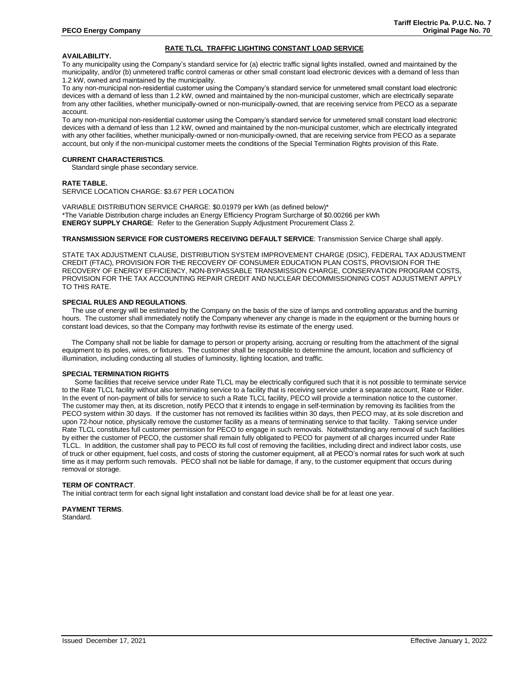# **RATE TLCL TRAFFIC LIGHTING CONSTANT LOAD SERVICE**

# **AVAILABILITY.**

To any municipality using the Company's standard service for (a) electric traffic signal lights installed, owned and maintained by the municipality, and/or (b) unmetered traffic control cameras or other small constant load electronic devices with a demand of less than 1.2 kW, owned and maintained by the municipality.

To any non-municipal non-residential customer using the Company's standard service for unmetered small constant load electronic devices with a demand of less than 1.2 kW, owned and maintained by the non-municipal customer, which are electrically separate from any other facilities, whether municipally-owned or non-municipally-owned, that are receiving service from PECO as a separate account.

To any non-municipal non-residential customer using the Company's standard service for unmetered small constant load electronic devices with a demand of less than 1.2 kW, owned and maintained by the non-municipal customer, which are electrically integrated with any other facilities, whether municipally-owned or non-municipally-owned, that are receiving service from PECO as a separate account, but only if the non-municipal customer meets the conditions of the Special Termination Rights provision of this Rate.

#### **CURRENT CHARACTERISTICS**.

Standard single phase secondary service.

#### **RATE TABLE.**

SERVICE LOCATION CHARGE: \$3.67 PER LOCATION

VARIABLE DISTRIBUTION SERVICE CHARGE: \$0.01979 per kWh (as defined below)\* \*The Variable Distribution charge includes an Energy Efficiency Program Surcharge of \$0.00266 per kWh **ENERGY SUPPLY CHARGE**: Refer to the Generation Supply Adjustment Procurement Class 2.

#### **TRANSMISSION SERVICE FOR CUSTOMERS RECEIVING DEFAULT SERVICE**: Transmission Service Charge shall apply.

STATE TAX ADJUSTMENT CLAUSE, DISTRIBUTION SYSTEM IMPROVEMENT CHARGE (DSIC), FEDERAL TAX ADJUSTMENT CREDIT (FTAC), PROVISION FOR THE RECOVERY OF CONSUMER EDUCATION PLAN COSTS, PROVISION FOR THE RECOVERY OF ENERGY EFFICIENCY, NON-BYPASSABLE TRANSMISSION CHARGE, CONSERVATION PROGRAM COSTS, PROVISION FOR THE TAX ACCOUNTING REPAIR CREDIT AND NUCLEAR DECOMMISSIONING COST ADJUSTMENT APPLY TO THIS RATE.

#### **SPECIAL RULES AND REGULATIONS**.

 The use of energy will be estimated by the Company on the basis of the size of lamps and controlling apparatus and the burning hours. The customer shall immediately notify the Company whenever any change is made in the equipment or the burning hours or constant load devices, so that the Company may forthwith revise its estimate of the energy used.

The Company shall not be liable for damage to person or property arising, accruing or resulting from the attachment of the signal equipment to its poles, wires, or fixtures. The customer shall be responsible to determine the amount, location and sufficiency of illumination, including conducting all studies of luminosity, lighting location, and traffic.

### **SPECIAL TERMINATION RIGHTS**

Some facilities that receive service under Rate TLCL may be electrically configured such that it is not possible to terminate service to the Rate TLCL facility without also terminating service to a facility that is receiving service under a separate account, Rate or Rider. In the event of non-payment of bills for service to such a Rate TLCL facility, PECO will provide a termination notice to the customer. The customer may then, at its discretion, notify PECO that it intends to engage in self-termination by removing its facilities from the PECO system within 30 days. If the customer has not removed its facilities within 30 days, then PECO may, at its sole discretion and upon 72-hour notice, physically remove the customer facility as a means of terminating service to that facility. Taking service under Rate TLCL constitutes full customer permission for PECO to engage in such removals. Notwithstanding any removal of such facilities by either the customer of PECO, the customer shall remain fully obligated to PECO for payment of all charges incurred under Rate TLCL. In addition, the customer shall pay to PECO its full cost of removing the facilities, including direct and indirect labor costs, use of truck or other equipment, fuel costs, and costs of storing the customer equipment, all at PECO's normal rates for such work at such time as it may perform such removals. PECO shall not be liable for damage, if any, to the customer equipment that occurs during removal or storage.

#### **TERM OF CONTRACT**.

The initial contract term for each signal light installation and constant load device shall be for at least one year.

# **PAYMENT TERMS**.

Standard.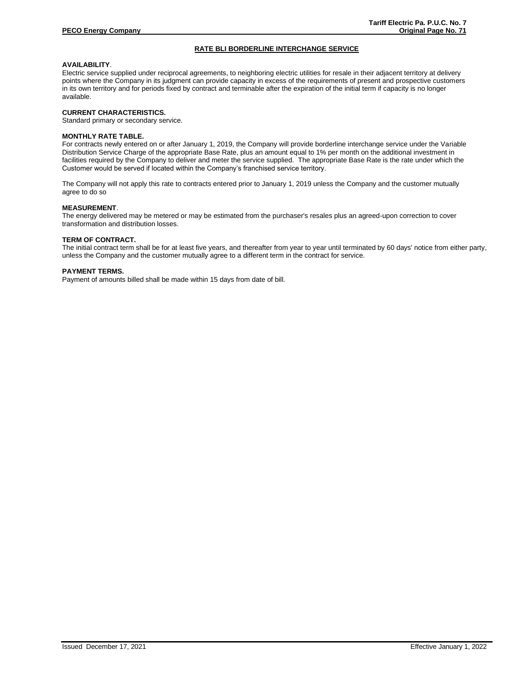# **RATE BLI BORDERLINE INTERCHANGE SERVICE**

# **AVAILABILITY**.

Electric service supplied under reciprocal agreements, to neighboring electric utilities for resale in their adjacent territory at delivery points where the Company in its judgment can provide capacity in excess of the requirements of present and prospective customers in its own territory and for periods fixed by contract and terminable after the expiration of the initial term if capacity is no longer available.

#### **CURRENT CHARACTERISTICS.**

Standard primary or secondary service.

#### **MONTHLY RATE TABLE.**

For contracts newly entered on or after January 1, 2019, the Company will provide borderline interchange service under the Variable Distribution Service Charge of the appropriate Base Rate, plus an amount equal to 1% per month on the additional investment in facilities required by the Company to deliver and meter the service supplied. The appropriate Base Rate is the rate under which the Customer would be served if located within the Company's franchised service territory.

The Company will not apply this rate to contracts entered prior to January 1, 2019 unless the Company and the customer mutually agree to do so

#### **MEASUREMENT**.

The energy delivered may be metered or may be estimated from the purchaser's resales plus an agreed-upon correction to cover transformation and distribution losses.

#### **TERM OF CONTRACT.**

The initial contract term shall be for at least five years, and thereafter from year to year until terminated by 60 days' notice from either party, unless the Company and the customer mutually agree to a different term in the contract for service.

#### **PAYMENT TERMS.**

Payment of amounts billed shall be made within 15 days from date of bill.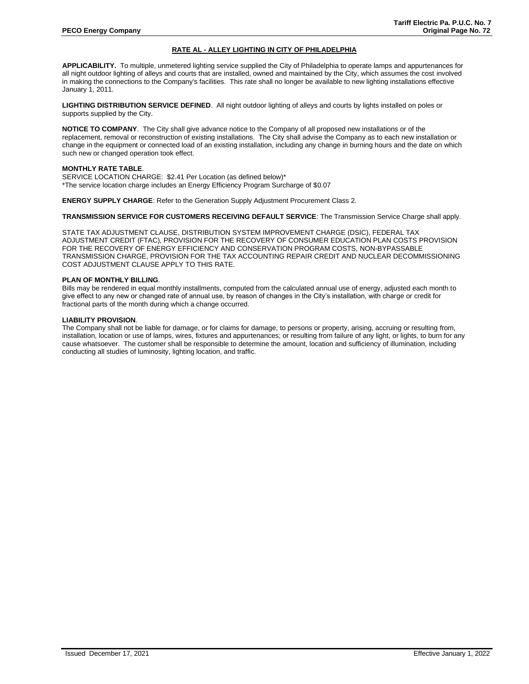# **RATE AL - ALLEY LIGHTING IN CITY OF PHILADELPHIA**

**APPLICABILITY.** To multiple, unmetered lighting service supplied the City of Philadelphia to operate lamps and appurtenances for all night outdoor lighting of alleys and courts that are installed, owned and maintained by the City, which assumes the cost involved in making the connections to the Company's facilities. This rate shall no longer be available to new lighting installations effective January 1, 2011.

**LIGHTING DISTRIBUTION SERVICE DEFINED**. All night outdoor lighting of alleys and courts by lights installed on poles or supports supplied by the City.

**NOTICE TO COMPANY**. The City shall give advance notice to the Company of all proposed new installations or of the replacement, removal or reconstruction of existing installations. The City shall advise the Company as to each new installation or change in the equipment or connected load of an existing installation, including any change in burning hours and the date on which such new or changed operation took effect.

#### **MONTHLY RATE TABLE**.

SERVICE LOCATION CHARGE: \$2.41 Per Location (as defined below)\* \*The service location charge includes an Energy Efficiency Program Surcharge of \$0.07

**ENERGY SUPPLY CHARGE**: Refer to the Generation Supply Adjustment Procurement Class 2.

**TRANSMISSION SERVICE FOR CUSTOMERS RECEIVING DEFAULT SERVICE**: The Transmission Service Charge shall apply.

STATE TAX ADJUSTMENT CLAUSE, DISTRIBUTION SYSTEM IMPROVEMENT CHARGE (DSIC), FEDERAL TAX ADJUSTMENT CREDIT (FTAC), PROVISION FOR THE RECOVERY OF CONSUMER EDUCATION PLAN COSTS PROVISION FOR THE RECOVERY OF ENERGY EFFICIENCY AND CONSERVATION PROGRAM COSTS, NON-BYPASSABLE TRANSMISSION CHARGE, PROVISION FOR THE TAX ACCOUNTING REPAIR CREDIT AND NUCLEAR DECOMMISSIONING COST ADJUSTMENT CLAUSE APPLY TO THIS RATE.

#### **PLAN OF MONTHLY BILLING**.

Bills may be rendered in equal monthly installments, computed from the calculated annual use of energy, adjusted each month to give effect to any new or changed rate of annual use, by reason of changes in the City's installation, with charge or credit for fractional parts of the month during which a change occurred.

# **LIABILITY PROVISION**.

The Company shall not be liable for damage, or for claims for damage, to persons or property, arising, accruing or resulting from, installation, location or use of lamps, wires, fixtures and appurtenances; or resulting from failure of any light, or lights, to burn for any cause whatsoever. The customer shall be responsible to determine the amount, location and sufficiency of illumination, including conducting all studies of luminosity, lighting location, and traffic.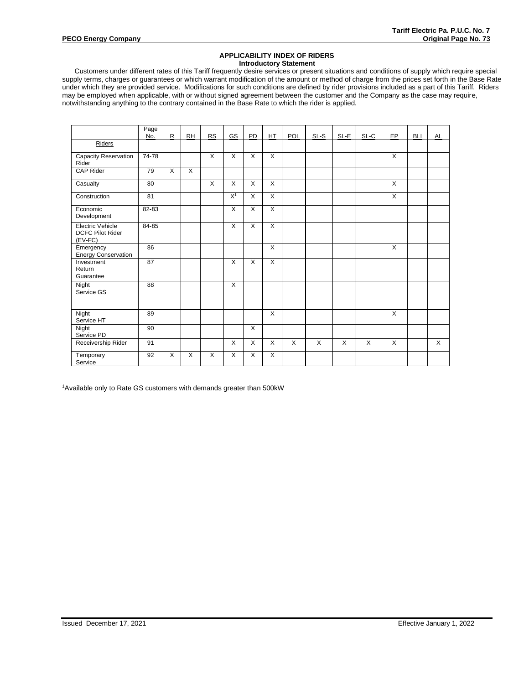### **APPLICABILITY INDEX OF RIDERS Introductory Statement**

Customers under different rates of this Tariff frequently desire services or present situations and conditions of supply which require special supply terms, charges or guarantees or which warrant modification of the amount or method of charge from the prices set forth in the Base Rate under which they are provided service. Modifications for such conditions are defined by rider provisions included as a part of this Tariff. Riders may be employed when applicable, with or without signed agreement between the customer and the Company as the case may require, notwithstanding anything to the contrary contained in the Base Rate to which the rider is applied.

|                                                                 | Page<br>No. | $\mathbf R$ | RH                      | RS           | GS             | PD             | HT             | POL | $SL-S$       | SL-E | SL-C         | EP             | <b>BLI</b> | AL |
|-----------------------------------------------------------------|-------------|-------------|-------------------------|--------------|----------------|----------------|----------------|-----|--------------|------|--------------|----------------|------------|----|
| Riders                                                          |             |             |                         |              |                |                |                |     |              |      |              |                |            |    |
| Capacity Reservation<br>Rider                                   | 74-78       |             |                         | $\times$     | X              | X              | $\mathsf{X}$   |     |              |      |              | $\overline{X}$ |            |    |
| <b>CAP Rider</b>                                                | 79          | X           | $\overline{\mathsf{x}}$ |              |                |                |                |     |              |      |              |                |            |    |
| Casualty                                                        | 80          |             |                         | $\times$     | X              | X              | X              |     |              |      |              | $\mathsf{X}$   |            |    |
| Construction                                                    | 81          |             |                         |              | X <sup>1</sup> | $\overline{X}$ | $\overline{X}$ |     |              |      |              | $\overline{X}$ |            |    |
| Economic<br>Development                                         | 82-83       |             |                         |              | X              | X              | X              |     |              |      |              |                |            |    |
| <b>Electric Vehicle</b><br><b>DCFC Pilot Rider</b><br>$(EV-FC)$ | 84-85       |             |                         |              | X              | X              | X              |     |              |      |              |                |            |    |
| Emergency<br><b>Energy Conservation</b>                         | 86          |             |                         |              |                |                | $\mathsf{X}$   |     |              |      |              | $\overline{X}$ |            |    |
| Investment<br>Return<br>Guarantee                               | 87          |             |                         |              | X              | X              | X              |     |              |      |              |                |            |    |
| Night<br>Service GS                                             | 88          |             |                         |              | X              |                |                |     |              |      |              |                |            |    |
| Night<br>Service HT                                             | 89          |             |                         |              |                |                | X              |     |              |      |              | $\times$       |            |    |
| Night<br>Service PD                                             | 90          |             |                         |              |                | X              |                |     |              |      |              |                |            |    |
| Receivership Rider                                              | 91          |             |                         |              | X              | X              | $\mathsf{x}$   | X   | $\mathsf{x}$ | X    | $\mathsf{X}$ | $\mathsf{X}$   |            | X  |
| Temporary<br>Service                                            | 92          | X           | $\mathsf{x}$            | $\mathsf{X}$ | X              | X              | X              |     |              |      |              |                |            |    |

<sup>1</sup> Available only to Rate GS customers with demands greater than 500kW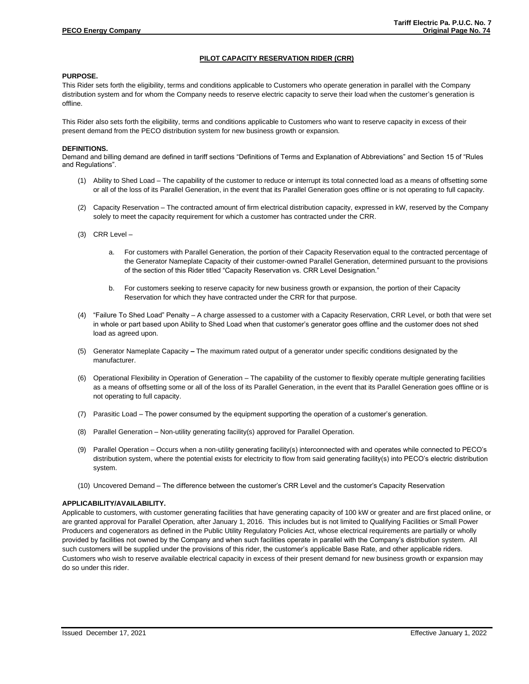# **PILOT CAPACITY RESERVATION RIDER (CRR)**

### **PURPOSE.**

This Rider sets forth the eligibility, terms and conditions applicable to Customers who operate generation in parallel with the Company distribution system and for whom the Company needs to reserve electric capacity to serve their load when the customer's generation is offline.

This Rider also sets forth the eligibility, terms and conditions applicable to Customers who want to reserve capacity in excess of their present demand from the PECO distribution system for new business growth or expansion.

#### **DEFINITIONS.**

Demand and billing demand are defined in tariff sections "Definitions of Terms and Explanation of Abbreviations" and Section 15 of "Rules and Regulations".

- (1) Ability to Shed Load The capability of the customer to reduce or interrupt its total connected load as a means of offsetting some or all of the loss of its Parallel Generation, in the event that its Parallel Generation goes offline or is not operating to full capacity.
- (2) Capacity Reservation The contracted amount of firm electrical distribution capacity, expressed in kW, reserved by the Company solely to meet the capacity requirement for which a customer has contracted under the CRR.
- (3) CRR Level
	- a. For customers with Parallel Generation, the portion of their Capacity Reservation equal to the contracted percentage of the Generator Nameplate Capacity of their customer-owned Parallel Generation, determined pursuant to the provisions of the section of this Rider titled "Capacity Reservation vs. CRR Level Designation."
	- b. For customers seeking to reserve capacity for new business growth or expansion, the portion of their Capacity Reservation for which they have contracted under the CRR for that purpose.
- (4) "Failure To Shed Load" Penalty A charge assessed to a customer with a Capacity Reservation, CRR Level, or both that were set in whole or part based upon Ability to Shed Load when that customer's generator goes offline and the customer does not shed load as agreed upon.
- (5) Generator Nameplate Capacity **–** The maximum rated output of a generator under specific conditions designated by the manufacturer.
- (6) Operational Flexibility in Operation of Generation The capability of the customer to flexibly operate multiple generating facilities as a means of offsetting some or all of the loss of its Parallel Generation, in the event that its Parallel Generation goes offline or is not operating to full capacity.
- (7) Parasitic Load The power consumed by the equipment supporting the operation of a customer's generation.
- (8) Parallel Generation Non-utility generating facility(s) approved for Parallel Operation.
- (9) Parallel Operation Occurs when a non-utility generating facility(s) interconnected with and operates while connected to PECO's distribution system, where the potential exists for electricity to flow from said generating facility(s) into PECO's electric distribution system.
- (10) Uncovered Demand The difference between the customer's CRR Level and the customer's Capacity Reservation

# **APPLICABILITY/AVAILABILITY.**

Applicable to customers, with customer generating facilities that have generating capacity of 100 kW or greater and are first placed online, or are granted approval for Parallel Operation, after January 1, 2016. This includes but is not limited to Qualifying Facilities or Small Power Producers and cogenerators as defined in the Public Utility Regulatory Policies Act, whose electrical requirements are partially or wholly provided by facilities not owned by the Company and when such facilities operate in parallel with the Company's distribution system. All such customers will be supplied under the provisions of this rider, the customer's applicable Base Rate, and other applicable riders. Customers who wish to reserve available electrical capacity in excess of their present demand for new business growth or expansion may do so under this rider.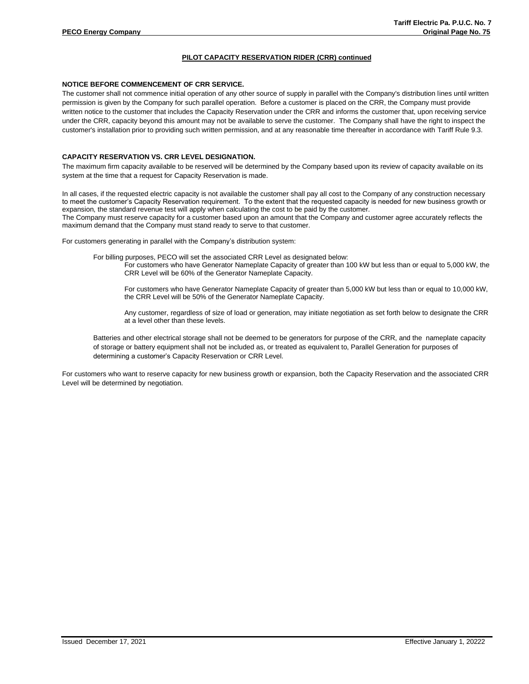# **PILOT CAPACITY RESERVATION RIDER (CRR) continued**

# **NOTICE BEFORE COMMENCEMENT OF CRR SERVICE.**

The customer shall not commence initial operation of any other source of supply in parallel with the Company's distribution lines until written permission is given by the Company for such parallel operation. Before a customer is placed on the CRR, the Company must provide written notice to the customer that includes the Capacity Reservation under the CRR and informs the customer that, upon receiving service under the CRR, capacity beyond this amount may not be available to serve the customer. The Company shall have the right to inspect the customer's installation prior to providing such written permission, and at any reasonable time thereafter in accordance with Tariff Rule 9.3.

## **CAPACITY RESERVATION VS. CRR LEVEL DESIGNATION.**

The maximum firm capacity available to be reserved will be determined by the Company based upon its review of capacity available on its system at the time that a request for Capacity Reservation is made.

In all cases, if the requested electric capacity is not available the customer shall pay all cost to the Company of any construction necessary to meet the customer's Capacity Reservation requirement. To the extent that the requested capacity is needed for new business growth or expansion, the standard revenue test will apply when calculating the cost to be paid by the customer. The Company must reserve capacity for a customer based upon an amount that the Company and customer agree accurately reflects the

maximum demand that the Company must stand ready to serve to that customer.

For customers generating in parallel with the Company's distribution system:

For billing purposes, PECO will set the associated CRR Level as designated below:

For customers who have Generator Nameplate Capacity of greater than 100 kW but less than or equal to 5,000 kW, the CRR Level will be 60% of the Generator Nameplate Capacity.

For customers who have Generator Nameplate Capacity of greater than 5,000 kW but less than or equal to 10,000 kW, the CRR Level will be 50% of the Generator Nameplate Capacity.

Any customer, regardless of size of load or generation, may initiate negotiation as set forth below to designate the CRR at a level other than these levels.

Batteries and other electrical storage shall not be deemed to be generators for purpose of the CRR, and the nameplate capacity of storage or battery equipment shall not be included as, or treated as equivalent to, Parallel Generation for purposes of determining a customer's Capacity Reservation or CRR Level.

For customers who want to reserve capacity for new business growth or expansion, both the Capacity Reservation and the associated CRR Level will be determined by negotiation.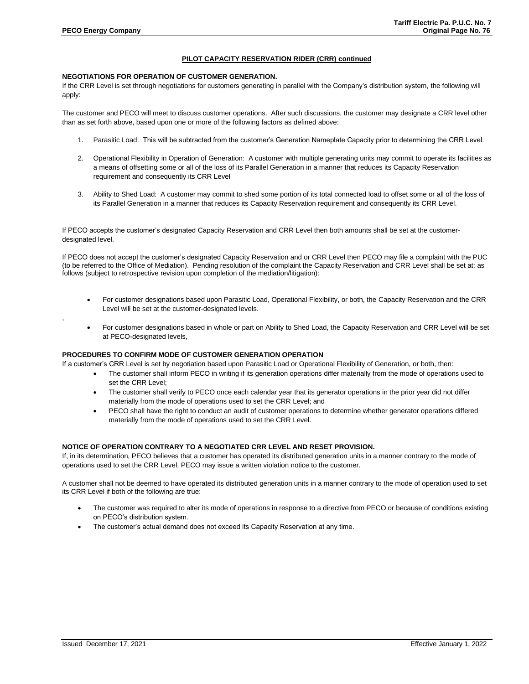,

# **PILOT CAPACITY RESERVATION RIDER (CRR) continued**

# **NEGOTIATIONS FOR OPERATION OF CUSTOMER GENERATION.**

If the CRR Level is set through negotiations for customers generating in parallel with the Company's distribution system, the following will apply:

The customer and PECO will meet to discuss customer operations. After such discussions, the customer may designate a CRR level other than as set forth above, based upon one or more of the following factors as defined above:

- 1. Parasitic Load: This will be subtracted from the customer's Generation Nameplate Capacity prior to determining the CRR Level.
- 2. Operational Flexibility in Operation of Generation: A customer with multiple generating units may commit to operate its facilities as a means of offsetting some or all of the loss of its Parallel Generation in a manner that reduces its Capacity Reservation requirement and consequently its CRR Level
- 3. Ability to Shed Load: A customer may commit to shed some portion of its total connected load to offset some or all of the loss of its Parallel Generation in a manner that reduces its Capacity Reservation requirement and consequently its CRR Level.

If PECO accepts the customer's designated Capacity Reservation and CRR Level then both amounts shall be set at the customerdesignated level.

If PECO does not accept the customer's designated Capacity Reservation and or CRR Level then PECO may file a complaint with the PUC (to be referred to the Office of Mediation). Pending resolution of the complaint the Capacity Reservation and CRR Level shall be set at: as follows (subject to retrospective revision upon completion of the mediation/litigation):

- For customer designations based upon Parasitic Load, Operational Flexibility, or both, the Capacity Reservation and the CRR Level will be set at the customer-designated levels.
- For customer designations based in whole or part on Ability to Shed Load, the Capacity Reservation and CRR Level will be set at PECO-designated levels,

# **PROCEDURES TO CONFIRM MODE OF CUSTOMER GENERATION OPERATION**

If a customer's CRR Level is set by negotiation based upon Parasitic Load or Operational Flexibility of Generation, or both, then:

- The customer shall inform PECO in writing if its generation operations differ materially from the mode of operations used to set the CRR Level;
- The customer shall verify to PECO once each calendar year that its generator operations in the prior year did not differ materially from the mode of operations used to set the CRR Level; and
- PECO shall have the right to conduct an audit of customer operations to determine whether generator operations differed materially from the mode of operations used to set the CRR Level.

# **NOTICE OF OPERATION CONTRARY TO A NEGOTIATED CRR LEVEL AND RESET PROVISION.**

If, in its determination, PECO believes that a customer has operated its distributed generation units in a manner contrary to the mode of operations used to set the CRR Level, PECO may issue a written violation notice to the customer.

A customer shall not be deemed to have operated its distributed generation units in a manner contrary to the mode of operation used to set its CRR Level if both of the following are true:

- The customer was required to alter its mode of operations in response to a directive from PECO or because of conditions existing on PECO's distribution system.
- The customer's actual demand does not exceed its Capacity Reservation at any time.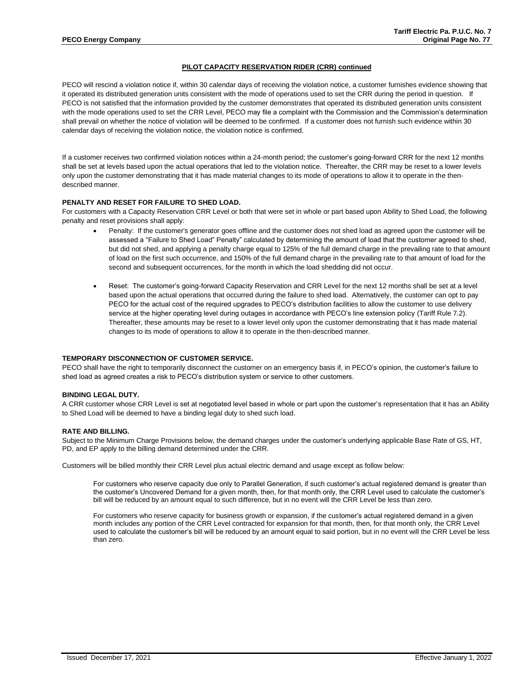# **PILOT CAPACITY RESERVATION RIDER (CRR) continued**

PECO will rescind a violation notice if, within 30 calendar days of receiving the violation notice, a customer furnishes evidence showing that it operated its distributed generation units consistent with the mode of operations used to set the CRR during the period in question. If PECO is not satisfied that the information provided by the customer demonstrates that operated its distributed generation units consistent with the mode operations used to set the CRR Level, PECO may file a complaint with the Commission and the Commission's determination shall prevail on whether the notice of violation will be deemed to be confirmed. If a customer does not furnish such evidence within 30 calendar days of receiving the violation notice, the violation notice is confirmed.

If a customer receives two confirmed violation notices within a 24-month period; the customer's going-forward CRR for the next 12 months shall be set at levels based upon the actual operations that led to the violation notice. Thereafter, the CRR may be reset to a lower levels only upon the customer demonstrating that it has made material changes to its mode of operations to allow it to operate in the thendescribed manner.

# **PENALTY AND RESET FOR FAILURE TO SHED LOAD.**

For customers with a Capacity Reservation CRR Level or both that were set in whole or part based upon Ability to Shed Load, the following penalty and reset provisions shall apply:

- Penalty: If the customer's generator goes offline and the customer does not shed load as agreed upon the customer will be assessed a "Failure to Shed Load" Penalty" calculated by determining the amount of load that the customer agreed to shed, but did not shed, and applying a penalty charge equal to 125% of the full demand charge in the prevailing rate to that amount of load on the first such occurrence, and 150% of the full demand charge in the prevailing rate to that amount of load for the second and subsequent occurrences, for the month in which the load shedding did not occur.
- Reset: The customer's going-forward Capacity Reservation and CRR Level for the next 12 months shall be set at a level based upon the actual operations that occurred during the failure to shed load. Alternatively, the customer can opt to pay PECO for the actual cost of the required upgrades to PECO's distribution facilities to allow the customer to use delivery service at the higher operating level during outages in accordance with PECO's line extension policy (Tariff Rule 7.2). Thereafter, these amounts may be reset to a lower level only upon the customer demonstrating that it has made material changes to its mode of operations to allow it to operate in the then-described manner.

#### **TEMPORARY DISCONNECTION OF CUSTOMER SERVICE.**

PECO shall have the right to temporarily disconnect the customer on an emergency basis if, in PECO's opinion, the customer's failure to shed load as agreed creates a risk to PECO's distribution system or service to other customers.

#### **BINDING LEGAL DUTY.**

A CRR customer whose CRR Level is set at negotiated level based in whole or part upon the customer's representation that it has an Ability to Shed Load will be deemed to have a binding legal duty to shed such load.

#### **RATE AND BILLING.**

Subject to the Minimum Charge Provisions below, the demand charges under the customer's underlying applicable Base Rate of GS, HT, PD, and EP apply to the billing demand determined under the CRR.

Customers will be billed monthly their CRR Level plus actual electric demand and usage except as follow below:

For customers who reserve capacity due only to Parallel Generation, if such customer's actual registered demand is greater than the customer's Uncovered Demand for a given month, then, for that month only, the CRR Level used to calculate the customer's bill will be reduced by an amount equal to such difference, but in no event will the CRR Level be less than zero.

For customers who reserve capacity for business growth or expansion, if the customer's actual registered demand in a given month includes any portion of the CRR Level contracted for expansion for that month, then, for that month only, the CRR Level used to calculate the customer's bill will be reduced by an amount equal to said portion, but in no event will the CRR Level be less than zero.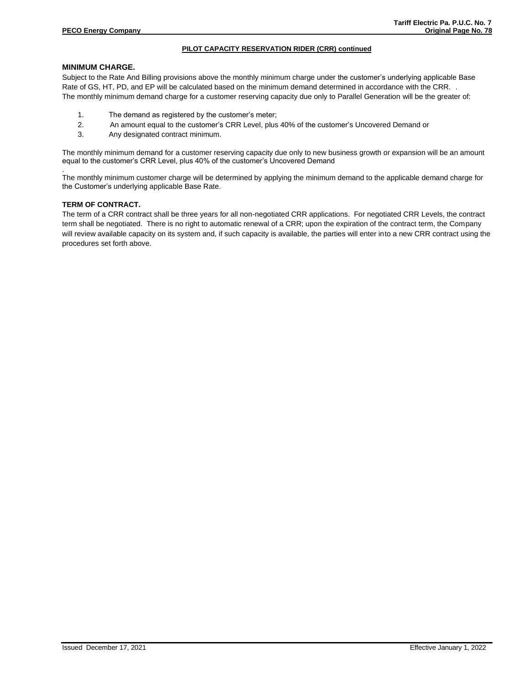# **PILOT CAPACITY RESERVATION RIDER (CRR) continued**

# **MINIMUM CHARGE.**

Subject to the Rate And Billing provisions above the monthly minimum charge under the customer's underlying applicable Base Rate of GS, HT, PD, and EP will be calculated based on the minimum demand determined in accordance with the CRR. . The monthly minimum demand charge for a customer reserving capacity due only to Parallel Generation will be the greater of:

- 1. The demand as registered by the customer's meter;
- 2. An amount equal to the customer's CRR Level, plus 40% of the customer's Uncovered Demand or
- 3. Any designated contract minimum.

The monthly minimum demand for a customer reserving capacity due only to new business growth or expansion will be an amount equal to the customer's CRR Level, plus 40% of the customer's Uncovered Demand

The monthly minimum customer charge will be determined by applying the minimum demand to the applicable demand charge for the Customer's underlying applicable Base Rate.

# **TERM OF CONTRACT.**

.

The term of a CRR contract shall be three years for all non-negotiated CRR applications. For negotiated CRR Levels, the contract term shall be negotiated. There is no right to automatic renewal of a CRR; upon the expiration of the contract term, the Company will review available capacity on its system and, if such capacity is available, the parties will enter into a new CRR contract using the procedures set forth above.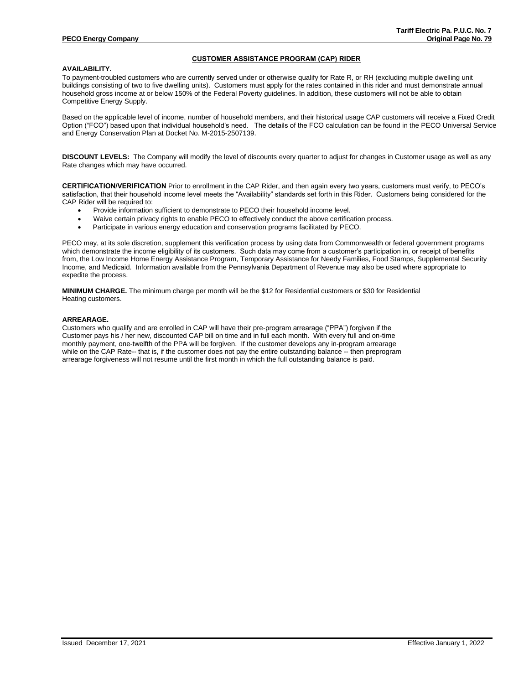## **CUSTOMER ASSISTANCE PROGRAM (CAP) RIDER**

#### **AVAILABILITY.**

To payment-troubled customers who are currently served under or otherwise qualify for Rate R, or RH (excluding multiple dwelling unit buildings consisting of two to five dwelling units). Customers must apply for the rates contained in this rider and must demonstrate annual household gross income at or below 150% of the Federal Poverty guidelines. In addition, these customers will not be able to obtain Competitive Energy Supply.

Based on the applicable level of income, number of household members, and their historical usage CAP customers will receive a Fixed Credit Option ("FCO") based upon that individual household's need. The details of the FCO calculation can be found in the PECO Universal Service and Energy Conservation Plan at Docket No. M-2015-2507139.

**DISCOUNT LEVELS:** The Company will modify the level of discounts every quarter to adjust for changes in Customer usage as well as any Rate changes which may have occurred.

**CERTIFICATION/VERIFICATION** Prior to enrollment in the CAP Rider, and then again every two years, customers must verify, to PECO's satisfaction, that their household income level meets the "Availability" standards set forth in this Rider. Customers being considered for the CAP Rider will be required to:

- Provide information sufficient to demonstrate to PECO their household income level.
- Waive certain privacy rights to enable PECO to effectively conduct the above certification process.
- Participate in various energy education and conservation programs facilitated by PECO.

PECO may, at its sole discretion, supplement this verification process by using data from Commonwealth or federal government programs which demonstrate the income eligibility of its customers. Such data may come from a customer's participation in, or receipt of benefits from, the Low Income Home Energy Assistance Program, Temporary Assistance for Needy Families, Food Stamps, Supplemental Security Income, and Medicaid. Information available from the Pennsylvania Department of Revenue may also be used where appropriate to expedite the process.

**MINIMUM CHARGE.** The minimum charge per month will be the \$12 for Residential customers or \$30 for Residential Heating customers.

### **ARREARAGE.**

Customers who qualify and are enrolled in CAP will have their pre-program arrearage ("PPA") forgiven if the Customer pays his / her new, discounted CAP bill on time and in full each month. With every full and on-time monthly payment, one-twelfth of the PPA will be forgiven. If the customer develops any in-program arrearage while on the CAP Rate-- that is, if the customer does not pay the entire outstanding balance -- then preprogram arrearage forgiveness will not resume until the first month in which the full outstanding balance is paid.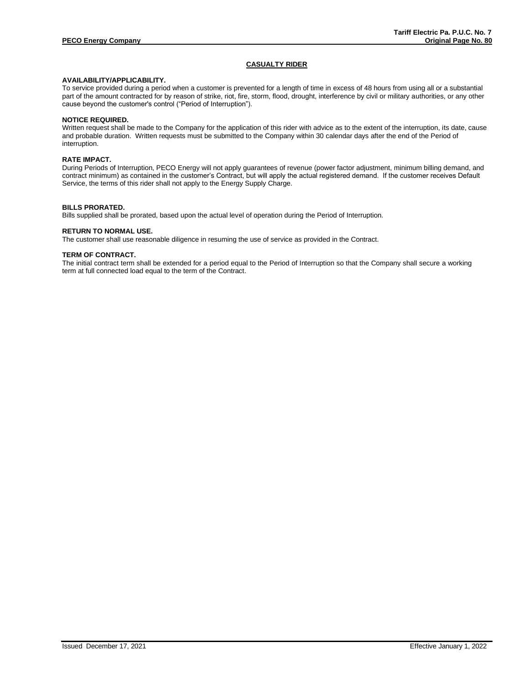# **CASUALTY RIDER**

# **AVAILABILITY/APPLICABILITY.**

To service provided during a period when a customer is prevented for a length of time in excess of 48 hours from using all or a substantial part of the amount contracted for by reason of strike, riot, fire, storm, flood, drought, interference by civil or military authorities, or any other cause beyond the customer's control ("Period of Interruption").

# **NOTICE REQUIRED.**

Written request shall be made to the Company for the application of this rider with advice as to the extent of the interruption, its date, cause and probable duration. Written requests must be submitted to the Company within 30 calendar days after the end of the Period of interruption.

#### **RATE IMPACT.**

During Periods of Interruption, PECO Energy will not apply guarantees of revenue (power factor adjustment, minimum billing demand, and contract minimum) as contained in the customer's Contract, but will apply the actual registered demand. If the customer receives Default Service, the terms of this rider shall not apply to the Energy Supply Charge.

#### **BILLS PRORATED.**

Bills supplied shall be prorated, based upon the actual level of operation during the Period of Interruption.

#### **RETURN TO NORMAL USE.**

The customer shall use reasonable diligence in resuming the use of service as provided in the Contract.

#### **TERM OF CONTRACT.**

The initial contract term shall be extended for a period equal to the Period of Interruption so that the Company shall secure a working term at full connected load equal to the term of the Contract.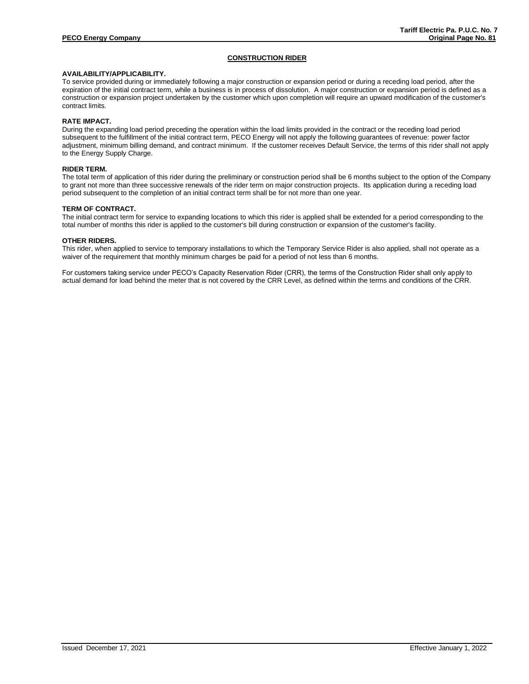# **CONSTRUCTION RIDER**

# **AVAILABILITY/APPLICABILITY.**

To service provided during or immediately following a major construction or expansion period or during a receding load period, after the expiration of the initial contract term, while a business is in process of dissolution. A major construction or expansion period is defined as a construction or expansion project undertaken by the customer which upon completion will require an upward modification of the customer's contract limits.

# **RATE IMPACT.**

During the expanding load period preceding the operation within the load limits provided in the contract or the receding load period subsequent to the fulfillment of the initial contract term, PECO Energy will not apply the following guarantees of revenue: power factor adjustment, minimum billing demand, and contract minimum. If the customer receives Default Service, the terms of this rider shall not apply to the Energy Supply Charge.

#### **RIDER TERM.**

The total term of application of this rider during the preliminary or construction period shall be 6 months subject to the option of the Company to grant not more than three successive renewals of the rider term on major construction projects. Its application during a receding load period subsequent to the completion of an initial contract term shall be for not more than one year.

#### **TERM OF CONTRACT.**

The initial contract term for service to expanding locations to which this rider is applied shall be extended for a period corresponding to the total number of months this rider is applied to the customer's bill during construction or expansion of the customer's facility.

#### **OTHER RIDERS.**

This rider, when applied to service to temporary installations to which the Temporary Service Rider is also applied, shall not operate as a waiver of the requirement that monthly minimum charges be paid for a period of not less than 6 months.

For customers taking service under PECO's Capacity Reservation Rider (CRR), the terms of the Construction Rider shall only apply to actual demand for load behind the meter that is not covered by the CRR Level, as defined within the terms and conditions of the CRR.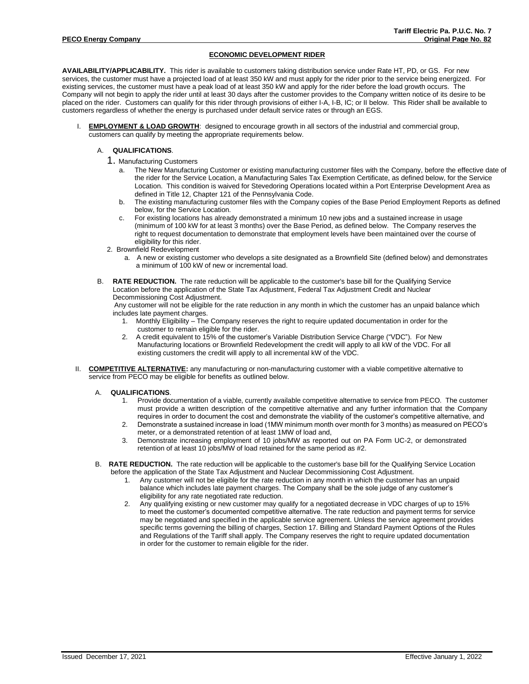# **ECONOMIC DEVELOPMENT RIDER**

**AVAILABILITY/APPLICABILITY.** This rider is available to customers taking distribution service under Rate HT, PD, or GS. For new services, the customer must have a projected load of at least 350 kW and must apply for the rider prior to the service being energized. For existing services, the customer must have a peak load of at least 350 kW and apply for the rider before the load growth occurs. The Company will not begin to apply the rider until at least 30 days after the customer provides to the Company written notice of its desire to be placed on the rider. Customers can qualify for this rider through provisions of either I-A, I-B, IC; or II below. This Rider shall be available to customers regardless of whether the energy is purchased under default service rates or through an EGS.

**EMPLOYMENT & LOAD GROWTH:** designed to encourage growth in all sectors of the industrial and commercial group, customers can qualify by meeting the appropriate requirements below.

# A. **QUALIFICATIONS**.

- 1. Manufacturing Customers
	- The New Manufacturing Customer or existing manufacturing customer files with the Company, before the effective date of the rider for the Service Location, a Manufacturing Sales Tax Exemption Certificate, as defined below, for the Service Location. This condition is waived for Stevedoring Operations located within a Port Enterprise Development Area as defined in Title 12, Chapter 121 of the Pennsylvania Code.
	- b. The existing manufacturing customer files with the Company copies of the Base Period Employment Reports as defined below, for the Service Location.
	- c. For existing locations has already demonstrated a minimum 10 new jobs and a sustained increase in usage (minimum of 100 kW for at least 3 months) over the Base Period, as defined below. The Company reserves the right to request documentation to demonstrate that employment levels have been maintained over the course of eligibility for this rider.
- 2. Brownfield Redevelopment
	- a. A new or existing customer who develops a site designated as a Brownfield Site (defined below) and demonstrates a minimum of 100 kW of new or incremental load.
- B. **RATE REDUCTION.** The rate reduction will be applicable to the customer's base bill for the Qualifying Service Location before the application of the State Tax Adjustment, Federal Tax Adjustment Credit and Nuclear Decommissioning Cost Adjustment.

Any customer will not be eligible for the rate reduction in any month in which the customer has an unpaid balance which includes late payment charges.

- 1. Monthly Eligibility The Company reserves the right to require updated documentation in order for the customer to remain eligible for the rider.
- 2. A credit equivalent to 15% of the customer's Variable Distribution Service Charge ("VDC"). For New Manufacturing locations or Brownfield Redevelopment the credit will apply to all kW of the VDC. For all existing customers the credit will apply to all incremental kW of the VDC.
- II. **COMPETITIVE ALTERNATIVE:** any manufacturing or non-manufacturing customer with a viable competitive alternative to service from PECO may be eligible for benefits as outlined below.
	- A. **QUALIFICATIONS**.
		- 1. Provide documentation of a viable, currently available competitive alternative to service from PECO. The customer must provide a written description of the competitive alternative and any further information that the Company requires in order to document the cost and demonstrate the viability of the customer's competitive alternative, and
		- 2. Demonstrate a sustained increase in load (1MW minimum month over month for 3 months) as measured on PECO's meter, or a demonstrated retention of at least 1MW of load and,
		- 3. Demonstrate increasing employment of 10 jobs/MW as reported out on PA Form UC-2, or demonstrated retention of at least 10 jobs/MW of load retained for the same period as #2.
	- B. **RATE REDUCTION.** The rate reduction will be applicable to the customer's base bill for the Qualifying Service Location before the application of the State Tax Adjustment and Nuclear Decommissioning Cost Adjustment.
		- 1. Any customer will not be eligible for the rate reduction in any month in which the customer has an unpaid balance which includes late payment charges. The Company shall be the sole judge of any customer's eligibility for any rate negotiated rate reduction.
		- 2. Any qualifying existing or new customer may qualify for a negotiated decrease in VDC charges of up to 15% to meet the customer's documented competitive alternative. The rate reduction and payment terms for service may be negotiated and specified in the applicable service agreement. Unless the service agreement provides specific terms governing the billing of charges, Section 17. Billing and Standard Payment Options of the Rules and Regulations of the Tariff shall apply. The Company reserves the right to require updated documentation in order for the customer to remain eligible for the rider.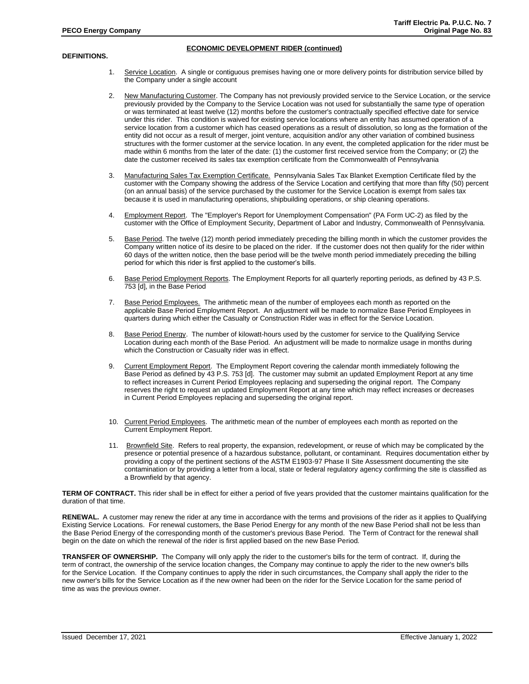### **ECONOMIC DEVELOPMENT RIDER (continued)**

## **DEFINITIONS.**

- 1. Service Location. A single or contiguous premises having one or more delivery points for distribution service billed by the Company under a single account
- 2. New Manufacturing Customer. The Company has not previously provided service to the Service Location, or the service previously provided by the Company to the Service Location was not used for substantially the same type of operation or was terminated at least twelve (12) months before the customer's contractually specified effective date for service under this rider. This condition is waived for existing service locations where an entity has assumed operation of a service location from a customer which has ceased operations as a result of dissolution, so long as the formation of the entity did not occur as a result of merger, joint venture, acquisition and/or any other variation of combined business structures with the former customer at the service location. In any event, the completed application for the rider must be made within 6 months from the later of the date: (1) the customer first received service from the Company; or (2) the date the customer received its sales tax exemption certificate from the Commonwealth of Pennsylvania
- 3. Manufacturing Sales Tax Exemption Certificate. Pennsylvania Sales Tax Blanket Exemption Certificate filed by the customer with the Company showing the address of the Service Location and certifying that more than fifty (50) percent (on an annual basis) of the service purchased by the customer for the Service Location is exempt from sales tax because it is used in manufacturing operations, shipbuilding operations, or ship cleaning operations.
- 4. Employment Report. The "Employer's Report for Unemployment Compensation" (PA Form UC-2) as filed by the customer with the Office of Employment Security, Department of Labor and Industry, Commonwealth of Pennsylvania.
- 5. Base Period. The twelve (12) month period immediately preceding the billing month in which the customer provides the Company written notice of its desire to be placed on the rider. If the customer does not then qualify for the rider within 60 days of the written notice, then the base period will be the twelve month period immediately preceding the billing period for which this rider is first applied to the customer's bills.
- 6. Base Period Employment Reports. The Employment Reports for all quarterly reporting periods, as defined by 43 P.S. 753 [d], in the Base Period
- 7. Base Period Employees. The arithmetic mean of the number of employees each month as reported on the applicable Base Period Employment Report. An adjustment will be made to normalize Base Period Employees in quarters during which either the Casualty or Construction Rider was in effect for the Service Location.
- 8. Base Period Energy. The number of kilowatt-hours used by the customer for service to the Qualifying Service Location during each month of the Base Period. An adjustment will be made to normalize usage in months during which the Construction or Casualty rider was in effect.
- 9. Current Employment Report. The Employment Report covering the calendar month immediately following the Base Period as defined by 43 P.S. 753 [d]. The customer may submit an updated Employment Report at any time to reflect increases in Current Period Employees replacing and superseding the original report. The Company reserves the right to request an updated Employment Report at any time which may reflect increases or decreases in Current Period Employees replacing and superseding the original report.
- 10. Current Period Employees. The arithmetic mean of the number of employees each month as reported on the Current Employment Report.
- 11. Brownfield Site. Refers to real property, the expansion, redevelopment, or reuse of which may be complicated by the presence or potential presence of a hazardous substance, pollutant, or contaminant. Requires documentation either by providing a copy of the pertinent sections of the ASTM E1903-97 Phase II Site Assessment documenting the site contamination or by providing a letter from a local, state or federal regulatory agency confirming the site is classified as a Brownfield by that agency.

**TERM OF CONTRACT.** This rider shall be in effect for either a period of five years provided that the customer maintains qualification for the duration of that time.

**RENEWAL.** A customer may renew the rider at any time in accordance with the terms and provisions of the rider as it applies to Qualifying Existing Service Locations. For renewal customers, the Base Period Energy for any month of the new Base Period shall not be less than the Base Period Energy of the corresponding month of the customer's previous Base Period. The Term of Contract for the renewal shall begin on the date on which the renewal of the rider is first applied based on the new Base Period.

**TRANSFER OF OWNERSHIP.** The Company will only apply the rider to the customer's bills for the term of contract. If, during the term of contract, the ownership of the service location changes, the Company may continue to apply the rider to the new owner's bills for the Service Location. If the Company continues to apply the rider in such circumstances, the Company shall apply the rider to the new owner's bills for the Service Location as if the new owner had been on the rider for the Service Location for the same period of time as was the previous owner.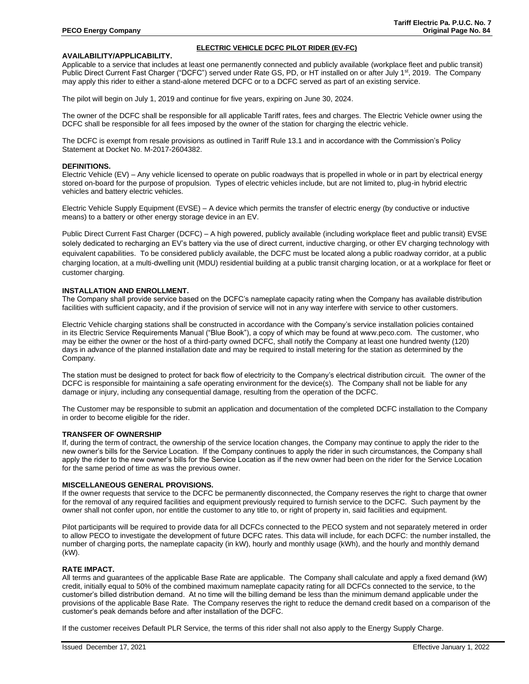### **AVAILABILITY/APPLICABILITY.**

# **ELECTRIC VEHICLE DCFC PILOT RIDER (EV-FC)**

Applicable to a service that includes at least one permanently connected and publicly available (workplace fleet and public transit) Public Direct Current Fast Charger ("DCFC") served under Rate GS, PD, or HT installed on or after July 1<sup>st</sup>, 2019. The Company may apply this rider to either a stand-alone metered DCFC or to a DCFC served as part of an existing service.

The pilot will begin on July 1, 2019 and continue for five years, expiring on June 30, 2024.

The owner of the DCFC shall be responsible for all applicable Tariff rates, fees and charges. The Electric Vehicle owner using the DCFC shall be responsible for all fees imposed by the owner of the station for charging the electric vehicle.

The DCFC is exempt from resale provisions as outlined in Tariff Rule 13.1 and in accordance with the Commission's Policy Statement at Docket No. M-2017-2604382.

### **DEFINITIONS.**

Electric Vehicle (EV) – Any vehicle licensed to operate on public roadways that is propelled in whole or in part by electrical energy stored on-board for the purpose of propulsion. Types of electric vehicles include, but are not limited to, plug-in hybrid electric vehicles and battery electric vehicles.

Electric Vehicle Supply Equipment (EVSE) – A device which permits the transfer of electric energy (by conductive or inductive means) to a battery or other energy storage device in an EV.

Public Direct Current Fast Charger (DCFC) – A high powered, publicly available (including workplace fleet and public transit) EVSE solely dedicated to recharging an EV's battery via the use of direct current, inductive charging, or other EV charging technology with equivalent capabilities. To be considered publicly available, the DCFC must be located along a public roadway corridor, at a public charging location, at a multi-dwelling unit (MDU) residential building at a public transit charging location, or at a workplace for fleet or customer charging.

## **INSTALLATION AND ENROLLMENT.**

The Company shall provide service based on the DCFC's nameplate capacity rating when the Company has available distribution facilities with sufficient capacity, and if the provision of service will not in any way interfere with service to other customers.

Electric Vehicle charging stations shall be constructed in accordance with the Company's service installation policies contained in its Electric Service Requirements Manual ("Blue Book"), a copy of which may be found at www.peco.com. The customer, who may be either the owner or the host of a third-party owned DCFC, shall notify the Company at least one hundred twenty (120) days in advance of the planned installation date and may be required to install metering for the station as determined by the Company.

The station must be designed to protect for back flow of electricity to the Company's electrical distribution circuit. The owner of the DCFC is responsible for maintaining a safe operating environment for the device(s). The Company shall not be liable for any damage or injury, including any consequential damage, resulting from the operation of the DCFC.

The Customer may be responsible to submit an application and documentation of the completed DCFC installation to the Company in order to become eligible for the rider.

#### **TRANSFER OF OWNERSHIP**

If, during the term of contract, the ownership of the service location changes, the Company may continue to apply the rider to the new owner's bills for the Service Location. If the Company continues to apply the rider in such circumstances, the Company shall apply the rider to the new owner's bills for the Service Location as if the new owner had been on the rider for the Service Location for the same period of time as was the previous owner.

#### **MISCELLANEOUS GENERAL PROVISIONS.**

If the owner requests that service to the DCFC be permanently disconnected, the Company reserves the right to charge that owner for the removal of any required facilities and equipment previously required to furnish service to the DCFC. Such payment by the owner shall not confer upon, nor entitle the customer to any title to, or right of property in, said facilities and equipment.

Pilot participants will be required to provide data for all DCFCs connected to the PECO system and not separately metered in order to allow PECO to investigate the development of future DCFC rates. This data will include, for each DCFC: the number installed, the number of charging ports, the nameplate capacity (in kW), hourly and monthly usage (kWh), and the hourly and monthly demand (kW).

#### **RATE IMPACT.**

All terms and guarantees of the applicable Base Rate are applicable. The Company shall calculate and apply a fixed demand (kW) credit, initially equal to 50% of the combined maximum nameplate capacity rating for all DCFCs connected to the service, to the customer's billed distribution demand. At no time will the billing demand be less than the minimum demand applicable under the provisions of the applicable Base Rate. The Company reserves the right to reduce the demand credit based on a comparison of the customer's peak demands before and after installation of the DCFC.

If the customer receives Default PLR Service, the terms of this rider shall not also apply to the Energy Supply Charge.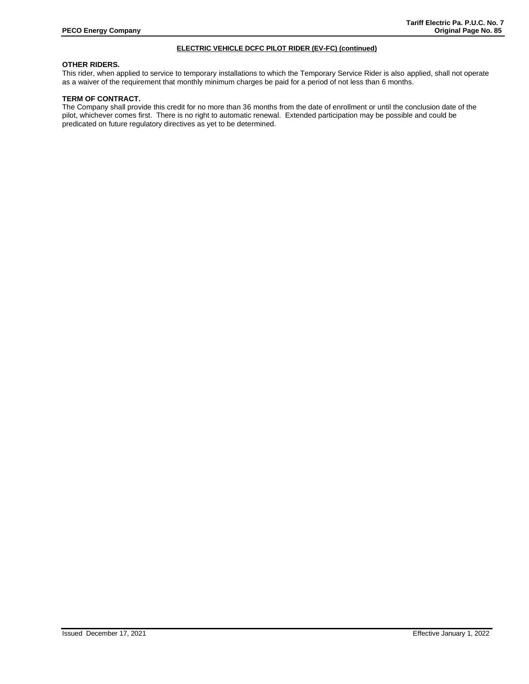# **ELECTRIC VEHICLE DCFC PILOT RIDER (EV-FC) (continued)**

# **OTHER RIDERS.**

This rider, when applied to service to temporary installations to which the Temporary Service Rider is also applied, shall not operate as a waiver of the requirement that monthly minimum charges be paid for a period of not less than 6 months.

# **TERM OF CONTRACT.**

The Company shall provide this credit for no more than 36 months from the date of enrollment or until the conclusion date of the pilot, whichever comes first. There is no right to automatic renewal. Extended participation may be possible and could be predicated on future regulatory directives as yet to be determined.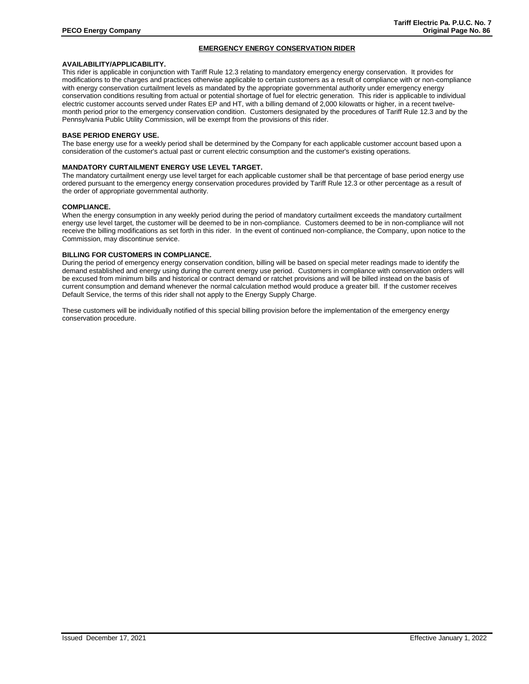# **EMERGENCY ENERGY CONSERVATION RIDER**

# **AVAILABILITY/APPLICABILITY.**

This rider is applicable in conjunction with Tariff Rule 12.3 relating to mandatory emergency energy conservation. It provides for modifications to the charges and practices otherwise applicable to certain customers as a result of compliance with or non-compliance with energy conservation curtailment levels as mandated by the appropriate governmental authority under emergency energy conservation conditions resulting from actual or potential shortage of fuel for electric generation. This rider is applicable to individual electric customer accounts served under Rates EP and HT, with a billing demand of 2,000 kilowatts or higher, in a recent twelvemonth period prior to the emergency conservation condition. Customers designated by the procedures of Tariff Rule 12.3 and by the Pennsylvania Public Utility Commission, will be exempt from the provisions of this rider.

# **BASE PERIOD ENERGY USE.**

The base energy use for a weekly period shall be determined by the Company for each applicable customer account based upon a consideration of the customer's actual past or current electric consumption and the customer's existing operations.

#### **MANDATORY CURTAILMENT ENERGY USE LEVEL TARGET.**

The mandatory curtailment energy use level target for each applicable customer shall be that percentage of base period energy use ordered pursuant to the emergency energy conservation procedures provided by Tariff Rule 12.3 or other percentage as a result of the order of appropriate governmental authority.

#### **COMPLIANCE.**

When the energy consumption in any weekly period during the period of mandatory curtailment exceeds the mandatory curtailment energy use level target, the customer will be deemed to be in non-compliance. Customers deemed to be in non-compliance will not receive the billing modifications as set forth in this rider. In the event of continued non-compliance, the Company, upon notice to the Commission, may discontinue service.

### **BILLING FOR CUSTOMERS IN COMPLIANCE.**

During the period of emergency energy conservation condition, billing will be based on special meter readings made to identify the demand established and energy using during the current energy use period. Customers in compliance with conservation orders will be excused from minimum bills and historical or contract demand or ratchet provisions and will be billed instead on the basis of current consumption and demand whenever the normal calculation method would produce a greater bill. If the customer receives Default Service, the terms of this rider shall not apply to the Energy Supply Charge.

These customers will be individually notified of this special billing provision before the implementation of the emergency energy conservation procedure.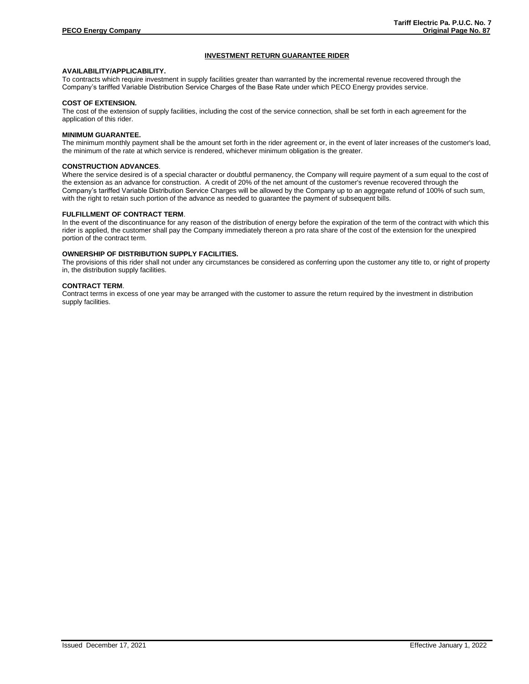# **INVESTMENT RETURN GUARANTEE RIDER**

# **AVAILABILITY/APPLICABILITY.**

To contracts which require investment in supply facilities greater than warranted by the incremental revenue recovered through the Company's tariffed Variable Distribution Service Charges of the Base Rate under which PECO Energy provides service.

#### **COST OF EXTENSION.**

The cost of the extension of supply facilities, including the cost of the service connection, shall be set forth in each agreement for the application of this rider.

#### **MINIMUM GUARANTEE.**

The minimum monthly payment shall be the amount set forth in the rider agreement or, in the event of later increases of the customer's load, the minimum of the rate at which service is rendered, whichever minimum obligation is the greater.

# **CONSTRUCTION ADVANCES**.

Where the service desired is of a special character or doubtful permanency, the Company will require payment of a sum equal to the cost of the extension as an advance for construction. A credit of 20% of the net amount of the customer's revenue recovered through the Company's tariffed Variable Distribution Service Charges will be allowed by the Company up to an aggregate refund of 100% of such sum, with the right to retain such portion of the advance as needed to guarantee the payment of subsequent bills.

#### **FULFILLMENT OF CONTRACT TERM**.

In the event of the discontinuance for any reason of the distribution of energy before the expiration of the term of the contract with which this rider is applied, the customer shall pay the Company immediately thereon a pro rata share of the cost of the extension for the unexpired portion of the contract term.

# **OWNERSHIP OF DISTRIBUTION SUPPLY FACILITIES.**

The provisions of this rider shall not under any circumstances be considered as conferring upon the customer any title to, or right of property in, the distribution supply facilities.

# **CONTRACT TERM**.

Contract terms in excess of one year may be arranged with the customer to assure the return required by the investment in distribution supply facilities.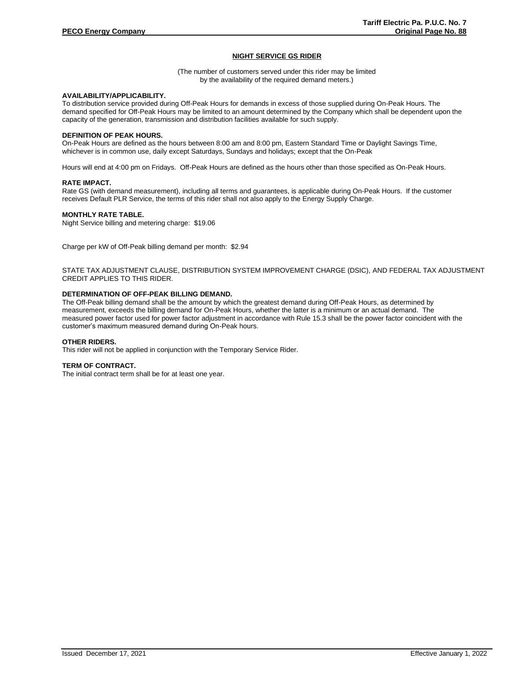# **NIGHT SERVICE GS RIDER**

(The number of customers served under this rider may be limited by the availability of the required demand meters.)

### **AVAILABILITY/APPLICABILITY.**

To distribution service provided during Off-Peak Hours for demands in excess of those supplied during On-Peak Hours. The demand specified for Off-Peak Hours may be limited to an amount determined by the Company which shall be dependent upon the capacity of the generation, transmission and distribution facilities available for such supply.

### **DEFINITION OF PEAK HOURS.**

On-Peak Hours are defined as the hours between 8:00 am and 8:00 pm, Eastern Standard Time or Daylight Savings Time, whichever is in common use, daily except Saturdays, Sundays and holidays; except that the On-Peak

Hours will end at 4:00 pm on Fridays. Off-Peak Hours are defined as the hours other than those specified as On-Peak Hours.

#### **RATE IMPACT.**

Rate GS (with demand measurement), including all terms and guarantees, is applicable during On-Peak Hours. If the customer receives Default PLR Service, the terms of this rider shall not also apply to the Energy Supply Charge.

#### **MONTHLY RATE TABLE.**

Night Service billing and metering charge: \$19.06

Charge per kW of Off-Peak billing demand per month: \$2.94

STATE TAX ADJUSTMENT CLAUSE, DISTRIBUTION SYSTEM IMPROVEMENT CHARGE (DSIC), AND FEDERAL TAX ADJUSTMENT CREDIT APPLIES TO THIS RIDER.

#### **DETERMINATION OF OFF-PEAK BILLING DEMAND.**

The Off-Peak billing demand shall be the amount by which the greatest demand during Off-Peak Hours, as determined by measurement, exceeds the billing demand for On-Peak Hours, whether the latter is a minimum or an actual demand. The measured power factor used for power factor adjustment in accordance with Rule 15.3 shall be the power factor coincident with the customer's maximum measured demand during On-Peak hours.

#### **OTHER RIDERS.**

This rider will not be applied in conjunction with the Temporary Service Rider.

#### **TERM OF CONTRACT.**

The initial contract term shall be for at least one year.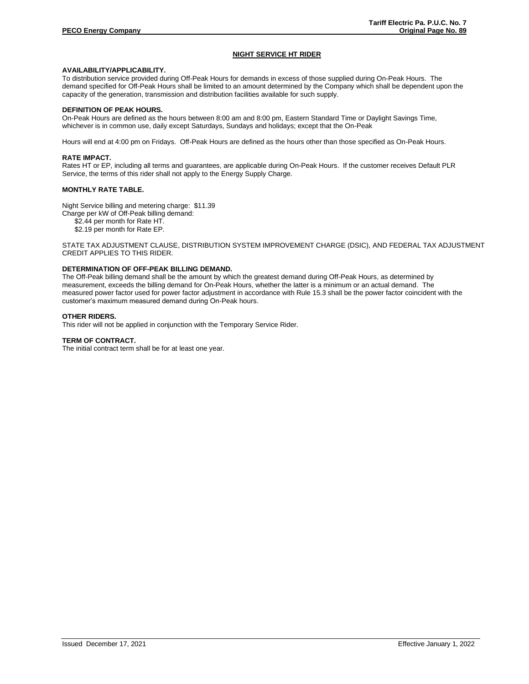# **NIGHT SERVICE HT RIDER**

# **AVAILABILITY/APPLICABILITY.**

To distribution service provided during Off-Peak Hours for demands in excess of those supplied during On-Peak Hours. The demand specified for Off-Peak Hours shall be limited to an amount determined by the Company which shall be dependent upon the capacity of the generation, transmission and distribution facilities available for such supply.

# **DEFINITION OF PEAK HOURS.**

On-Peak Hours are defined as the hours between 8:00 am and 8:00 pm, Eastern Standard Time or Daylight Savings Time, whichever is in common use, daily except Saturdays, Sundays and holidays; except that the On-Peak

Hours will end at 4:00 pm on Fridays. Off-Peak Hours are defined as the hours other than those specified as On-Peak Hours.

#### **RATE IMPACT.**

Rates HT or EP, including all terms and guarantees, are applicable during On-Peak Hours. If the customer receives Default PLR Service, the terms of this rider shall not apply to the Energy Supply Charge.

## **MONTHLY RATE TABLE.**

Night Service billing and metering charge: \$11.39

Charge per kW of Off-Peak billing demand:

\$2.44 per month for Rate HT.

\$2.19 per month for Rate EP.

STATE TAX ADJUSTMENT CLAUSE, DISTRIBUTION SYSTEM IMPROVEMENT CHARGE (DSIC), AND FEDERAL TAX ADJUSTMENT CREDIT APPLIES TO THIS RIDER.

#### **DETERMINATION OF OFF-PEAK BILLING DEMAND.**

The Off-Peak billing demand shall be the amount by which the greatest demand during Off-Peak Hours, as determined by measurement, exceeds the billing demand for On-Peak Hours, whether the latter is a minimum or an actual demand. The measured power factor used for power factor adjustment in accordance with Rule 15.3 shall be the power factor coincident with the customer's maximum measured demand during On-Peak hours.

### **OTHER RIDERS.**

This rider will not be applied in conjunction with the Temporary Service Rider.

# **TERM OF CONTRACT.**

The initial contract term shall be for at least one year.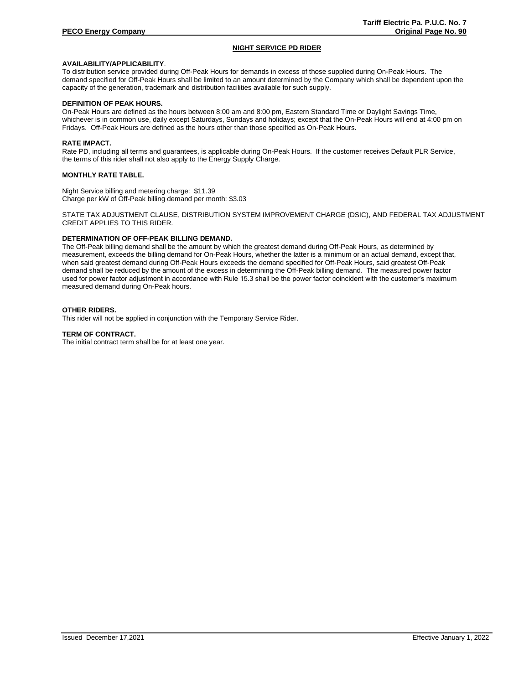# **NIGHT SERVICE PD RIDER**

# **AVAILABILITY/APPLICABILITY**.

To distribution service provided during Off-Peak Hours for demands in excess of those supplied during On-Peak Hours. The demand specified for Off-Peak Hours shall be limited to an amount determined by the Company which shall be dependent upon the capacity of the generation, trademark and distribution facilities available for such supply.

## **DEFINITION OF PEAK HOURS.**

On-Peak Hours are defined as the hours between 8:00 am and 8:00 pm, Eastern Standard Time or Daylight Savings Time, whichever is in common use, daily except Saturdays, Sundays and holidays; except that the On-Peak Hours will end at 4:00 pm on Fridays. Off-Peak Hours are defined as the hours other than those specified as On-Peak Hours.

#### **RATE IMPACT.**

Rate PD, including all terms and guarantees, is applicable during On-Peak Hours. If the customer receives Default PLR Service, the terms of this rider shall not also apply to the Energy Supply Charge.

### **MONTHLY RATE TABLE.**

Night Service billing and metering charge: \$11.39 Charge per kW of Off-Peak billing demand per month: \$3.03

STATE TAX ADJUSTMENT CLAUSE, DISTRIBUTION SYSTEM IMPROVEMENT CHARGE (DSIC), AND FEDERAL TAX ADJUSTMENT CREDIT APPLIES TO THIS RIDER.

# **DETERMINATION OF OFF-PEAK BILLING DEMAND.**

The Off-Peak billing demand shall be the amount by which the greatest demand during Off-Peak Hours, as determined by measurement, exceeds the billing demand for On-Peak Hours, whether the latter is a minimum or an actual demand, except that, when said greatest demand during Off-Peak Hours exceeds the demand specified for Off-Peak Hours, said greatest Off-Peak demand shall be reduced by the amount of the excess in determining the Off-Peak billing demand. The measured power factor used for power factor adjustment in accordance with Rule 15.3 shall be the power factor coincident with the customer's maximum measured demand during On-Peak hours.

#### **OTHER RIDERS.**

This rider will not be applied in conjunction with the Temporary Service Rider.

#### **TERM OF CONTRACT.**

The initial contract term shall be for at least one year.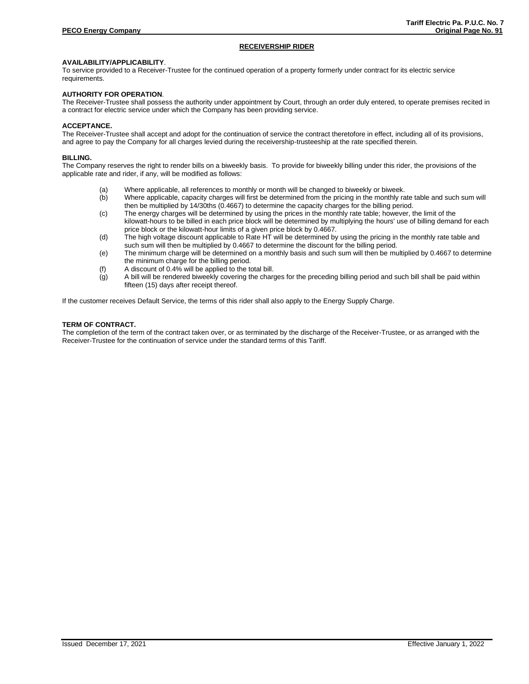# **RECEIVERSHIP RIDER**

# **AVAILABILITY/APPLICABILITY**.

To service provided to a Receiver-Trustee for the continued operation of a property formerly under contract for its electric service requirements.

# **AUTHORITY FOR OPERATION**.

The Receiver-Trustee shall possess the authority under appointment by Court, through an order duly entered, to operate premises recited in a contract for electric service under which the Company has been providing service.

#### **ACCEPTANCE.**

The Receiver-Trustee shall accept and adopt for the continuation of service the contract theretofore in effect, including all of its provisions, and agree to pay the Company for all charges levied during the receivership-trusteeship at the rate specified therein.

#### **BILLING.**

The Company reserves the right to render bills on a biweekly basis. To provide for biweekly billing under this rider, the provisions of the applicable rate and rider, if any, will be modified as follows:

- (a) Where applicable, all references to monthly or month will be changed to biweekly or biweek.
- (b) Where applicable, capacity charges will first be determined from the pricing in the monthly rate table and such sum will then be multiplied by 14/30ths (0.4667) to determine the capacity charges for the billing period.
- (c) The energy charges will be determined by using the prices in the monthly rate table; however, the limit of the kilowatt-hours to be billed in each price block will be determined by multiplying the hours' use of billing demand for each price block or the kilowatt-hour limits of a given price block by 0.4667.
- (d) The high voltage discount applicable to Rate HT will be determined by using the pricing in the monthly rate table and such sum will then be multiplied by 0.4667 to determine the discount for the billing period.
- (e) The minimum charge will be determined on a monthly basis and such sum will then be multiplied by 0.4667 to determine the minimum charge for the billing period.
- (f) A discount of 0.4% will be applied to the total bill.
- $\overline{q}$  A bill will be rendered biweekly covering the charges for the preceding billing period and such bill shall be paid within fifteen (15) days after receipt thereof.

If the customer receives Default Service, the terms of this rider shall also apply to the Energy Supply Charge.

# **TERM OF CONTRACT.**

The completion of the term of the contract taken over, or as terminated by the discharge of the Receiver-Trustee, or as arranged with the Receiver-Trustee for the continuation of service under the standard terms of this Tariff.